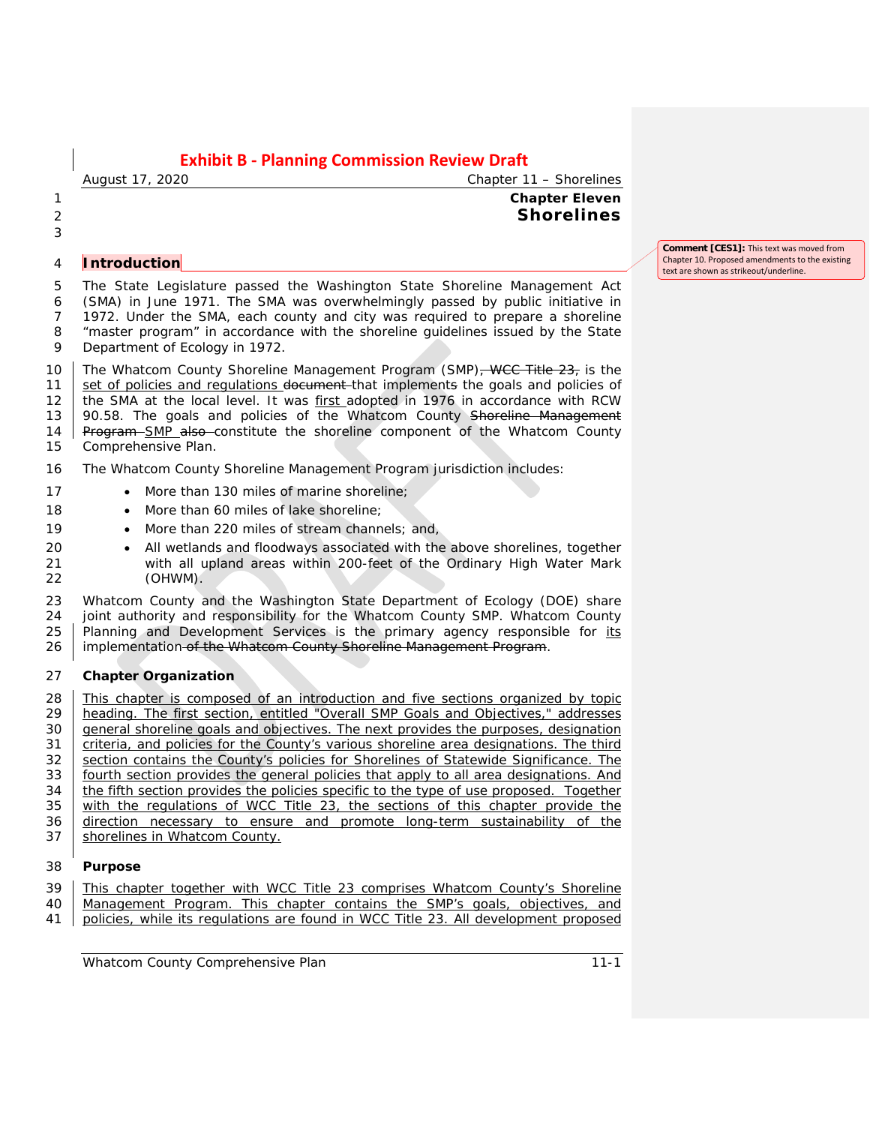## *August 17, 2020 Chapter 11 – Shorelines* 1 **Chapter Eleven** 2 **Shorelines**

3

### 4 **Introduction**

 The State Legislature passed the Washington State Shoreline Management Act (SMA) in June 1971. The SMA was overwhelmingly passed by public initiative in 1972. Under the SMA, each county and city was required to prepare a shoreline "master program" in accordance with the shoreline guidelines issued by the State Department of Ecology in 1972.

10 The Whatcom County Shoreline Management Program (SMP)<del>, WCC Title 23,</del> is the 11 set of policies and regulations document that implements the goals and policies of 12 the SMA at the local level. It was first adopted in 1976 in accordance with RCW 13 90.58. The goals and policies of the Whatcom County Shoreline Management 14 Program SMP also constitute the shoreline component of the Whatcom County 15 Comprehensive Plan.

- 16 The Whatcom County Shoreline Management Program jurisdiction includes:
- 17 More than 130 miles of marine shoreline;
- 18 More than 60 miles of lake shoreline;
- 19 More than 220 miles of stream channels; and,
- 20 All wetlands and floodways associated with the above shorelines, together<br>21 with all upland areas within 200-feet of the Ordinary High Water Mark with all upland areas within 200-feet of the Ordinary High Water Mark 22 (OHWM).

23 Whatcom County and the Washington State Department of Ecology (DOE) share 24 joint authority and responsibility for the Whatcom County SMP. Whatcom County<br>25 | Planning and Development Services is the primary agency responsible for its Planning and Development Services is the primary agency responsible for its 26 | implementation of the Whatcom County Shoreline Management Program.

### 27 **Chapter Organization**

28 This chapter is composed of an introduction and five sections organized by topic 29 heading. The first section, entitled "Overall SMP Goals and Objectives," addresses are appropriated by a control of the purposes, designation general shoreline goals and objectives. The next provides the purposes, designation 31 | criteria, and policies for the County's various shoreline area designations. The third 32 section contains the County's policies for Shorelines of Statewide Significance. The 33 fourth section provides the general policies that apply to all area designations. And 34 the fifth section provides the policies specific to the type of use proposed. Together  $35$  with the regulations of WCC Title 23, the sections of this chapter provide the 36 direction necessary to ensure and promote long-term sustainability of the 37 Shorelines in Whatcom County.

### 38 **Purpose**

- 39 This chapter together with WCC Title 23 comprises Whatcom County's Shoreline
- 40 Management Program. This chapter contains the SMP's goals, objectives, and 41 policies, while its regulations are found in WCC Title 23. All development proposed
- 

**Comment [CES1]:** This text was moved from Chapter 10. Proposed amendments to the existing text are shown as strikeout/underline.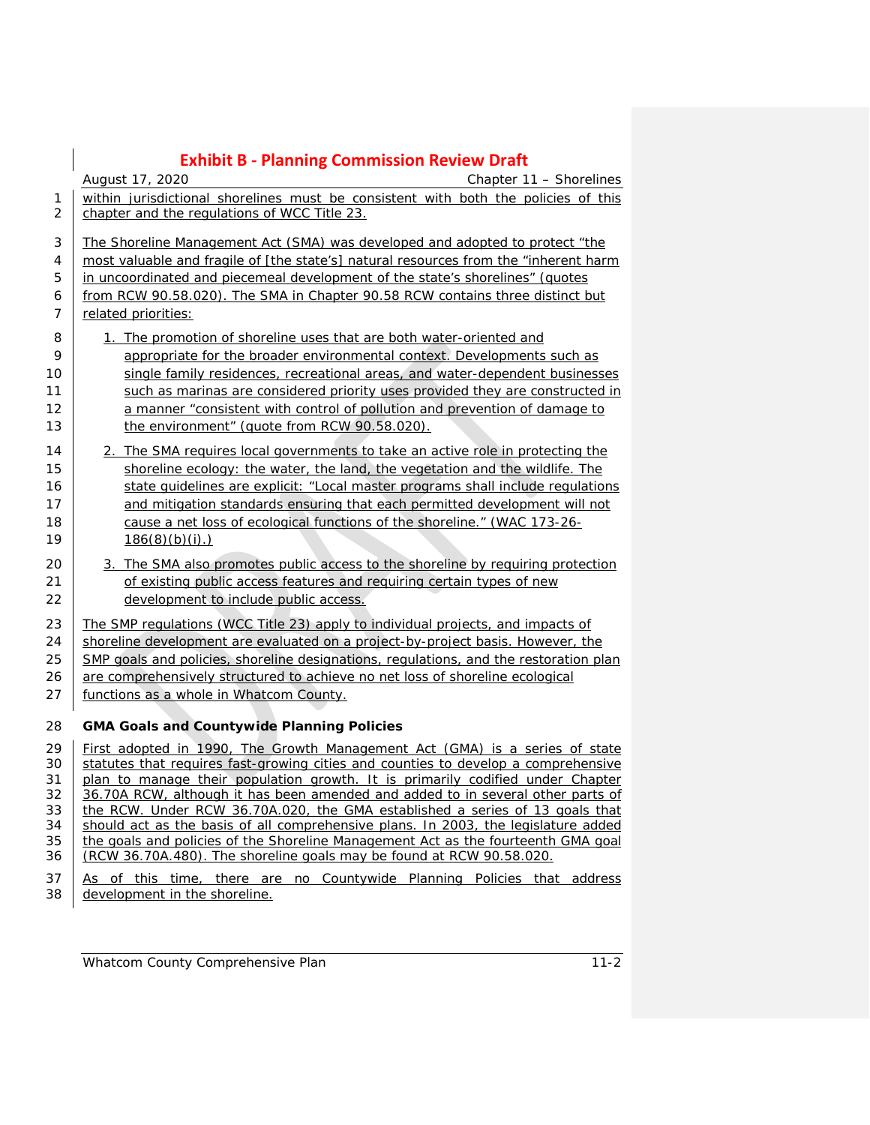|                | <b>Exhibit B - Planning Commission Review Draft</b>                                                                                                                |
|----------------|--------------------------------------------------------------------------------------------------------------------------------------------------------------------|
|                | Chapter 11 - Shorelines<br>August 17, 2020                                                                                                                         |
| 1              | within jurisdictional shorelines must be consistent with both the policies of this                                                                                 |
| $\overline{2}$ | chapter and the regulations of WCC Title 23.                                                                                                                       |
| 3              | The Shoreline Management Act (SMA) was developed and adopted to protect "the                                                                                       |
| 4              | most valuable and fragile of [the state's] natural resources from the "inherent harm                                                                               |
| 5              | in uncoordinated and piecemeal development of the state's shorelines" (quotes                                                                                      |
| 6              | from RCW 90.58.020). The SMA in Chapter 90.58 RCW contains three distinct but                                                                                      |
| 7              | related priorities:                                                                                                                                                |
| 8              | 1. The promotion of shoreline uses that are both water-oriented and                                                                                                |
| 9              | appropriate for the broader environmental context. Developments such as                                                                                            |
| 10             | single family residences, recreational areas, and water-dependent businesses                                                                                       |
| 11             | such as marinas are considered priority uses provided they are constructed in                                                                                      |
| 12             | a manner "consistent with control of pollution and prevention of damage to                                                                                         |
| 13             | the environment" (quote from RCW 90.58.020).                                                                                                                       |
| 14             | 2. The SMA requires local governments to take an active role in protecting the                                                                                     |
| 15             | shoreline ecology: the water, the land, the vegetation and the wildlife. The                                                                                       |
| 16             | state quidelines are explicit: "Local master programs shall include regulations                                                                                    |
| 17             | and mitigation standards ensuring that each permitted development will not                                                                                         |
| 18             | cause a net loss of ecological functions of the shoreline." (WAC 173-26-                                                                                           |
| 19             | $186(8)(b)(i)$ .)                                                                                                                                                  |
| 20             | 3. The SMA also promotes public access to the shoreline by requiring protection                                                                                    |
| 21             | of existing public access features and requiring certain types of new                                                                                              |
| 22             | development to include public access.                                                                                                                              |
| 23             | The SMP regulations (WCC Title 23) apply to individual projects, and impacts of                                                                                    |
| 24             | shoreline development are evaluated on a project-by-project basis. However, the                                                                                    |
| 25             | SMP goals and policies, shoreline designations, regulations, and the restoration plan                                                                              |
| 26             | are comprehensively structured to achieve no net loss of shoreline ecological                                                                                      |
| 27             | functions as a whole in Whatcom County.                                                                                                                            |
| 28             | <b>GMA Goals and Countywide Planning Policies</b>                                                                                                                  |
| 29             | First adopted in 1990, The Growth Management Act (GMA) is a series of state                                                                                        |
| 30             | statutes that requires fast-growing cities and counties to develop a comprehensive                                                                                 |
| 31             | plan to manage their population growth. It is primarily codified under Chapter                                                                                     |
| 32             | 36.70A RCW, although it has been amended and added to in several other parts of                                                                                    |
| 33<br>34       | the RCW. Under RCW 36.70A.020, the GMA established a series of 13 goals that<br>should act as the basis of all comprehensive plans. In 2003, the legislature added |
| 35             | the goals and policies of the Shoreline Management Act as the fourteenth GMA goal                                                                                  |

37 As of this time, there are no Countywide Planning Policies that address 38 development in the shoreline.

36 (RCW 36.70A.480). The shoreline goals may be found at RCW 90.58.020.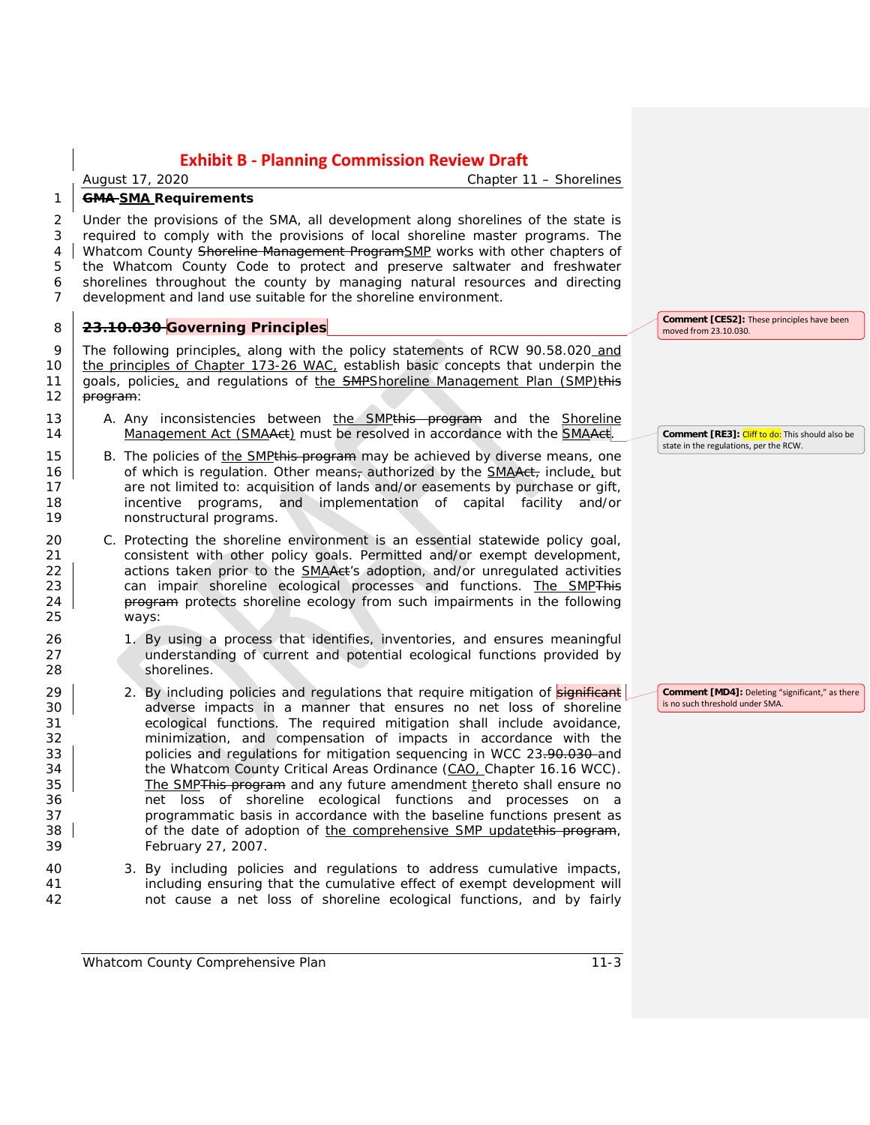*August 17, 2020 Chapter 11 – Shorelines*

#### 1 **GMA SMA Requirements**

 Under the provisions of the SMA, all development along shorelines of the state is required to comply with the provisions of local shoreline master programs. The 4 Whatcom County Shoreline Management ProgramSMP works with other chapters of the Whatcom County Code to protect and preserve saltwater and freshwater shorelines throughout the county by managing natural resources and directing development and land use suitable for the shoreline environment.

### 8 **23.10.030 Governing Principles**

9 The following principles, along with the policy statements of RCW 90.58.020 and 10 the principles of Chapter 173-26 WAC, establish basic concepts that underpin the 11 goals, policies, and regulations of the SMPShoreline Management Plan (SMP)this 12  $|$  program:

- 13 A. Any inconsistencies between the SMPthis program and the Shoreline 14 Management Act (SMAAct) must be resolved in accordance with the SMAAct.
- 15 B. The policies of the SMP this program may be achieved by diverse means, one 16 of which is regulation. Other means<sub>r</sub> authorized by the SMAAct, include, but 17 are not limited to: acquisition of lands and/or easements by purchase or gift, 18 incentive programs, and implementation of capital facility and/or 19 nonstructural programs.
- 20 C. Protecting the shoreline environment is an essential statewide policy goal, 21 consistent with other policy goals. Permitted and/or exempt development, 22 actions taken prior to the **SMAAct's** adoption, and/or unregulated activities 23 can impair shoreline ecological processes and functions. The SMPThis 24 **program** protects shoreline ecology from such impairments in the following 25 ways:
- 26 1. By using a process that identifies, inventories, and ensures meaningful<br>27 and understanding of current and potential ecological functions provided by understanding of current and potential ecological functions provided by 28 shorelines.
- 29 2. By including policies and regulations that require mitigation of **significant** 30 **adverse impacts in a manner that ensures no net loss of shoreline** 31 ecological functions. The required mitigation shall include avoidance, 32 minimization, and compensation of impacts in accordance with the 33 **policies and regulations for mitigation sequencing in WCC 23-90-030-and** 34 the Whatcom County Critical Areas Ordinance (CAO, Chapter 16.16 WCC). 35 The SMPThis program and any future amendment thereto shall ensure no 36 net loss of shoreline ecological functions and processes on a 37 programmatic basis in accordance with the baseline functions present as 38 of the date of adoption of the comprehensive SMP updatethis program, 39 February 27, 2007.
- 40 3. By including policies and regulations to address cumulative impacts, 41 including ensuring that the cumulative effect of exempt development will 42 not cause a net loss of shoreline ecological functions, and by fairly

**Comment [CES2]:** These principles have been moved from 23.10.030.

**Comment [RE3]:** Cliff to do: This should also be state in the regulations, per the RCW.

**Comment [MD4]:** Deleting "significant," as there is no such threshold under SMA.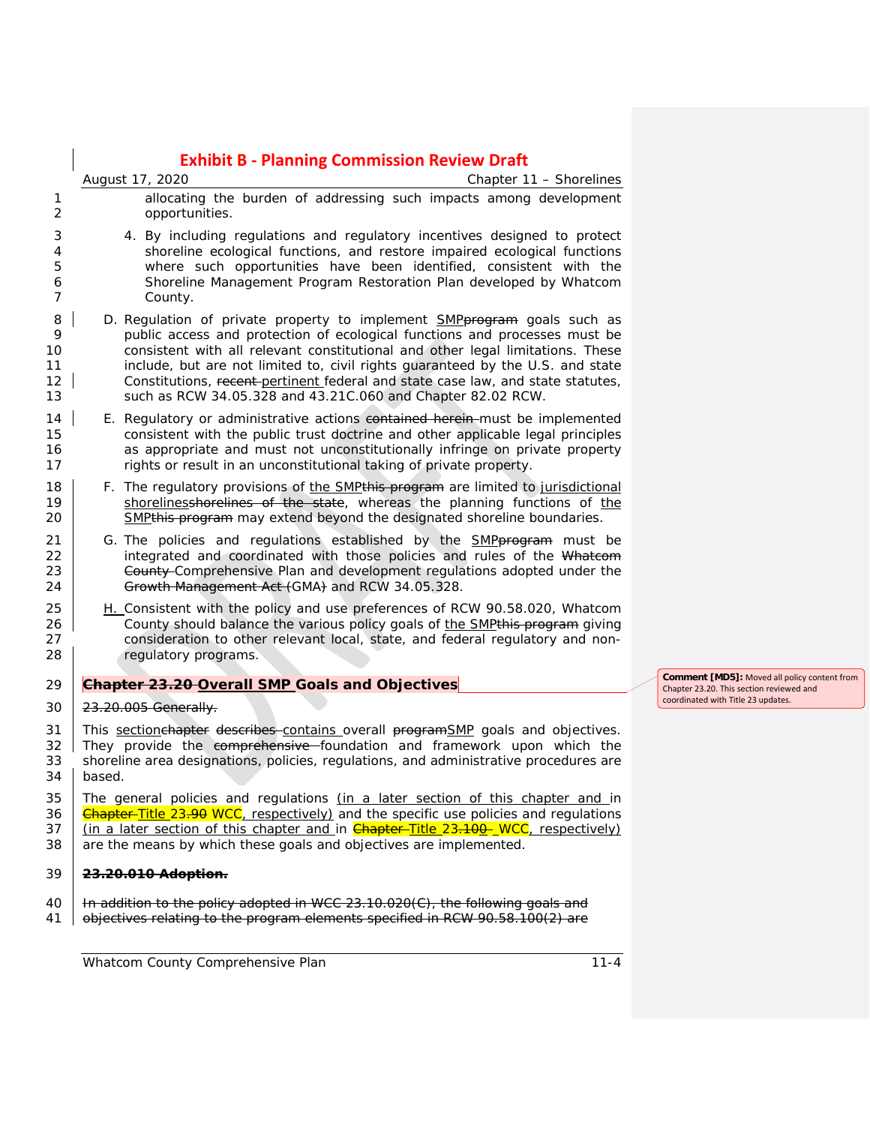|                                | <b>Exhibit B - Planning Commission Review Draft</b>                                                                                                                                                                                                                                                                                                                                                                                                                                |  |
|--------------------------------|------------------------------------------------------------------------------------------------------------------------------------------------------------------------------------------------------------------------------------------------------------------------------------------------------------------------------------------------------------------------------------------------------------------------------------------------------------------------------------|--|
|                                | Chapter 11 - Shorelines<br>August 17, 2020                                                                                                                                                                                                                                                                                                                                                                                                                                         |  |
| 1<br>2                         | allocating the burden of addressing such impacts among development<br>opportunities.                                                                                                                                                                                                                                                                                                                                                                                               |  |
| 3<br>4<br>5<br>6<br>7          | 4. By including regulations and regulatory incentives designed to protect<br>shoreline ecological functions, and restore impaired ecological functions<br>where such opportunities have been identified, consistent with the<br>Shoreline Management Program Restoration Plan developed by Whatcom<br>County.                                                                                                                                                                      |  |
| 8<br>9<br>10<br>11<br>12<br>13 | D. Regulation of private property to implement <b>SMPprogram</b> goals such as<br>public access and protection of ecological functions and processes must be<br>consistent with all relevant constitutional and other legal limitations. These<br>include, but are not limited to, civil rights guaranteed by the U.S. and state<br>Constitutions, recent-pertinent federal and state case law, and state statutes,<br>such as RCW 34.05.328 and 43.21C.060 and Chapter 82.02 RCW. |  |
| 14<br>15<br>16<br>17           | E. Regulatory or administrative actions contained herein-must be implemented<br>consistent with the public trust doctrine and other applicable legal principles<br>as appropriate and must not unconstitutionally infringe on private property<br>rights or result in an unconstitutional taking of private property.                                                                                                                                                              |  |
| 18<br>19<br>20                 | F. The regulatory provisions of the SMPthis program are limited to jurisdictional<br>shorelinesshorelines of the state, whereas the planning functions of the<br>SMP <sub>this</sub> program may extend beyond the designated shoreline boundaries.                                                                                                                                                                                                                                |  |
| 21<br>22<br>23<br>24           | G. The policies and regulations established by the <b>SMP</b> program must be<br>integrated and coordinated with those policies and rules of the Whateom<br>County-Comprehensive Plan and development regulations adopted under the<br>Growth Management Act (GMA) and RCW 34.05.328.                                                                                                                                                                                              |  |
| 25<br>26<br>27<br>28           | H. Consistent with the policy and use preferences of RCW 90.58.020, Whatcom<br>County should balance the various policy goals of the SMP <sub>this</sub> program giving<br>consideration to other relevant local, state, and federal regulatory and non-<br>regulatory programs.                                                                                                                                                                                                   |  |
| 29                             | Chapter 23.20 Overall SMP Goals and Objectives                                                                                                                                                                                                                                                                                                                                                                                                                                     |  |
| 30                             | 23.20.005 Generally.                                                                                                                                                                                                                                                                                                                                                                                                                                                               |  |
| 31<br>32<br>33<br>34           | This section chapter describes contains overall program SMP goals and objectives.<br>They provide the comprehensive foundation and framework upon which the<br>shoreline area designations, policies, regulations, and administrative procedures are<br>based.                                                                                                                                                                                                                     |  |
| 35<br>36<br>37<br>38           | The general policies and regulations (in a later section of this chapter and in<br><b>Chapter-Title 23-90 WCC</b> , respectively) and the specific use policies and regulations<br>(in a later section of this chapter and in <b>Chapter-Title 23.100 WCC</b> , respectively)<br>are the means by which these goals and objectives are implemented.                                                                                                                                |  |
| 39                             | 23.20.010 Adoption.                                                                                                                                                                                                                                                                                                                                                                                                                                                                |  |
| 40<br>41                       | In addition to the policy adopted in WCC 23.10.020(C), the following goals and<br>objectives relating to the program elements specified in RCW 90.58.100(2) are                                                                                                                                                                                                                                                                                                                    |  |

*Whatcom County Comprehensive Plan 11-4*

**Comment [MD5]:** Moved all policy content from Chapter 23.20. This section reviewed and coordinated with Title 23 updates.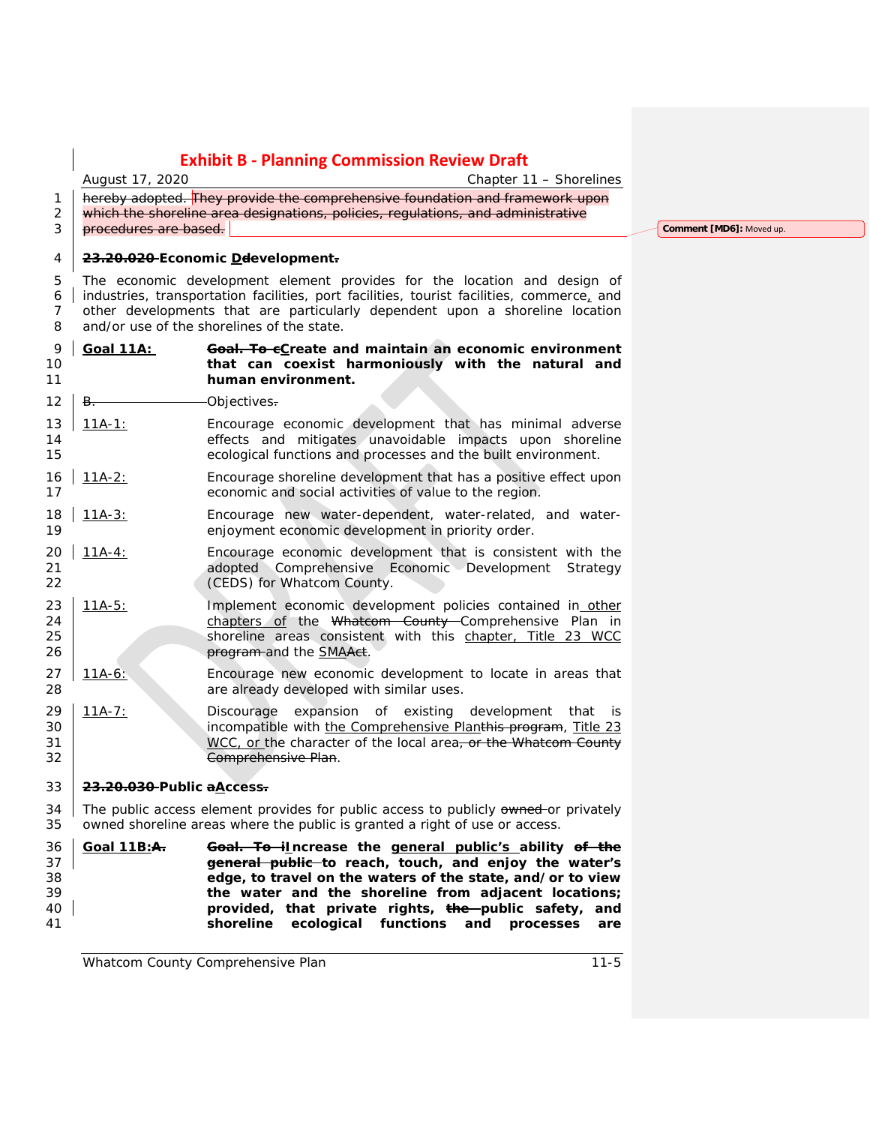*August 17, 2020 Chapter 11 – Shorelines*

1 hereby adopted. They provide the comprehensive foundation and framework upon 2 which the shoreline area designations, policies, regulations, and administrative **procedures are based.** 

#### **23.20.020 Economic Ddevelopment.**

 The economic development element provides for the location and design of industries, transportation facilities, port facilities, tourist facilities, commerce, and other developments that are particularly dependent upon a shoreline location and/or use of the shorelines of the state.

### **Goal 11A: Goal. To cCreate and maintain an economic environment that can coexist harmoniously with the natural and human environment.**

- 12 B. Cobiectives.
- 11A-1: Encourage economic development that has minimal adverse effects and mitigates unavoidable impacts upon shoreline ecological functions and processes and the built environment.
- 16 11A-2: Encourage shoreline development that has a positive effect upon economic and social activities of value to the region.
- 18 | 11A-3: Encourage new water-dependent, water-related, and water-<br>19 | enjoyment economic development in priority order. enjoyment economic development in priority order.
- $11A-4$ : Encourage economic development that is consistent with the adopted Comprehensive Economic Development Strategy **CEDS**) for Whatcom County.
- 23 11A-5: Implement economic development policies contained in other 24 | chapters of the Whatcom County Comprehensive Plan in 25 Shoreline areas consistent with this chapter, Title 23 WCC **program** and the SMAAct.
- 11A-6: Encourage new economic development to locate in areas that are already developed with similar uses.
- 29 11A-7: Discourage expansion of existing development that is 30 incompatible with the Comprehensive Planthis program, Title 23 31 WEC, or the character of the local area, or the Whatcom County Comprehensive Plan.

### **23.20.030 Public aAccess.**

34 The public access element provides for public access to publicly owned or privately owned shoreline areas where the public is granted a right of use or access.

 **Goal 11B:A. Goal. To iIncrease the general public's ability of the general public to reach, touch, and enjoy the water's edge, to travel on the waters of the state, and/or to view the water and the shoreline from adjacent locations; provided, that private rights, the public safety, and shoreline ecological functions and processes are** 

**Comment [MD6]:** Moved up.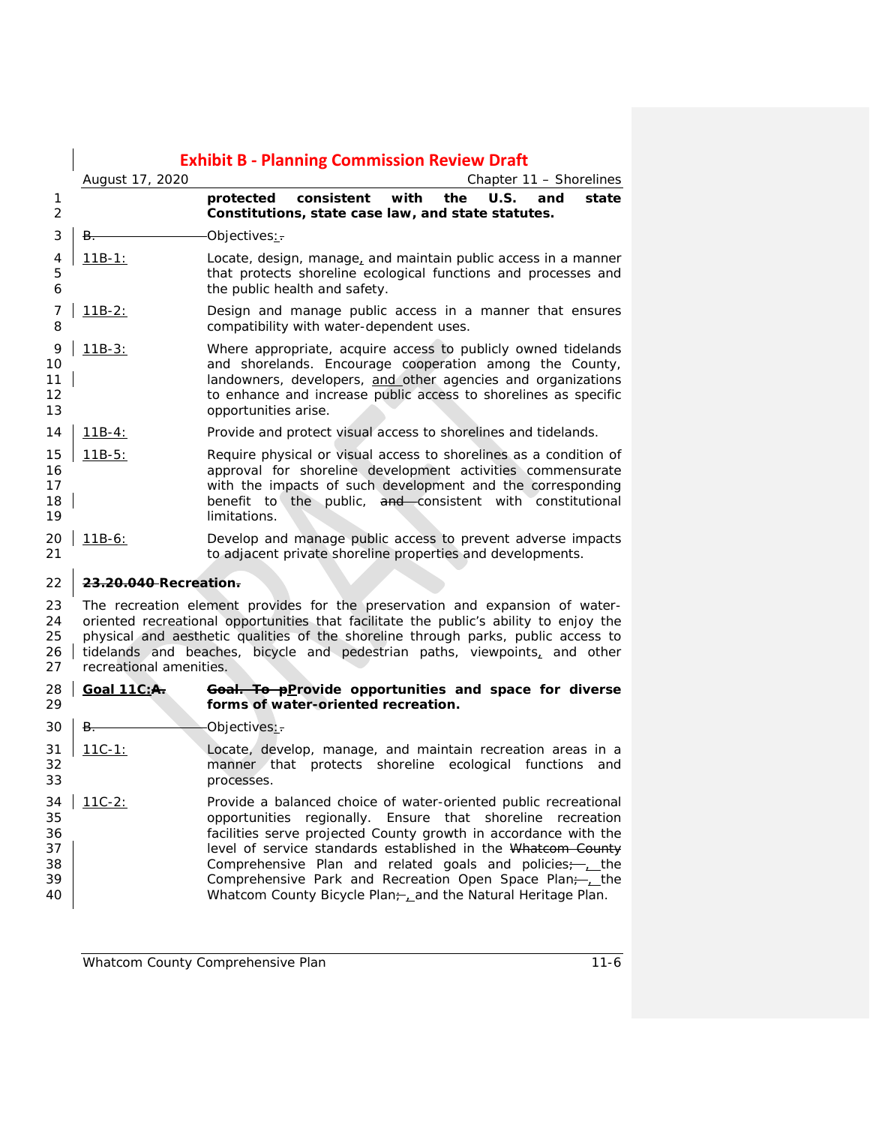|                                        | <b>Exhibit B - Planning Commission Review Draft</b>                                                                                                                                                                                                                                                                                                                                          |                                                                                                                                                                                                                                                                                                                                                                                                                                                   |  |  |
|----------------------------------------|----------------------------------------------------------------------------------------------------------------------------------------------------------------------------------------------------------------------------------------------------------------------------------------------------------------------------------------------------------------------------------------------|---------------------------------------------------------------------------------------------------------------------------------------------------------------------------------------------------------------------------------------------------------------------------------------------------------------------------------------------------------------------------------------------------------------------------------------------------|--|--|
|                                        | August 17, 2020                                                                                                                                                                                                                                                                                                                                                                              | Chapter 11 – Shorelines                                                                                                                                                                                                                                                                                                                                                                                                                           |  |  |
| 1<br>2                                 |                                                                                                                                                                                                                                                                                                                                                                                              | consistent<br>with<br>U.S.<br>protected<br>the<br>and<br>state<br>Constitutions, state case law, and state statutes.                                                                                                                                                                                                                                                                                                                              |  |  |
| 3                                      | В.                                                                                                                                                                                                                                                                                                                                                                                           | Objectives $\therefore$                                                                                                                                                                                                                                                                                                                                                                                                                           |  |  |
| 4<br>5<br>6                            | $11B-1:$                                                                                                                                                                                                                                                                                                                                                                                     | Locate, design, manage, and maintain public access in a manner<br>that protects shoreline ecological functions and processes and<br>the public health and safety.                                                                                                                                                                                                                                                                                 |  |  |
| 7<br>8                                 | $11B-2:$                                                                                                                                                                                                                                                                                                                                                                                     | Design and manage public access in a manner that ensures<br>compatibility with water-dependent uses.                                                                                                                                                                                                                                                                                                                                              |  |  |
| 9<br>10<br>11<br>12<br>13              | $11B-3:$                                                                                                                                                                                                                                                                                                                                                                                     | Where appropriate, acquire access to publicly owned tidelands<br>and shorelands. Encourage cooperation among the County,<br>landowners, developers, and other agencies and organizations<br>to enhance and increase public access to shorelines as specific<br>opportunities arise.                                                                                                                                                               |  |  |
| 14                                     | $11B-4:$                                                                                                                                                                                                                                                                                                                                                                                     | Provide and protect visual access to shorelines and tidelands.                                                                                                                                                                                                                                                                                                                                                                                    |  |  |
| 15<br>16<br>17<br>18<br>19             | $11B-5:$                                                                                                                                                                                                                                                                                                                                                                                     | Require physical or visual access to shorelines as a condition of<br>approval for shoreline development activities commensurate<br>with the impacts of such development and the corresponding<br>benefit to the public, and consistent with constitutional<br>limitations.                                                                                                                                                                        |  |  |
| 20<br>21                               | $11B-6:$                                                                                                                                                                                                                                                                                                                                                                                     | Develop and manage public access to prevent adverse impacts<br>to adjacent private shoreline properties and developments.                                                                                                                                                                                                                                                                                                                         |  |  |
| 22                                     |                                                                                                                                                                                                                                                                                                                                                                                              |                                                                                                                                                                                                                                                                                                                                                                                                                                                   |  |  |
| 23<br>24<br>25<br>26<br>27             | 23.20.040 Recreation.<br>The recreation element provides for the preservation and expansion of water-<br>oriented recreational opportunities that facilitate the public's ability to enjoy the<br>physical and aesthetic qualities of the shoreline through parks, public access to<br>tidelands and beaches, bicycle and pedestrian paths, viewpoints, and other<br>recreational amenities. |                                                                                                                                                                                                                                                                                                                                                                                                                                                   |  |  |
| 28<br>29                               | <b>Goal 11C:A.</b>                                                                                                                                                                                                                                                                                                                                                                           | Goal. To pProvide opportunities and space for diverse<br>forms of water-oriented recreation.                                                                                                                                                                                                                                                                                                                                                      |  |  |
| 30                                     | B.                                                                                                                                                                                                                                                                                                                                                                                           | Objectives:                                                                                                                                                                                                                                                                                                                                                                                                                                       |  |  |
| 31<br>32<br>33                         | <u> 11C-1:</u>                                                                                                                                                                                                                                                                                                                                                                               | Locate, develop, manage, and maintain recreation areas in a<br>manner that protects shoreline ecological functions<br>and<br>processes                                                                                                                                                                                                                                                                                                            |  |  |
| 34<br>35<br>36<br>37<br>38<br>39<br>40 | $11C-2:$                                                                                                                                                                                                                                                                                                                                                                                     | Provide a balanced choice of water-oriented public recreational<br>opportunities regionally. Ensure that shoreline recreation<br>facilities serve projected County growth in accordance with the<br>level of service standards established in the Whatcom County<br>Comprehensive Plan and related goals and policies;--<br>Comprehensive Park and Recreation Open Space Plan-Lthe<br>Whatcom County Bicycle Plan-Land the Natural Heritage Plan. |  |  |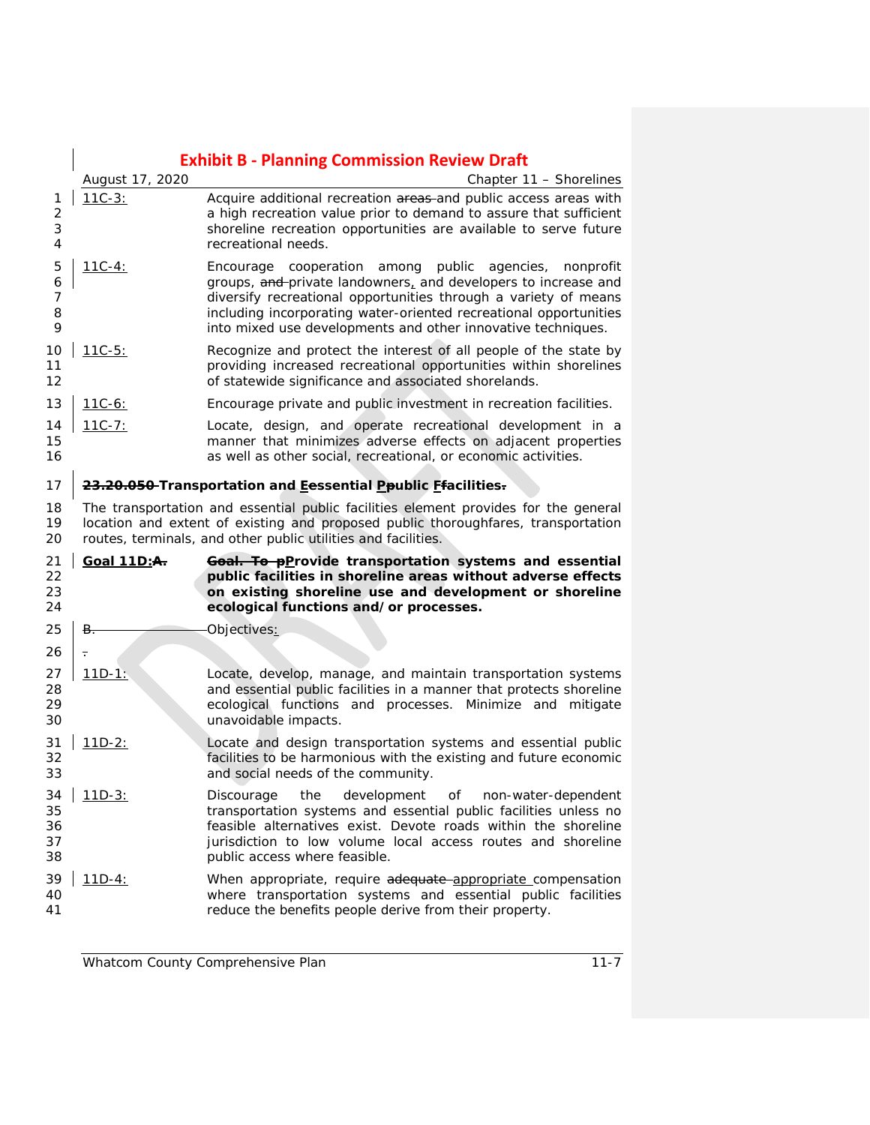|                            |                 | <b>Exhibit B - Planning Commission Review Draft</b>                                                                                                                                                                                                                                                                                    |
|----------------------------|-----------------|----------------------------------------------------------------------------------------------------------------------------------------------------------------------------------------------------------------------------------------------------------------------------------------------------------------------------------------|
|                            | August 17, 2020 | Chapter 11 - Shorelines                                                                                                                                                                                                                                                                                                                |
| 1<br>2<br>3<br>4           | $11C-3:$        | Acquire additional recreation areas-and public access areas with<br>a high recreation value prior to demand to assure that sufficient<br>shoreline recreation opportunities are available to serve future<br>recreational needs.                                                                                                       |
| 5<br>6<br>7<br>8<br>9      | $11C-4:$        | Encourage cooperation among public<br>agencies,<br>nonprofit<br>groups, and private landowners, and developers to increase and<br>diversify recreational opportunities through a variety of means<br>including incorporating water-oriented recreational opportunities<br>into mixed use developments and other innovative techniques. |
| 10<br>11<br>12             | $11C-5:$        | Recognize and protect the interest of all people of the state by<br>providing increased recreational opportunities within shorelines<br>of statewide significance and associated shorelands.                                                                                                                                           |
| 13                         | <u> 11C-6:</u>  | Encourage private and public investment in recreation facilities.                                                                                                                                                                                                                                                                      |
| 14<br>15<br>16             | $11C-7:$        | Locate, design, and operate recreational development in a<br>manner that minimizes adverse effects on adjacent properties<br>as well as other social, recreational, or economic activities.                                                                                                                                            |
| 17                         |                 | 23.20.050 Transportation and Eessential Ppublic Efacilities.                                                                                                                                                                                                                                                                           |
| 18<br>19<br>20             |                 | The transportation and essential public facilities element provides for the general<br>location and extent of existing and proposed public thoroughfares, transportation<br>routes, terminals, and other public utilities and facilities.                                                                                              |
| 21<br>22<br>23<br>24       | Goal 11D:A.     | Goal. To pProvide transportation systems and essential<br>public facilities in shoreline areas without adverse effects<br>on existing shoreline use and development or shoreline<br>ecological functions and/or processes.                                                                                                             |
| 25                         | B.              | Objectives:                                                                                                                                                                                                                                                                                                                            |
| 26                         | ÷               |                                                                                                                                                                                                                                                                                                                                        |
| 27<br>28<br>29<br>30       | $11D-1$ :       | Locate, develop, manage, and maintain transportation systems<br>and essential public facilities in a manner that protects shoreline<br>ecological functions and processes. Minimize and mitigate<br>unavoidable impacts.                                                                                                               |
| 31<br>32<br>33             | $11D-2:$        | Locate and design transportation systems and essential public<br>facilities to be harmonious with the existing and future economic<br>and social needs of the community.                                                                                                                                                               |
| 34<br>35<br>36<br>37<br>38 | $11D-3:$        | development<br>Discourage<br>the<br>of<br>non-water-dependent<br>transportation systems and essential public facilities unless no<br>feasible alternatives exist. Devote roads within the shoreline<br>jurisdiction to low volume local access routes and shoreline<br>public access where feasible.                                   |
| 39<br>40<br>41             | <u>11D-4:</u>   | When appropriate, require adequate appropriate compensation<br>where transportation systems and essential public facilities<br>reduce the benefits people derive from their property.                                                                                                                                                  |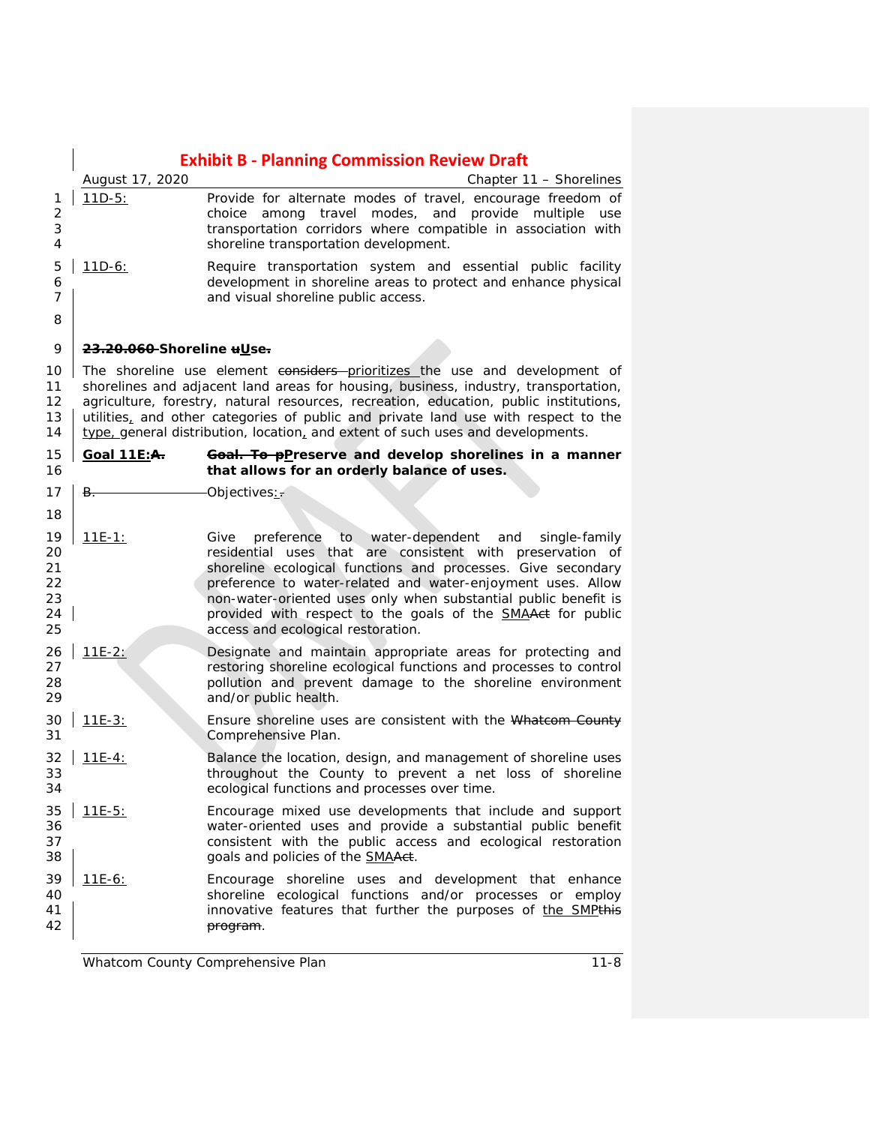|                                        |                           | <b>Exhibit B - Planning Commission Review Draft</b>                                                                                                                                                                                                                                                                                                                                                                                            |
|----------------------------------------|---------------------------|------------------------------------------------------------------------------------------------------------------------------------------------------------------------------------------------------------------------------------------------------------------------------------------------------------------------------------------------------------------------------------------------------------------------------------------------|
|                                        | August 17, 2020           | Chapter 11 - Shorelines                                                                                                                                                                                                                                                                                                                                                                                                                        |
| 1<br>$\overline{2}$<br>3<br>4          | $11D-5:$                  | Provide for alternate modes of travel, encourage freedom of<br>among travel modes, and provide multiple<br>choice<br>use<br>transportation corridors where compatible in association with<br>shoreline transportation development.                                                                                                                                                                                                             |
| 5<br>6<br>7<br>8                       | $11D-6:$                  | Require transportation system and essential public facility<br>development in shoreline areas to protect and enhance physical<br>and visual shoreline public access.                                                                                                                                                                                                                                                                           |
| 9                                      | 23.20.060-Shoreline uUse. |                                                                                                                                                                                                                                                                                                                                                                                                                                                |
| 10<br>11<br>12<br>13<br>14             |                           | The shoreline use element considers prioritizes the use and development of<br>shorelines and adjacent land areas for housing, business, industry, transportation,<br>agriculture, forestry, natural resources, recreation, education, public institutions,<br>utilities, and other categories of public and private land use with respect to the<br>type. general distribution, location, and extent of such uses and developments.            |
| 15<br>16                               | Goal 11E:A.               | Goal. To pPreserve and develop shorelines in a manner<br>that allows for an orderly balance of uses.                                                                                                                                                                                                                                                                                                                                           |
| 17                                     | В.                        | Objectives:                                                                                                                                                                                                                                                                                                                                                                                                                                    |
| 18                                     |                           |                                                                                                                                                                                                                                                                                                                                                                                                                                                |
| 19<br>20<br>21<br>22<br>23<br>24<br>25 | $11E-1:$                  | to<br>water-dependent<br>Give<br>preference<br>and<br>single-family<br>residential uses that are consistent with preservation of<br>shoreline ecological functions and processes. Give secondary<br>preference to water-related and water-enjoyment uses. Allow<br>non-water-oriented uses only when substantial public benefit is<br>provided with respect to the goals of the <b>SMAAct</b> for public<br>access and ecological restoration. |
| 26<br>27<br>28<br>29                   | $11E-2:$                  | Designate and maintain appropriate areas for protecting and<br>restoring shoreline ecological functions and processes to control<br>pollution and prevent damage to the shoreline environment<br>and/or public health.                                                                                                                                                                                                                         |
| 30<br>31                               | $11E-3:$                  | Ensure shoreline uses are consistent with the Whatcom County<br>Comprehensive Plan.                                                                                                                                                                                                                                                                                                                                                            |
| 32<br>33<br>34                         | $11E-4:$                  | Balance the location, design, and management of shoreline uses<br>throughout the County to prevent a net loss of shoreline<br>ecological functions and processes over time.                                                                                                                                                                                                                                                                    |
| 35<br>36<br>37<br>38                   | $11E-5:$                  | Encourage mixed use developments that include and support<br>water-oriented uses and provide a substantial public benefit<br>consistent with the public access and ecological restoration<br>goals and policies of the <b>SMAAct</b> .                                                                                                                                                                                                         |
| 39<br>40<br>41<br>42                   | $11E-6:$                  | Encourage shoreline uses and development that enhance<br>shoreline ecological functions and/or processes or employ<br>innovative features that further the purposes of the SMPthis<br><del>program</del> .                                                                                                                                                                                                                                     |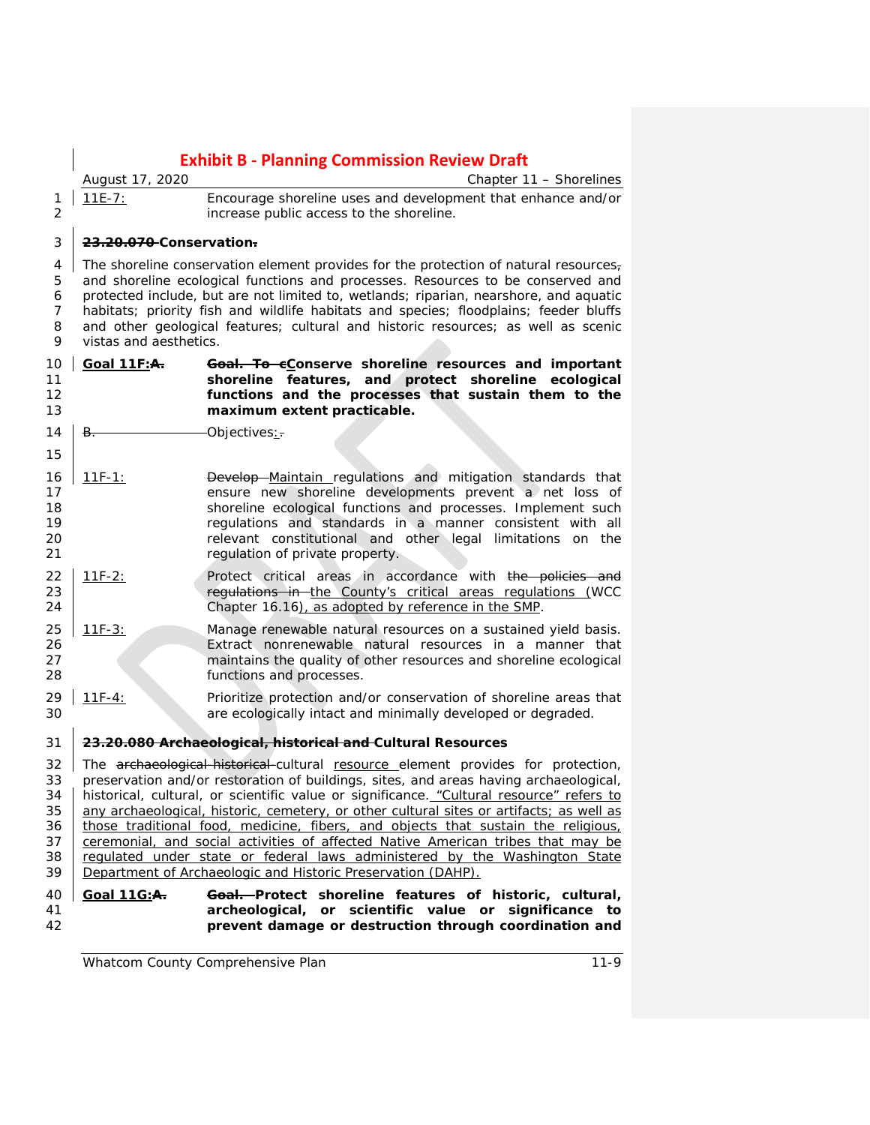*August 17, 2020 Chapter 11 – Shorelines* 11E-7: Encourage shoreline uses and development that enhance and/or increase public access to the shoreline. **23.20.070 Conservation.** 4 The shoreline conservation element provides for the protection of natural resources<sub>7</sub> and shoreline ecological functions and processes. Resources to be conserved and protected include, but are not limited to, wetlands; riparian, nearshore, and aquatic habitats; priority fish and wildlife habitats and species; floodplains; feeder bluffs and other geological features; cultural and historic resources; as well as scenic vistas and aesthetics. **Goal 11F:A. Goal. To cConserve shoreline resources and important shoreline features, and protect shoreline ecological functions and the processes that sustain them to the maximum extent practicable.**  $\overline{B}$ .  $\overline{O}$ bjectives: 16 11F-1: Develop Maintain regulations and mitigation standards that 17 ensure new shoreline developments prevent a net loss of<br>18 ensure the shoreline ecological functions and processes. Implement such shoreline ecological functions and processes. Implement such 19 19 regulations and standards in a manner consistent with all<br>19 relevant constitutional and other legal limitations on the **20** relevant constitutional and other legal limitations on the 21 requilation of private property. regulation of private property. 22 11F-2: Protect critical areas in accordance with the policies and **regulations in the County's critical areas regulations (WCC**  Chapter 16.16), as adopted by reference in the SMP. 11F-3: Manage renewable natural resources on a sustained yield basis. Extract nonrenewable natural resources in a manner that maintains the quality of other resources and shoreline ecological functions and processes. 11F-4: Prioritize protection and/or conservation of shoreline areas that are ecologically intact and minimally developed or degraded. **23.20.080 Archaeological, historical and Cultural Resources** 32 The archaeological-historical-cultural resource element provides for protection, 33 preservation and/or restoration of buildings, sites, and areas having archaeological, 34 | historical, cultural, or scientific value or significance, "Cultural resource" refers to historical, cultural, or scientific value or significance. "Cultural resource" refers to 35 any archaeological, historic, cemetery, or other cultural sites or artifacts; as well as 36 those traditional food, medicine, fibers, and objects that sustain the religious. those traditional food, medicine, fibers, and objects that sustain the religious, 37 ceremonial, and social activities of affected Native American tribes that may be 38 regulated under state or federal laws administered by the Washington State Department of Archaeologic and Historic Preservation (DAHP). **Goal 11G:A. Goal. Protect shoreline features of historic, cultural, archeological, or scientific value or significance to prevent damage or destruction through coordination and**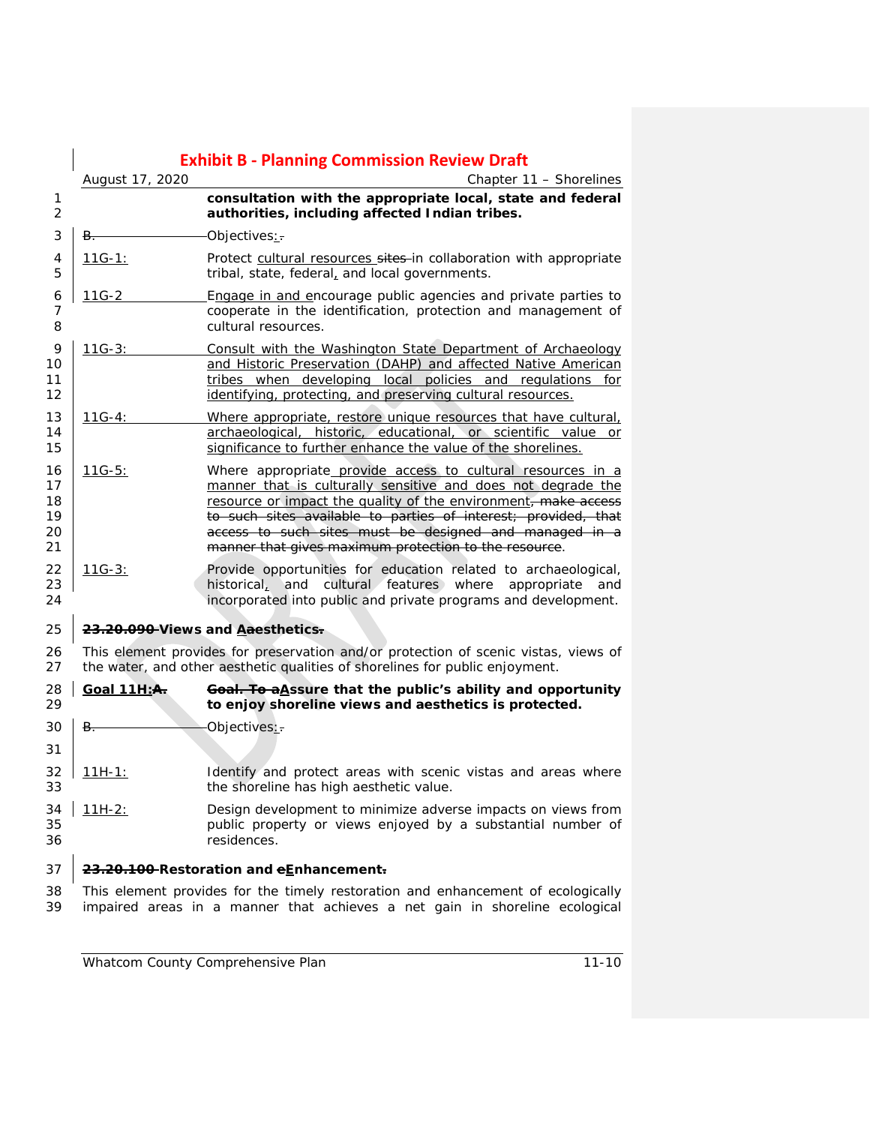|                                  |                    | <b>Exhibit B - Planning Commission Review Draft</b>                                                                                                                                                                                                                                                                                                                                |
|----------------------------------|--------------------|------------------------------------------------------------------------------------------------------------------------------------------------------------------------------------------------------------------------------------------------------------------------------------------------------------------------------------------------------------------------------------|
|                                  | August 17, 2020    | Chapter 11 - Shorelines                                                                                                                                                                                                                                                                                                                                                            |
| 1<br>2                           |                    | consultation with the appropriate local, state and federal<br>authorities, including affected Indian tribes.                                                                                                                                                                                                                                                                       |
| 3                                | B.                 | Objectives:                                                                                                                                                                                                                                                                                                                                                                        |
| 4<br>5                           | 11G-1:             | Protect cultural resources sites-in collaboration with appropriate<br>tribal, state, federal, and local governments.                                                                                                                                                                                                                                                               |
| 6<br>7<br>8                      | 11G-2              | Engage in and encourage public agencies and private parties to<br>cooperate in the identification, protection and management of<br>cultural resources.                                                                                                                                                                                                                             |
| 9<br>10<br>11<br>12              | $11G-3:$           | Consult with the Washington State Department of Archaeology<br>and Historic Preservation (DAHP) and affected Native American<br>tribes when developing local policies and regulations for<br>identifying, protecting, and preserving cultural resources.                                                                                                                           |
| 13<br>14<br>15                   | $11G-4:$           | Where appropriate, restore unique resources that have cultural,<br>archaeological, historic, educational, or scientific value or<br>significance to further enhance the value of the shorelines.                                                                                                                                                                                   |
| 16<br>17<br>18<br>19<br>20<br>21 | $11G-5:$           | Where appropriate provide access to cultural resources in a<br>manner that is culturally sensitive and does not degrade the<br>resource or impact the quality of the environment, make access<br>to such sites available to parties of interest; provided, that<br>access to such sites must be designed and managed in a<br>manner that gives maximum protection to the resource. |
| 22<br>23<br>24                   | $11G-3:$           | Provide opportunities for education related to archaeological,<br>historical, and cultural features where appropriate<br>and<br>incorporated into public and private programs and development.                                                                                                                                                                                     |
| 25                               |                    | 23.20.090 Views and Aaesthetics.                                                                                                                                                                                                                                                                                                                                                   |
| 26<br>27                         |                    | This element provides for preservation and/or protection of scenic vistas, views of<br>the water, and other aesthetic qualities of shorelines for public enjoyment.                                                                                                                                                                                                                |
| 28<br>29                         | <b>Goal 11H:A.</b> | Goal. To aAssure that the public's ability and opportunity<br>to enjoy shoreline views and aesthetics is protected.                                                                                                                                                                                                                                                                |
| 30                               | B.                 | Objectives:                                                                                                                                                                                                                                                                                                                                                                        |
| 31                               |                    |                                                                                                                                                                                                                                                                                                                                                                                    |
| 32<br>33                         | $11H-1:$           | Identify and protect areas with scenic vistas and areas where<br>the shoreline has high aesthetic value.                                                                                                                                                                                                                                                                           |
| 34<br>35<br>36                   | $11H-2:$           | Design development to minimize adverse impacts on views from<br>public property or views enjoyed by a substantial number of<br>residences.                                                                                                                                                                                                                                         |
| 37                               |                    | 23.20.100 Restoration and eEnhancement.                                                                                                                                                                                                                                                                                                                                            |
| 38<br>39                         |                    | This element provides for the timely restoration and enhancement of ecologically<br>impaired areas in a manner that achieves a net gain in shoreline ecological                                                                                                                                                                                                                    |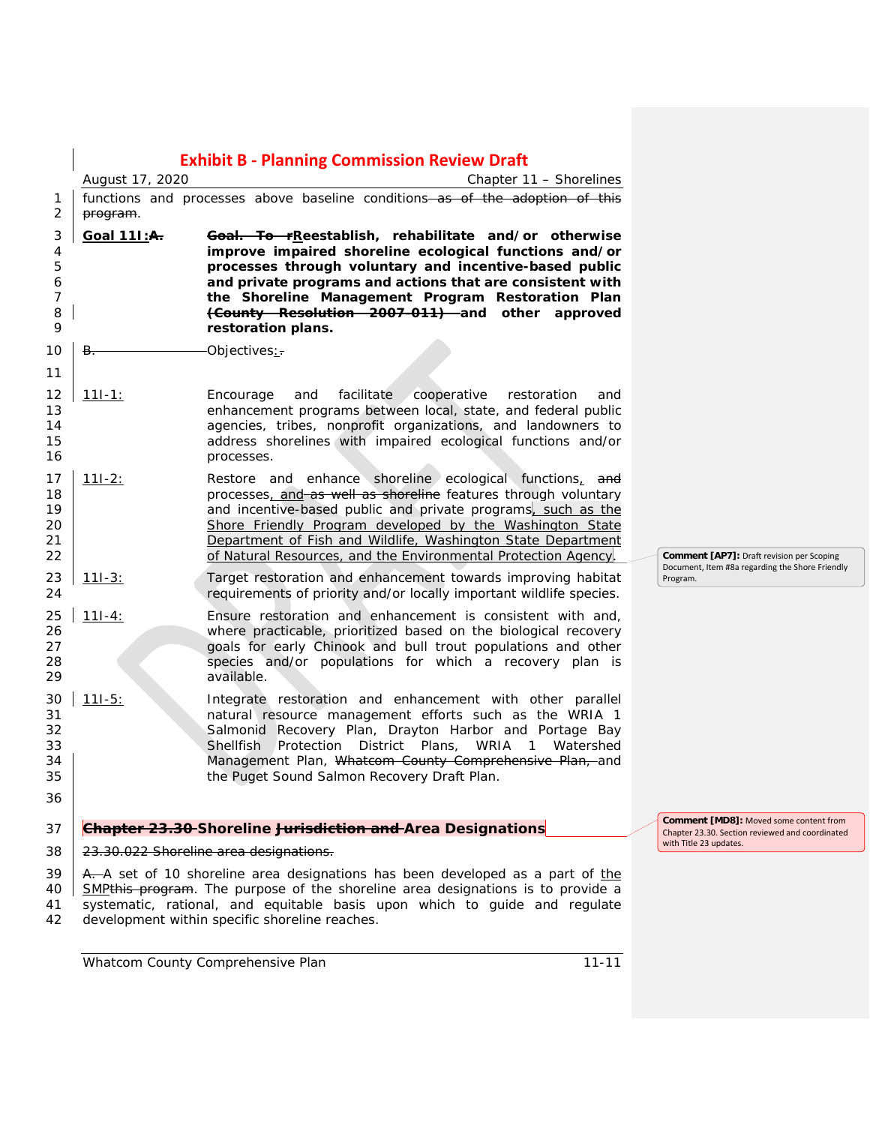|                                        | August 17, 2020    | <b>Exhibit B - Planning Commission Review Draft</b><br>Chapter 11 - Shorelines                                                                                                                                                                                                                                                                                                         |                                                                                                  |
|----------------------------------------|--------------------|----------------------------------------------------------------------------------------------------------------------------------------------------------------------------------------------------------------------------------------------------------------------------------------------------------------------------------------------------------------------------------------|--------------------------------------------------------------------------------------------------|
| 1<br>2                                 | program.           | functions and processes above baseline conditions-as of the adoption of this                                                                                                                                                                                                                                                                                                           |                                                                                                  |
| 3<br>4<br>5<br>6<br>7<br>8<br>9        | <u>Goal 111:A.</u> | Goal. To rReestablish, rehabilitate and/or otherwise<br>improve impaired shoreline ecological functions and/or<br>processes through voluntary and incentive-based public<br>and private programs and actions that are consistent with<br>the Shoreline Management Program Restoration Plan<br>(County Resolution 2007-011) and other approved<br>restoration plans.                    |                                                                                                  |
| 10                                     | <del>B.</del>      | Objectives:                                                                                                                                                                                                                                                                                                                                                                            |                                                                                                  |
| 11<br>12<br>13<br>14<br>15<br>16       | <u> 11I-1:</u>     | facilitate<br>cooperative<br>Encourage<br>and<br>restoration<br>and<br>enhancement programs between local, state, and federal public<br>agencies, tribes, nonprofit organizations, and landowners to<br>address shorelines with impaired ecological functions and/or<br>processes.                                                                                                     |                                                                                                  |
| 17<br>18<br>19<br>20<br>21<br>22       | $111-2:$           | Restore and enhance shoreline ecological functions, and<br>processes, and as well as shoreline features through voluntary<br>and incentive-based public and private programs, such as the<br>Shore Friendly Program developed by the Washington State<br>Department of Fish and Wildlife, Washington State Department<br>of Natural Resources, and the Environmental Protection Agency | <b>Comment [AP7]:</b> Draft revision per Scoping                                                 |
| 23<br>24                               | $111 - 3:$         | Target restoration and enhancement towards improving habitat<br>requirements of priority and/or locally important wildlife species.                                                                                                                                                                                                                                                    | Document, Item #8a regarding the Shore Friendly<br>Program.                                      |
| 25<br>26<br>27<br>28<br>29             | $111-4:$           | Ensure restoration and enhancement is consistent with and,<br>where practicable, prioritized based on the biological recovery<br>goals for early Chinook and bull trout populations and other<br>species and/or populations for which a recovery plan is<br>available.                                                                                                                 |                                                                                                  |
| 30<br>31<br>32<br>33<br>34<br>35<br>36 | $111 - 5:$         | Integrate restoration and enhancement with other parallel<br>natural resource management efforts such as the WRIA 1<br>Salmonid Recovery Plan, Drayton Harbor and Portage Bay<br>Shellfish Protection District Plans, WRIA 1 Watershed<br>Management Plan, Whatcom County Comprehensive Plan, and<br>the Puget Sound Salmon Recovery Draft Plan.                                       |                                                                                                  |
| 37                                     |                    | Chapter 23.30 Shoreline Jurisdiction and Area Designations                                                                                                                                                                                                                                                                                                                             | <b>Comment [MD8]: Moved some content from</b><br>Chapter 23.30. Section reviewed and coordinated |
| 38                                     |                    | 23.30.022 Shoreline area designations.                                                                                                                                                                                                                                                                                                                                                 | with Title 23 updates.                                                                           |
| 39<br>40<br>41<br>42                   |                    | A. A set of 10 shoreline area designations has been developed as a part of the<br>SMP <sub>this</sub> program. The purpose of the shoreline area designations is to provide a<br>systematic, rational, and equitable basis upon which to guide and regulate<br>development within specific shoreline reaches.                                                                          |                                                                                                  |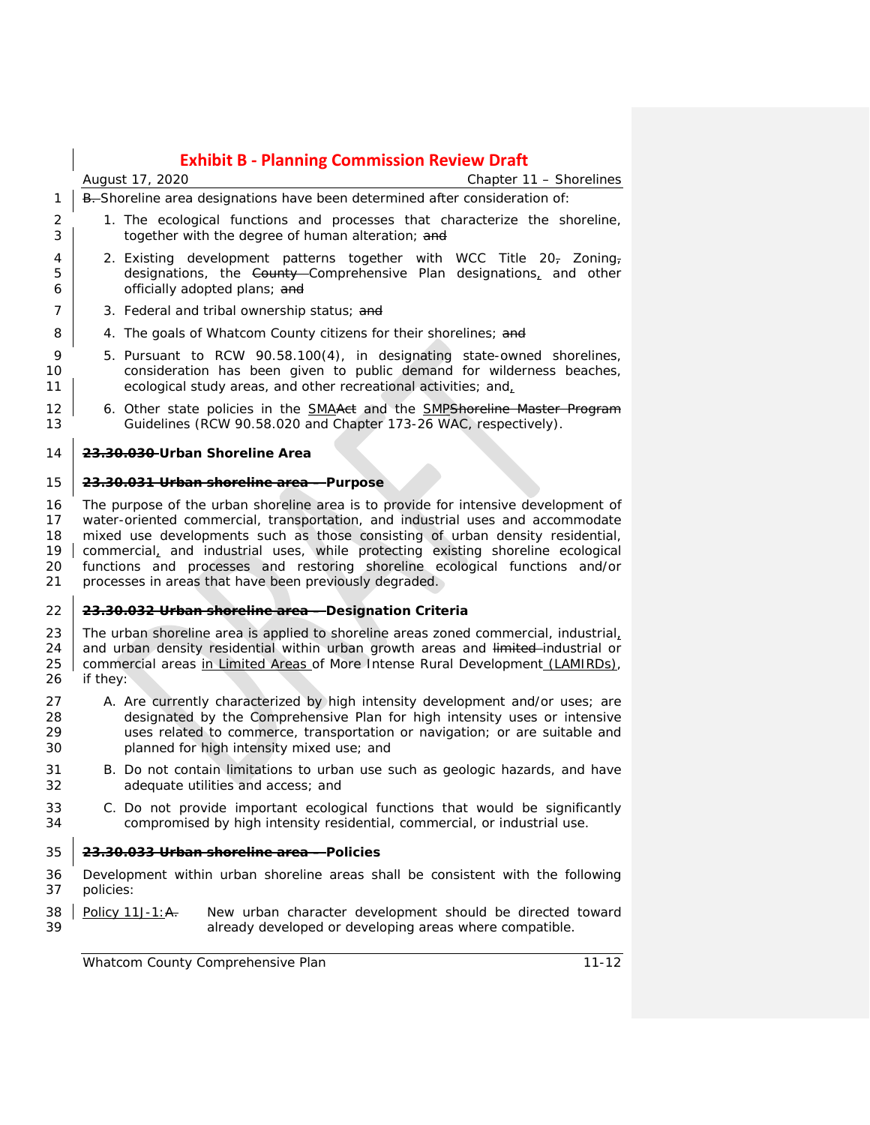|                                  | <b>Exhibit B - Planning Commission Review Draft</b>                                                                                                                                                                                                                                                                                                                                                                                                                               |
|----------------------------------|-----------------------------------------------------------------------------------------------------------------------------------------------------------------------------------------------------------------------------------------------------------------------------------------------------------------------------------------------------------------------------------------------------------------------------------------------------------------------------------|
|                                  | Chapter 11 - Shorelines<br>August 17, 2020                                                                                                                                                                                                                                                                                                                                                                                                                                        |
| 1                                | B. Shoreline area designations have been determined after consideration of:                                                                                                                                                                                                                                                                                                                                                                                                       |
| 2<br>3                           | 1. The ecological functions and processes that characterize the shoreline,<br>together with the degree of human alteration; and                                                                                                                                                                                                                                                                                                                                                   |
| 4<br>5<br>6                      | 2. Existing development patterns together with WCC Title 20- Zoning-<br>designations, the County Comprehensive Plan designations, and other<br>officially adopted plans; and                                                                                                                                                                                                                                                                                                      |
| 7                                | 3. Federal and tribal ownership status; and                                                                                                                                                                                                                                                                                                                                                                                                                                       |
| 8                                | 4. The goals of Whatcom County citizens for their shorelines; and                                                                                                                                                                                                                                                                                                                                                                                                                 |
| 9<br>10<br>11                    | 5. Pursuant to RCW 90.58.100(4), in designating state-owned shorelines,<br>consideration has been given to public demand for wilderness beaches,<br>ecological study areas, and other recreational activities; and,                                                                                                                                                                                                                                                               |
| 12<br>13                         | 6. Other state policies in the <b>SMAAet</b> and the <b>SMPShoreline Master Program</b><br>Guidelines (RCW 90.58.020 and Chapter 173-26 WAC, respectively).                                                                                                                                                                                                                                                                                                                       |
| 14                               | 23.30.030 Urban Shoreline Area                                                                                                                                                                                                                                                                                                                                                                                                                                                    |
| 15                               | 23.30.031 Urban shoreline area - Purpose                                                                                                                                                                                                                                                                                                                                                                                                                                          |
| 16<br>17<br>18<br>19<br>20<br>21 | The purpose of the urban shoreline area is to provide for intensive development of<br>water-oriented commercial, transportation, and industrial uses and accommodate<br>mixed use developments such as those consisting of urban density residential,<br>commercial, and industrial uses, while protecting existing shoreline ecological<br>functions and processes and restoring shoreline ecological functions and/or<br>processes in areas that have been previously degraded. |
| 22                               | 23.30.032 Urban shoreline area - Designation Criteria                                                                                                                                                                                                                                                                                                                                                                                                                             |
| 23<br>24<br>25<br>26             | The urban shoreline area is applied to shoreline areas zoned commercial, industrial,<br>and urban density residential within urban growth areas and limited-industrial or<br>commercial areas in Limited Areas of More Intense Rural Development (LAMIRDs),<br>if they:                                                                                                                                                                                                           |
| 27<br>28<br>29<br>30             | A. Are currently characterized by high intensity development and/or uses; are<br>designated by the Comprehensive Plan for high intensity uses or intensive<br>uses related to commerce, transportation or navigation; or are suitable and<br>planned for high intensity mixed use; and                                                                                                                                                                                            |
| 31<br>32                         | B. Do not contain limitations to urban use such as geologic hazards, and have<br>adequate utilities and access; and                                                                                                                                                                                                                                                                                                                                                               |
| 33<br>34                         | C. Do not provide important ecological functions that would be significantly<br>compromised by high intensity residential, commercial, or industrial use.                                                                                                                                                                                                                                                                                                                         |
| 35                               | 23.30.033 Urban shoreline area - Policies                                                                                                                                                                                                                                                                                                                                                                                                                                         |
| 36<br>37                         | Development within urban shoreline areas shall be consistent with the following<br>policies:                                                                                                                                                                                                                                                                                                                                                                                      |
| 38<br>39                         | Policy 11J-1: A.<br>New urban character development should be directed toward<br>already developed or developing areas where compatible.                                                                                                                                                                                                                                                                                                                                          |
|                                  | Whatcom County Comprehensive Plan<br>$11 - 12$                                                                                                                                                                                                                                                                                                                                                                                                                                    |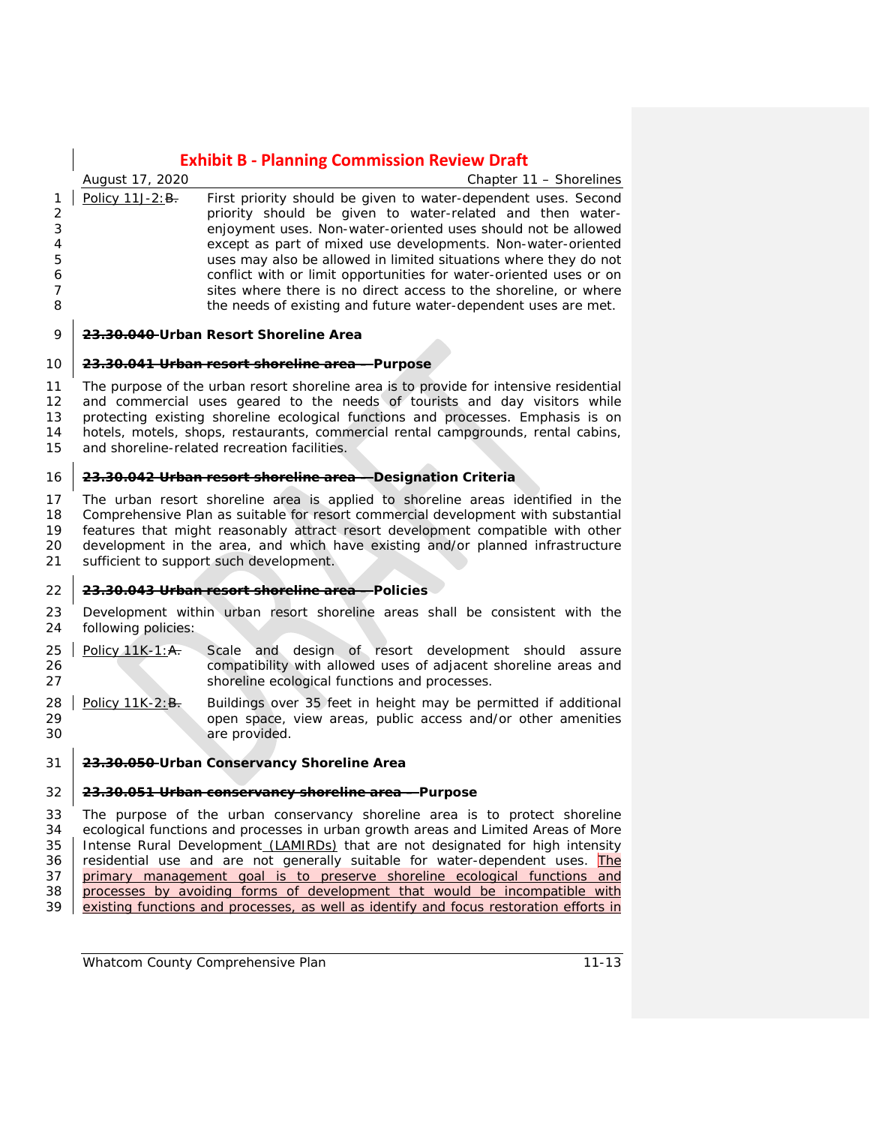*August 17, 2020 Chapter 11 – Shorelines* 1 Policy 11J-2: $B<sub>r</sub>$  First priority should be given to water-dependent uses. Second 2 priority should be given to water-related and then water-3 enjoyment uses. Non-water-oriented uses should not be allowed 4 except as part of mixed use developments. Non-water-oriented 5 uses may also be allowed in limited situations where they do not 6 6 conflict with or limit opportunities for water-oriented uses or on<br>
5 a sites where there is no direct access to the shoreline, or where sites where there is no direct access to the shoreline, or where 8 **the needs of existing and future water-dependent uses are met.** 

#### 9 **23.30.040 Urban Resort Shoreline Area**

#### 10 **23.30.041 Urban resort shoreline area – Purpose**

 The purpose of the urban resort shoreline area is to provide for intensive residential and commercial uses geared to the needs of tourists and day visitors while protecting existing shoreline ecological functions and processes. Emphasis is on hotels, motels, shops, restaurants, commercial rental campgrounds, rental cabins, and shoreline-related recreation facilities.

#### 16 **23.30.042 Urban resort shoreline area – Designation Criteria**

17 The urban resort shoreline area is applied to shoreline areas identified in the 18 Comprehensive Plan as suitable for resort commercial development with substantial<br>19 Features that might reasonably attract resort development compatible with other features that might reasonably attract resort development compatible with other 20 development in the area, and which have existing and/or planned infrastructure<br>21 sufficient to support such development. sufficient to support such development.

#### 22 **23.30.043 Urban resort shoreline area – Policies**

- 23 Development within urban resort shoreline areas shall be consistent with the 24 following policies:
- 25 Policy 11K-1:A. Scale and design of resort development should assure<br>26 Policy 11K-1:A. compatibility with allowed uses of adiacent shoreline areas and compatibility with allowed uses of adjacent shoreline areas and 27 shoreline ecological functions and processes.
- 28 | Policy 11K-2: B. Buildings over 35 feet in height may be permitted if additional 29 open space, view areas, public access and/or other amenities 30 are provided.

#### 31 **23.30.050 Urban Conservancy Shoreline Area**

#### 32 **23.30.051 Urban conservancy shoreline area – Purpose**

33 The purpose of the urban conservancy shoreline area is to protect shoreline 34 ecological functions and processes in urban growth areas and Limited Areas of More<br>35 | Intense Rural Development (LAMIRDs) that are not designated for high intensity Intense Rural Development (LAMIRDs) that are not designated for high intensity 36 residential use and are not generally suitable for water-dependent uses. The 37 primary management goal is to preserve shoreline ecological functions and 38 processes by avoiding forms of development that would be incompatible with 39 existing functions and processes, as well as identify and focus restoration efforts in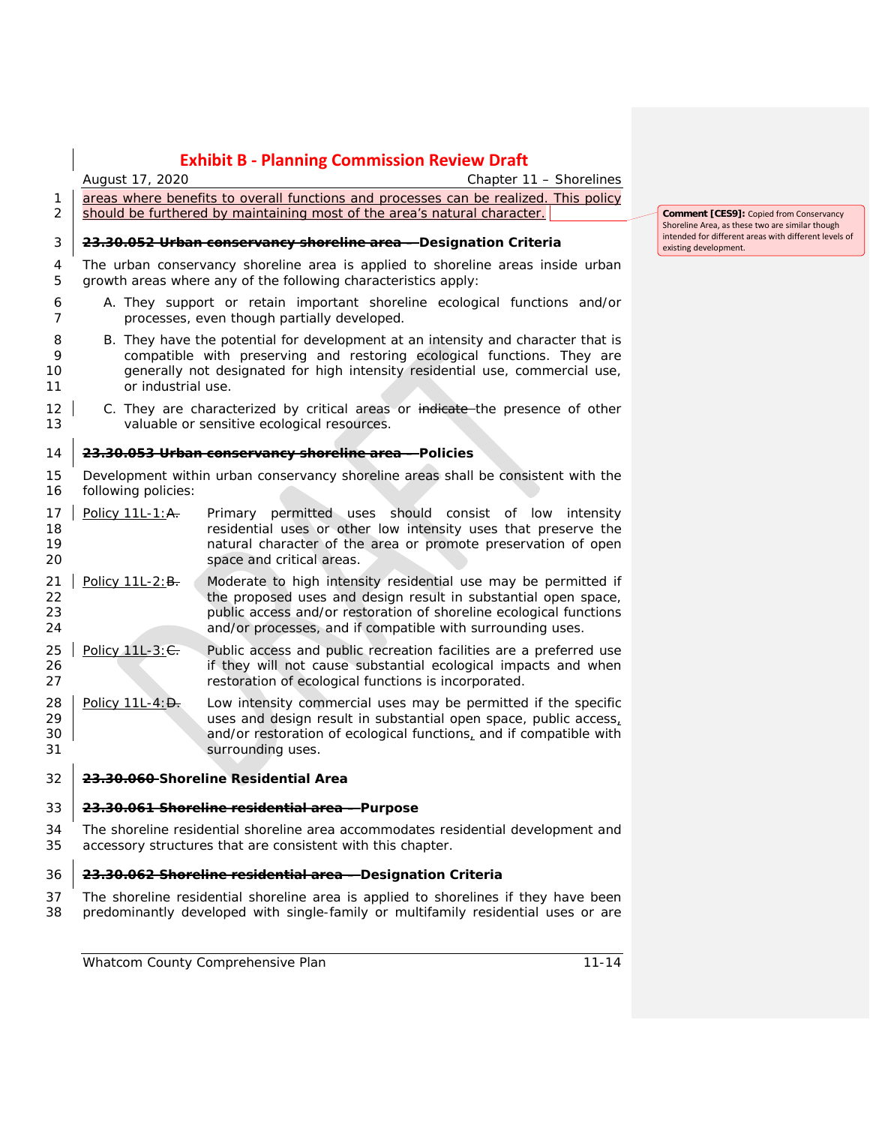*August 17, 2020 Chapter 11 – Shorelines* 1 areas where benefits to overall functions and processes can be realized. This policy 2 should be furthered by maintaining most of the area's natural character. **23.30.052 Urban conservancy shoreline area – Designation Criteria** The urban conservancy shoreline area is applied to shoreline areas inside urban growth areas where any of the following characteristics apply: A. They support or retain important shoreline ecological functions and/or processes, even though partially developed. B. They have the potential for development at an intensity and character that is compatible with preserving and restoring ecological functions. They are generally not designated for high intensity residential use, commercial use, or industrial use. 12 C. They are characterized by critical areas or indicate the presence of other valuable or sensitive ecological resources. **23.30.053 Urban conservancy shoreline area – Policies** Development within urban conservancy shoreline areas shall be consistent with the following policies: 17 Policy 11L-1:A. Primary permitted uses should consist of low intensity residential uses or other low intensity uses that preserve the natural character of the area or promote preservation of open space and critical areas. 21 | Policy 11L-2: B. Moderate to high intensity residential use may be permitted if 22 the proposed uses and design result in substantial open space, public access and/or restoration of shoreline ecological functions and/or processes, and if compatible with surrounding uses.

- 25 | Policy 11L-3: $C$ . Public access and public recreation facilities are a preferred use if they will not cause substantial ecological impacts and when restoration of ecological functions is incorporated.
- 28 **Policy 11L-4:** Dew intensity commercial uses may be permitted if the specific uses and design result in substantial open space, public access. uses and design result in substantial open space, public access, 30 and/or restoration of ecological functions, and if compatible with **Surrounding uses.**

## **23.30.060 Shoreline Residential Area**

## **23.30.061 Shoreline residential area – Purpose**

 The shoreline residential shoreline area accommodates residential development and accessory structures that are consistent with this chapter.

# **23.30.062 Shoreline residential area – Designation Criteria**

 The shoreline residential shoreline area is applied to shorelines if they have been predominantly developed with single-family or multifamily residential uses or are

**Comment [CES9]:** Copied from Conservancy Shoreline Area, as these two are similar though intended for different areas with different levels of existing development.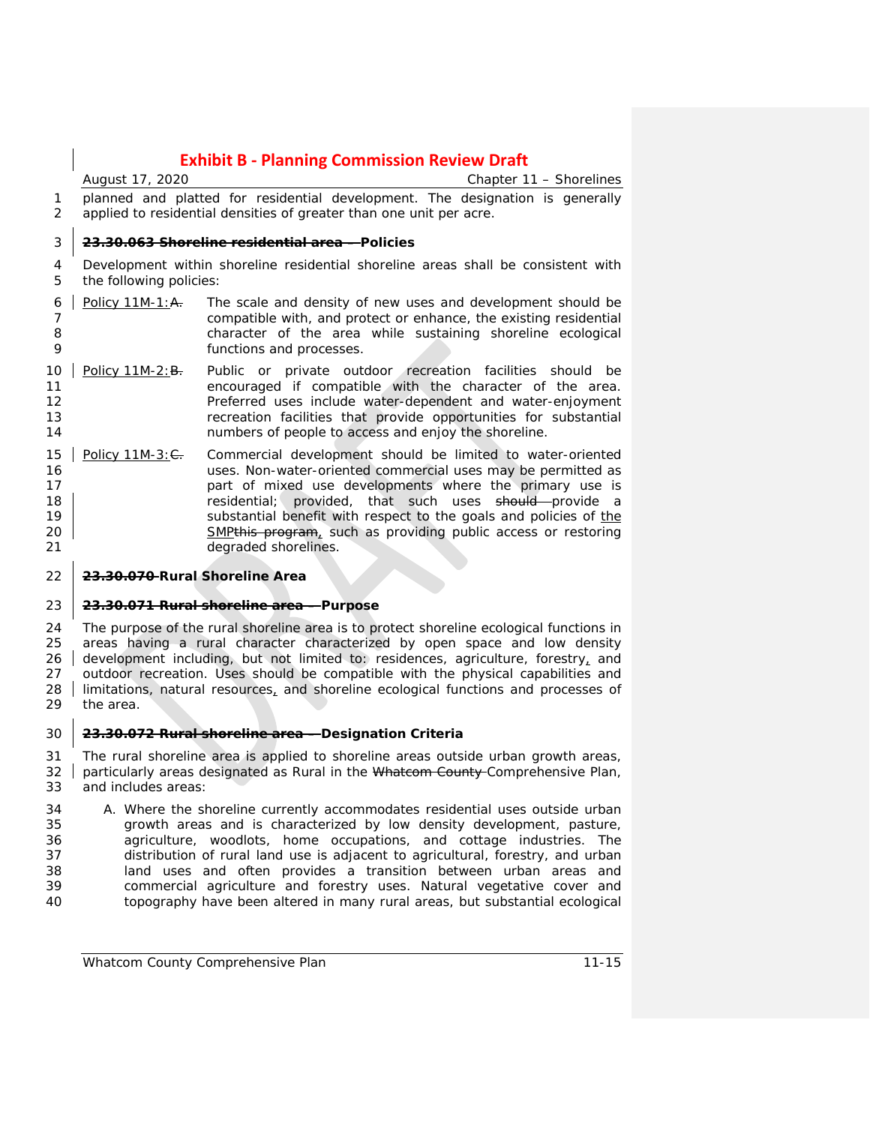*August 17, 2020 Chapter 11 – Shorelines* planned and platted for residential development. The designation is generally applied to residential densities of greater than one unit per acre.

#### **23.30.063 Shoreline residential area – Policies**

 Development within shoreline residential shoreline areas shall be consistent with the following policies:

- 6 | Policy 11M-1: $A$ . The scale and density of new uses and development should be compatible with, and protect or enhance, the existing residential character of the area while sustaining shoreline ecological functions and processes.
- 10 | Policy 11M-2:B. Public or private outdoor recreation facilities should be encouraged if compatible with the character of the area. Preferred uses include water-dependent and water-enjoyment recreation facilities that provide opportunities for substantial numbers of people to access and enjoy the shoreline.
- 15 Policy 11M-3: $\leftarrow$  Commercial development should be limited to water-oriented 16 16 Uses. Non-water-oriented commercial uses may be permitted as<br>17 The part of mixed use developments where the primary use is part of mixed use developments where the primary use is **18 residential**; provided, that such uses should provide a **Substantial benefit with respect to the goals and policies of the** the substantial benefit with respect to the goals and policies of the 20 SMPthis program, such as providing public access or restoring degraded shorelines.

### **23.30.070 Rural Shoreline Area**

#### **23.30.071 Rural shoreline area – Purpose**

 The purpose of the rural shoreline area is to protect shoreline ecological functions in areas having a rural character characterized by open space and low density 26 development including, but not limited to: residences, agriculture, forestry, and outdoor recreation. Uses should be compatible with the physical capabilities and limitations, natural resources, and shoreline ecological functions and processes of the area.

#### **23.30.072 Rural shoreline area – Designation Criteria**

 The rural shoreline area is applied to shoreline areas outside urban growth areas, particularly areas designated as Rural in the Whatcom County Comprehensive Plan, and includes areas:

 A. Where the shoreline currently accommodates residential uses outside urban growth areas and is characterized by low density development, pasture, agriculture, woodlots, home occupations, and cottage industries. The distribution of rural land use is adjacent to agricultural, forestry, and urban land uses and often provides a transition between urban areas and commercial agriculture and forestry uses. Natural vegetative cover and topography have been altered in many rural areas, but substantial ecological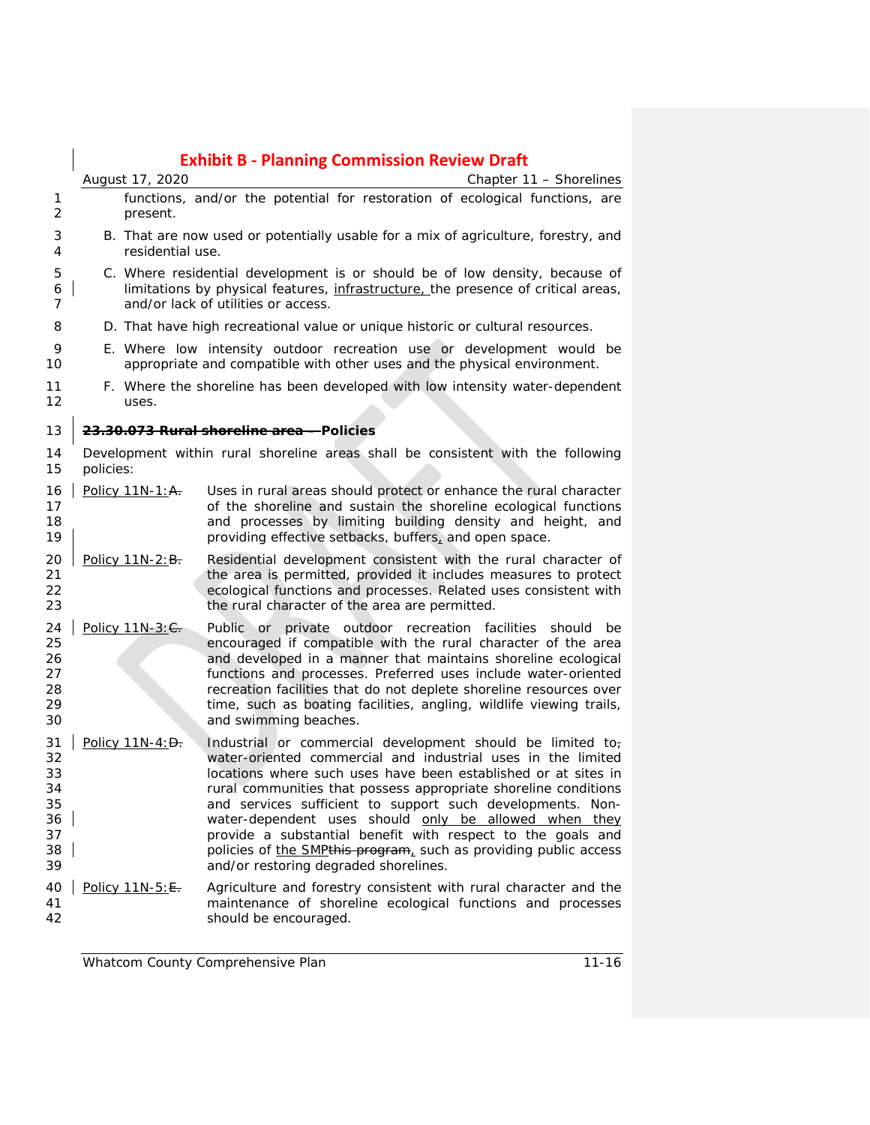|                                                    |           |                  | <b>Exhibit B - Planning Commission Review Draft</b>                                                                                                                                                                                                                                                                                                                                                                                                                                                                                                                |
|----------------------------------------------------|-----------|------------------|--------------------------------------------------------------------------------------------------------------------------------------------------------------------------------------------------------------------------------------------------------------------------------------------------------------------------------------------------------------------------------------------------------------------------------------------------------------------------------------------------------------------------------------------------------------------|
|                                                    |           | August 17, 2020  | Chapter 11 - Shorelines                                                                                                                                                                                                                                                                                                                                                                                                                                                                                                                                            |
| 1<br>2                                             |           | present.         | functions, and/or the potential for restoration of ecological functions, are                                                                                                                                                                                                                                                                                                                                                                                                                                                                                       |
| 3<br>4                                             |           | residential use. | B. That are now used or potentially usable for a mix of agriculture, forestry, and                                                                                                                                                                                                                                                                                                                                                                                                                                                                                 |
| 5<br>6<br>7                                        |           |                  | C. Where residential development is or should be of low density, because of<br>limitations by physical features, infrastructure, the presence of critical areas,<br>and/or lack of utilities or access.                                                                                                                                                                                                                                                                                                                                                            |
| 8                                                  |           |                  | D. That have high recreational value or unique historic or cultural resources.                                                                                                                                                                                                                                                                                                                                                                                                                                                                                     |
| 9<br>10                                            |           |                  | E. Where low intensity outdoor recreation use or development would be<br>appropriate and compatible with other uses and the physical environment.                                                                                                                                                                                                                                                                                                                                                                                                                  |
| 11<br>12                                           |           | uses.            | F. Where the shoreline has been developed with low intensity water-dependent                                                                                                                                                                                                                                                                                                                                                                                                                                                                                       |
| 13                                                 |           |                  | 23.30.073 Rural shoreline area - Policies                                                                                                                                                                                                                                                                                                                                                                                                                                                                                                                          |
| 14<br>15                                           | policies: |                  | Development within rural shoreline areas shall be consistent with the following                                                                                                                                                                                                                                                                                                                                                                                                                                                                                    |
| 16<br>17<br>18<br>19                               |           | Policy 11N-1: A. | Uses in rural areas should protect or enhance the rural character<br>of the shoreline and sustain the shoreline ecological functions<br>and processes by limiting building density and height, and<br>providing effective setbacks, buffers, and open space.                                                                                                                                                                                                                                                                                                       |
| 20<br>21<br>22<br>23                               |           | Policy 11N-2: B. | Residential development consistent with the rural character of<br>the area is permitted, provided it includes measures to protect<br>ecological functions and processes. Related uses consistent with<br>the rural character of the area are permitted.                                                                                                                                                                                                                                                                                                            |
| 24<br>25<br>26<br>27<br>28<br>29<br>30             |           | Policy 11N-3: C. | Public or private outdoor recreation facilities<br>should<br>be<br>encouraged if compatible with the rural character of the area<br>and developed in a manner that maintains shoreline ecological<br>functions and processes. Preferred uses include water-oriented<br>recreation facilities that do not deplete shoreline resources over<br>time, such as boating facilities, angling, wildlife viewing trails,<br>and swimming beaches.                                                                                                                          |
| 31<br>32<br>33<br>34<br>35<br>36<br>37<br>38<br>39 |           | Policy 11N-4: D. | Industrial or commercial development should be limited to-<br>water-oriented commercial and industrial uses in the limited<br>locations where such uses have been established or at sites in<br>rural communities that possess appropriate shoreline conditions<br>and services sufficient to support such developments. Non-<br>water-dependent uses should only be allowed when they<br>provide a substantial benefit with respect to the goals and<br>policies of the SMPthis program, such as providing public access<br>and/or restoring degraded shorelines. |
| 40<br>41<br>42                                     |           | Policy 11N-5: E. | Agriculture and forestry consistent with rural character and the<br>maintenance of shoreline ecological functions and processes<br>should be encouraged.                                                                                                                                                                                                                                                                                                                                                                                                           |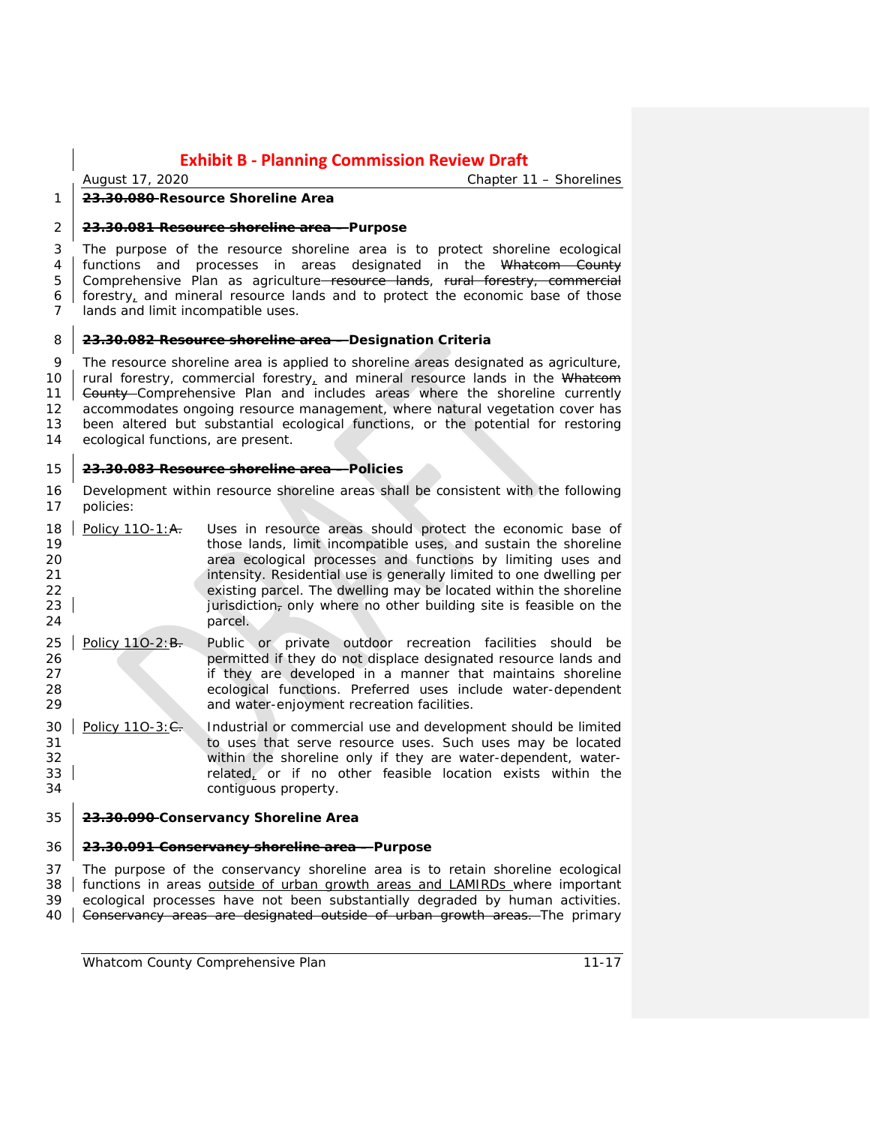*August 17, 2020 Chapter 11 – Shorelines*

### **23.30.080 Resource Shoreline Area**

#### **23.30.081 Resource shoreline area – Purpose**

 The purpose of the resource shoreline area is to protect shoreline ecological 4 | functions and processes in areas designated in the Whatcom County 5 Comprehensive Plan as agriculture–resource lands, rural forestry, commercial forestry, and mineral resource lands and to protect the economic base of those lands and limit incompatible uses.

#### **23.30.082 Resource shoreline area – Designation Criteria**

 The resource shoreline area is applied to shoreline areas designated as agriculture, 10 rural forestry, commercial forestry, and mineral resource lands in the Whatcom 11 Gounty Comprehensive Plan and includes areas where the shoreline currently accommodates ongoing resource management, where natural vegetation cover has been altered but substantial ecological functions, or the potential for restoring ecological functions, are present.

#### **23.30.083 Resource shoreline area – Policies**

- Development within resource shoreline areas shall be consistent with the following policies:
- 18 | Policy 11O-1: $A$ . Uses in resource areas should protect the economic base of those lands, limit incompatible uses, and sustain the shoreline area ecological processes and functions by limiting uses and **intensity. Residential use is generally limited to one dwelling per** 22 existing parcel. The dwelling may be located within the shoreline<br>23 extending intervals in the short problem in the short building site is feasible on the jurisdiction, only where no other building site is feasible on the 24 parcel.
- 25 Policy 11O-2:B. Public or private outdoor recreation facilities should be **126 permitted if they do not displace designated resource lands and 27 permitted if they are developed in a manner that maintains shoreline** if they are developed in a manner that maintains shoreline ecological functions. Preferred uses include water-dependent and water-enjoyment recreation facilities.
- 30 Policy 110-3: $\epsilon$ . Industrial or commercial use and development should be limited to uses that serve resource uses. Such uses may be located within the shoreline only if they are water-dependent, waterrelated, or if no other feasible location exists within the contiguous property.

#### **23.30.090 Conservancy Shoreline Area**

#### **23.30.091 Conservancy shoreline area – Purpose**

 The purpose of the conservancy shoreline area is to retain shoreline ecological 38 functions in areas outside of urban growth areas and LAMIRDs where important ecological processes have not been substantially degraded by human activities. 40 Gonservancy areas are designated outside of urban growth areas. The primary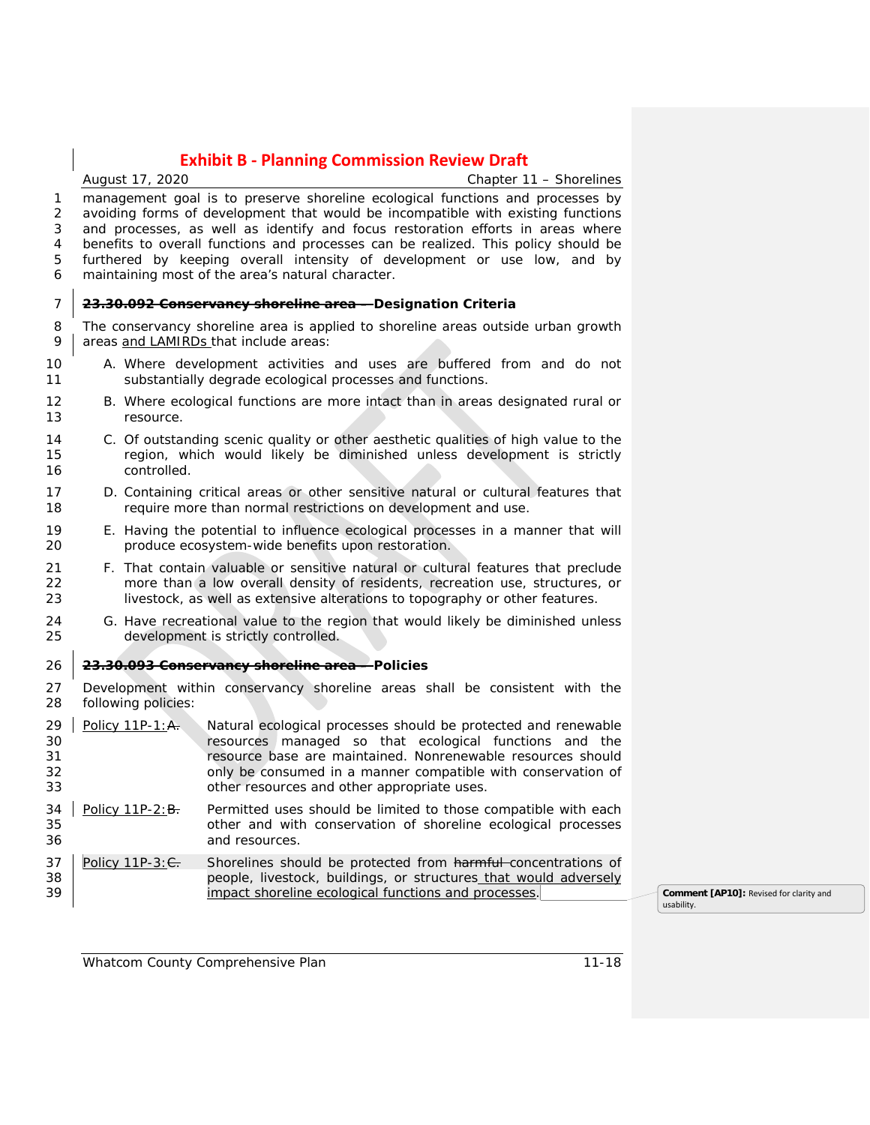$\overline{\phantom{a}}$ 

|                            |                                  | August 17, 2020     | Chapter 11 - Shorelines                                                                                                                                                                                                                                                                                                                                                                                                                                                      |                                                       |
|----------------------------|----------------------------------|---------------------|------------------------------------------------------------------------------------------------------------------------------------------------------------------------------------------------------------------------------------------------------------------------------------------------------------------------------------------------------------------------------------------------------------------------------------------------------------------------------|-------------------------------------------------------|
| 1<br>2<br>3<br>4<br>5<br>6 |                                  |                     | management goal is to preserve shoreline ecological functions and processes by<br>avoiding forms of development that would be incompatible with existing functions<br>and processes, as well as identify and focus restoration efforts in areas where<br>benefits to overall functions and processes can be realized. This policy should be<br>furthered by keeping overall intensity of development or use low, and by<br>maintaining most of the area's natural character. |                                                       |
| 7                          |                                  |                     | <del>23.30.092 Conservancy shoreline area -</del> Designation Criteria                                                                                                                                                                                                                                                                                                                                                                                                       |                                                       |
| 8<br>9                     |                                  |                     | The conservancy shoreline area is applied to shoreline areas outside urban growth<br>areas and LAMIRDs that include areas:                                                                                                                                                                                                                                                                                                                                                   |                                                       |
| 10<br>11                   |                                  |                     | A. Where development activities and uses are buffered from and do not<br>substantially degrade ecological processes and functions.                                                                                                                                                                                                                                                                                                                                           |                                                       |
| 12<br>13                   |                                  | resource.           | B. Where ecological functions are more intact than in areas designated rural or                                                                                                                                                                                                                                                                                                                                                                                              |                                                       |
| 14<br>15<br>16             |                                  | controlled.         | C. Of outstanding scenic quality or other aesthetic qualities of high value to the<br>region, which would likely be diminished unless development is strictly                                                                                                                                                                                                                                                                                                                |                                                       |
| 17<br>18                   |                                  |                     | D. Containing critical areas or other sensitive natural or cultural features that<br>require more than normal restrictions on development and use.                                                                                                                                                                                                                                                                                                                           |                                                       |
| 19<br>20                   |                                  |                     | E. Having the potential to influence ecological processes in a manner that will<br>produce ecosystem-wide benefits upon restoration.                                                                                                                                                                                                                                                                                                                                         |                                                       |
| 21<br>22<br>23             |                                  |                     | F. That contain valuable or sensitive natural or cultural features that preclude<br>more than a low overall density of residents, recreation use, structures, or<br>livestock, as well as extensive alterations to topography or other features.                                                                                                                                                                                                                             |                                                       |
| 24<br>25                   |                                  |                     | G. Have recreational value to the region that would likely be diminished unless<br>development is strictly controlled.                                                                                                                                                                                                                                                                                                                                                       |                                                       |
| 26                         |                                  |                     | 23.30.093 Conservancy shoreline area - Policies                                                                                                                                                                                                                                                                                                                                                                                                                              |                                                       |
| 27<br>28                   |                                  | following policies: | Development within conservancy shoreline areas shall be consistent with the                                                                                                                                                                                                                                                                                                                                                                                                  |                                                       |
| 29<br>30<br>31<br>32<br>33 | Policy 11P-1: A.                 |                     | Natural ecological processes should be protected and renewable<br>resources managed so that ecological functions and the<br>resource base are maintained. Nonrenewable resources should<br>only be consumed in a manner compatible with conservation of<br>other resources and other appropriate uses.                                                                                                                                                                       |                                                       |
| 34<br>35<br>36             | Policy $11P-2:$ $\overline{B}$ . |                     | Permitted uses should be limited to those compatible with each<br>other and with conservation of shoreline ecological processes<br>and resources.                                                                                                                                                                                                                                                                                                                            |                                                       |
| 37<br>38<br>39             | Policy $11P-3: \frac{C}{C}$      |                     | Shorelines should be protected from harmful-concentrations of<br>people, livestock, buildings, or structures_that would adversely<br>impact shoreline ecological functions and processes.                                                                                                                                                                                                                                                                                    | Comment [AP10]: Revised for clarity and<br>usability. |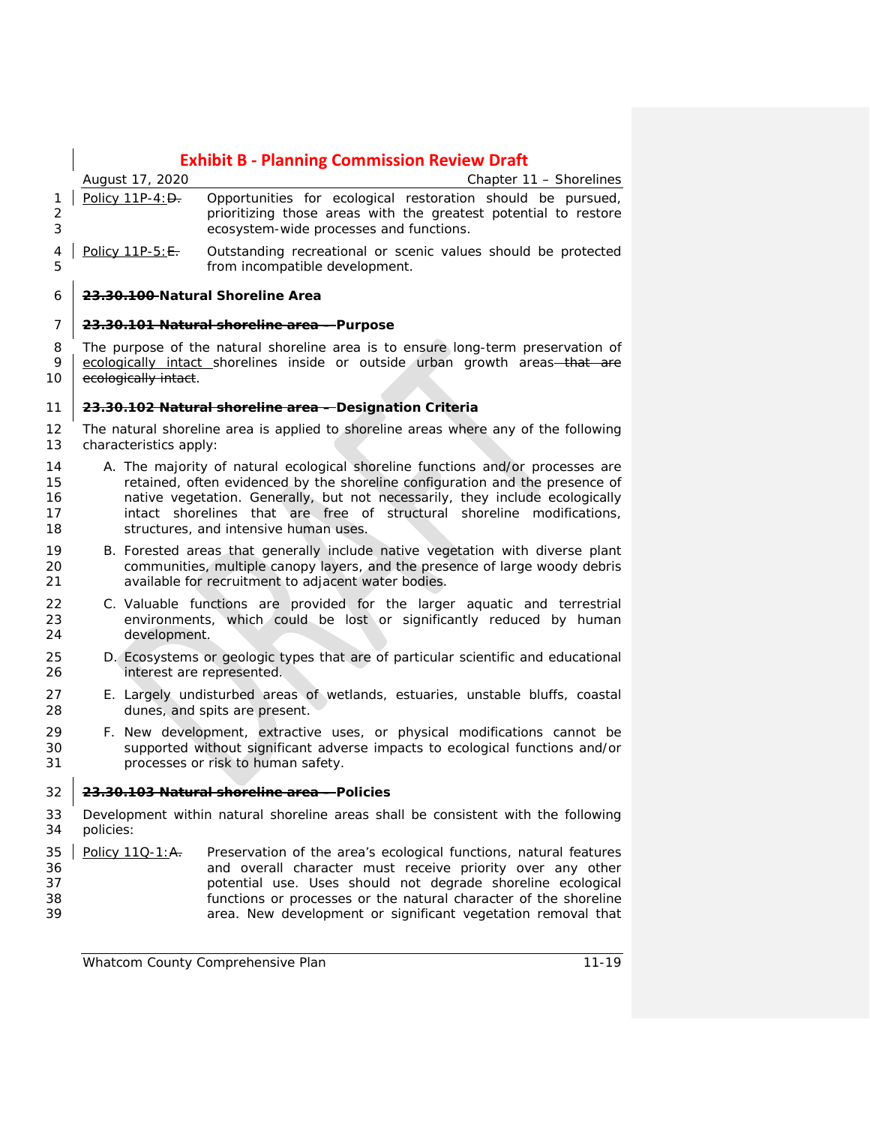|                            |                        | <b>Exhibit B - Planning Commission Review Draft</b>                                                                                                                                                                                                                                                                                                                  |
|----------------------------|------------------------|----------------------------------------------------------------------------------------------------------------------------------------------------------------------------------------------------------------------------------------------------------------------------------------------------------------------------------------------------------------------|
|                            | August 17, 2020        | Chapter 11 – Shorelines                                                                                                                                                                                                                                                                                                                                              |
| 1<br>2<br>3                | Policy 11P-4: D.       | Opportunities for ecological restoration should be pursued,<br>prioritizing those areas with the greatest potential to restore<br>ecosystem-wide processes and functions.                                                                                                                                                                                            |
| 4<br>5                     | Policy 11P-5: E.       | Outstanding recreational or scenic values should be protected<br>from incompatible development.                                                                                                                                                                                                                                                                      |
| 6                          |                        | 23.30.100-Natural Shoreline Area                                                                                                                                                                                                                                                                                                                                     |
| 7                          |                        | 23.30.101 Natural shoreline area - Purpose                                                                                                                                                                                                                                                                                                                           |
| 8<br>9<br>10               | ecologically intact.   | The purpose of the natural shoreline area is to ensure long-term preservation of<br>ecologically intact shorelines inside or outside urban growth areas-that are                                                                                                                                                                                                     |
| 11                         |                        | 23.30.102 Natural shoreline area - Designation Criteria                                                                                                                                                                                                                                                                                                              |
| 12<br>13                   | characteristics apply: | The natural shoreline area is applied to shoreline areas where any of the following                                                                                                                                                                                                                                                                                  |
| 14<br>15<br>16<br>17<br>18 |                        | A. The majority of natural ecological shoreline functions and/or processes are<br>retained, often evidenced by the shoreline configuration and the presence of<br>native vegetation. Generally, but not necessarily, they include ecologically<br>intact shorelines that are free of<br>structural shoreline modifications,<br>structures, and intensive human uses. |
| 19<br>20<br>21             |                        | B. Forested areas that generally include native vegetation with diverse plant<br>communities, multiple canopy layers, and the presence of large woody debris<br>available for recruitment to adjacent water bodies.                                                                                                                                                  |
| 22<br>23<br>24             | development.           | C. Valuable functions are provided for the larger aquatic and terrestrial<br>environments, which could be lost or significantly reduced by human                                                                                                                                                                                                                     |
| 25<br>26                   |                        | D. Ecosystems or geologic types that are of particular scientific and educational<br>interest are represented.                                                                                                                                                                                                                                                       |
| 27<br>28                   |                        | E. Largely undisturbed areas of wetlands, estuaries, unstable bluffs, coastal<br>dunes, and spits are present.                                                                                                                                                                                                                                                       |
| 29<br>30<br>31             |                        | F. New development, extractive uses, or physical modifications cannot be<br>supported without significant adverse impacts to ecological functions and/or<br>processes or risk to human safety.                                                                                                                                                                       |
| $\blacksquare$<br>32       |                        | 23.30.103 Natural shoreline area - Policies                                                                                                                                                                                                                                                                                                                          |
| 33<br>34                   | policies:              | Development within natural shoreline areas shall be consistent with the following                                                                                                                                                                                                                                                                                    |
| 35<br>36<br>37<br>38       | Policy 110-1:A.        | Preservation of the area's ecological functions, natural features<br>and overall character must receive priority over any other<br>potential use. Uses should not degrade shoreline ecological<br>functions or processes or the natural character of the shoreline                                                                                                   |

area. New development or significant vegetation removal that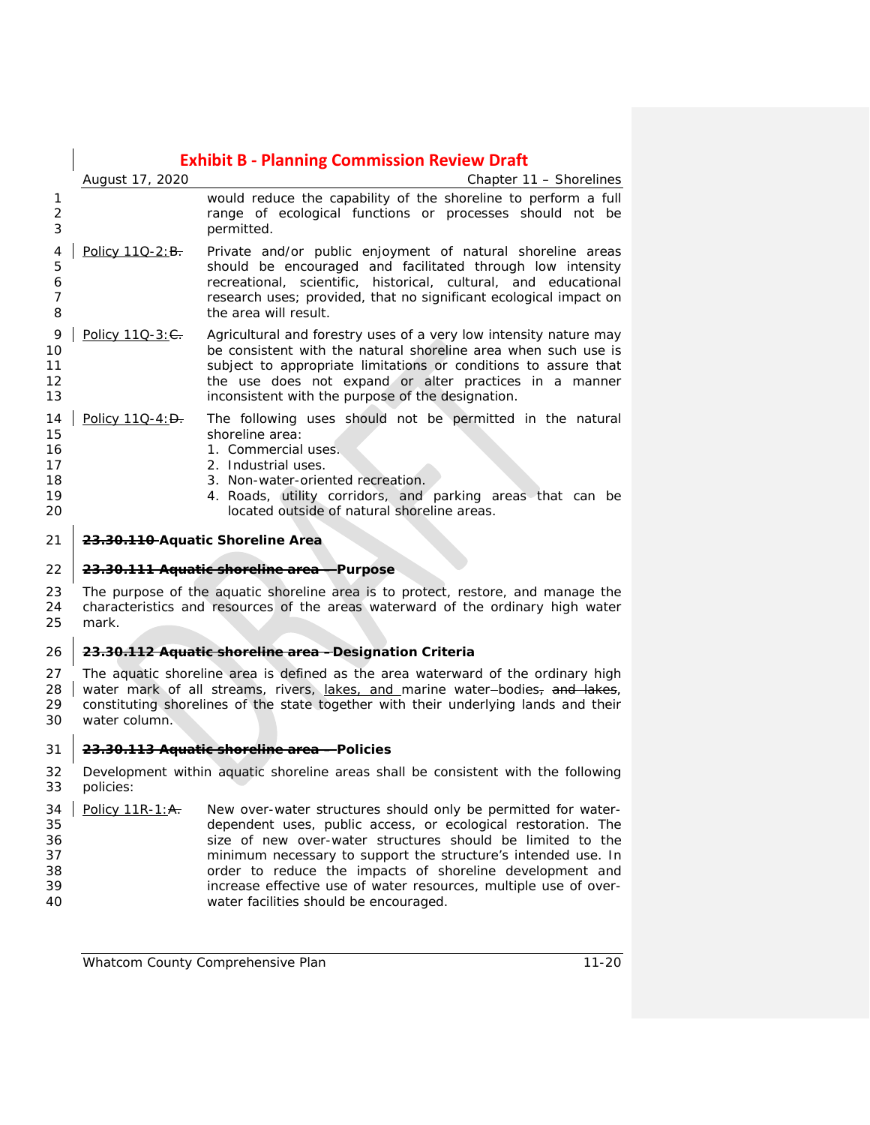### **Exhibit B - Planning Commission Review Draft** *August 17, 2020 Chapter 11 – Shorelines* would reduce the capability of the shoreline to perform a full range of ecological functions or processes should not be permitted. 4 | Policy 11Q-2:B. Private and/or public enjoyment of natural shoreline areas should be encouraged and facilitated through low intensity recreational, scientific, historical, cultural, and educational research uses; provided, that no significant ecological impact on **b** the area will result. 9 | Policy 11Q-3: C. Agricultural and forestry uses of a very low intensity nature may be consistent with the natural shoreline area when such use is subject to appropriate limitations or conditions to assure that 12 the use does not expand or alter practices in a manner inconsistent with the purpose of the designation. 14 | Policy 11Q-4: $\theta$ . The following uses should not be permitted in the natural 15 shoreline area: 1. Commercial uses. 2. Industrial uses. 18 18 2. Non-water-oriented recreation. 4. Roads, utility corridors, and parking areas that can be located outside of natural shoreline areas. **23.30.110 Aquatic Shoreline Area 23.30.111 Aquatic shoreline area – Purpose** The purpose of the aquatic shoreline area is to protect, restore, and manage the characteristics and resources of the areas waterward of the ordinary high water mark. **23.30.112 Aquatic shoreline area –Designation Criteria** The aquatic shoreline area is defined as the area waterward of the ordinary high 28 water mark of all streams, rivers, lakes, and marine water-bodies, and lakes, constituting shorelines of the state together with their underlying lands and their water column. **23.30.113 Aquatic shoreline area – Policies** Development within aquatic shoreline areas shall be consistent with the following policies: 34 Policy 11R-1: $A$ . New over-water structures should only be permitted for water- dependent uses, public access, or ecological restoration. The size of new over-water structures should be limited to the minimum necessary to support the structure's intended use. In order to reduce the impacts of shoreline development and

 increase effective use of water resources, multiple use of over-water facilities should be encouraged.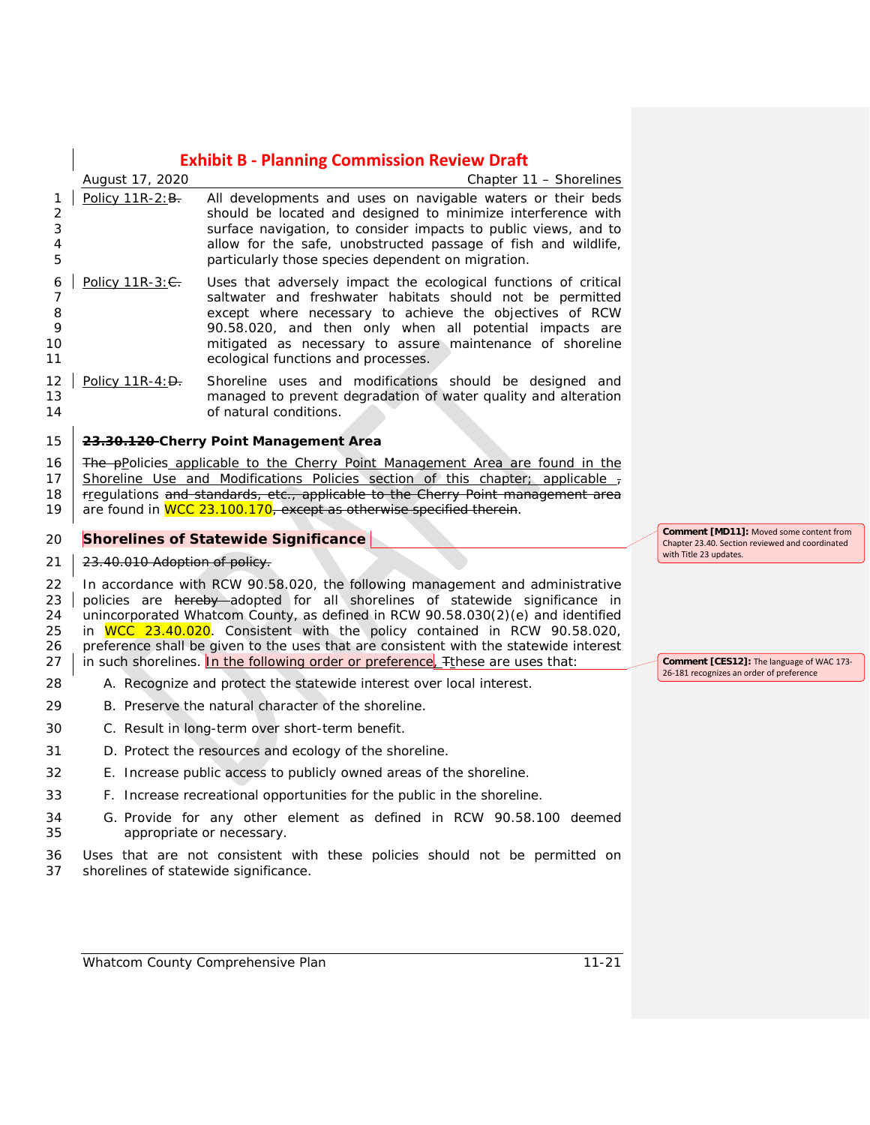|                                  |                               | <b>Exhibit B - Planning Commission Review Draft</b>                                                                                                                                                                                                                                                                                                                                                                                                                                                     |                                                                                            |
|----------------------------------|-------------------------------|---------------------------------------------------------------------------------------------------------------------------------------------------------------------------------------------------------------------------------------------------------------------------------------------------------------------------------------------------------------------------------------------------------------------------------------------------------------------------------------------------------|--------------------------------------------------------------------------------------------|
|                                  | August 17, 2020               | Chapter 11 – Shorelines                                                                                                                                                                                                                                                                                                                                                                                                                                                                                 |                                                                                            |
| 1<br>2<br>3<br>4<br>5            | Policy 11R-2: B.              | All developments and uses on navigable waters or their beds<br>should be located and designed to minimize interference with<br>surface navigation, to consider impacts to public views, and to<br>allow for the safe, unobstructed passage of fish and wildlife,<br>particularly those species dependent on migration.                                                                                                                                                                                  |                                                                                            |
| 6<br>7<br>8<br>9<br>10<br>11     | Policy $11R-3: 6$ .           | Uses that adversely impact the ecological functions of critical<br>saltwater and freshwater habitats should not be permitted<br>except where necessary to achieve the objectives of RCW<br>90.58.020, and then only when all potential impacts are<br>mitigated as necessary to assure maintenance of shoreline<br>ecological functions and processes.                                                                                                                                                  |                                                                                            |
| 12<br>13<br>14                   | Policy $11R-4: D.$            | Shoreline uses and modifications should be designed and<br>managed to prevent degradation of water quality and alteration<br>of natural conditions.                                                                                                                                                                                                                                                                                                                                                     |                                                                                            |
| 15                               |                               | 23.30.120-Cherry Point Management Area                                                                                                                                                                                                                                                                                                                                                                                                                                                                  |                                                                                            |
| 16<br>17<br>18<br>19             |                               | <b>The p</b> Policies applicable to the Cherry Point Management Area are found in the<br>Shoreline Use and Modifications Policies section of this chapter; applicable $\tau$<br>rregulations and standards, etc., applicable to the Cherry Point management area<br>are found in WCC 23.100.170, except as otherwise specified therein.                                                                                                                                                                 |                                                                                            |
|                                  |                               |                                                                                                                                                                                                                                                                                                                                                                                                                                                                                                         |                                                                                            |
| 20                               |                               | <b>Shorelines of Statewide Significance</b>                                                                                                                                                                                                                                                                                                                                                                                                                                                             | Comment [MD11]: Moved some content from<br>Chapter 23.40. Section reviewed and coordinated |
| 21                               | 23.40.010 Adoption of policy. |                                                                                                                                                                                                                                                                                                                                                                                                                                                                                                         | with Title 23 updates.                                                                     |
| 22<br>23<br>24<br>25<br>26<br>27 |                               | In accordance with RCW 90.58.020, the following management and administrative<br>policies are hereby adopted for all shorelines of statewide significance in<br>unincorporated Whatcom County, as defined in RCW 90.58.030(2)(e) and identified<br>in WCC 23.40.020. Consistent with the policy contained in RCW 90.58.020,<br>preference shall be given to the uses that are consistent with the statewide interest<br>in such shorelines. In the following order or preference, Finese are uses that: | Comment [CES12]: The language of WAC 173-                                                  |
| 28                               |                               | A. Recognize and protect the statewide interest over local interest.                                                                                                                                                                                                                                                                                                                                                                                                                                    | 26-181 recognizes an order of preference                                                   |
| 29                               |                               | B. Preserve the natural character of the shoreline.                                                                                                                                                                                                                                                                                                                                                                                                                                                     |                                                                                            |
| 30                               |                               | C. Result in long-term over short-term benefit.                                                                                                                                                                                                                                                                                                                                                                                                                                                         |                                                                                            |
| 31                               |                               | D. Protect the resources and ecology of the shoreline.                                                                                                                                                                                                                                                                                                                                                                                                                                                  |                                                                                            |
| 32                               |                               | E. Increase public access to publicly owned areas of the shoreline.                                                                                                                                                                                                                                                                                                                                                                                                                                     |                                                                                            |
| 33                               |                               | F. Increase recreational opportunities for the public in the shoreline.                                                                                                                                                                                                                                                                                                                                                                                                                                 |                                                                                            |
| 34<br>35                         |                               | G. Provide for any other element as defined in RCW 90.58.100 deemed<br>appropriate or necessary.                                                                                                                                                                                                                                                                                                                                                                                                        |                                                                                            |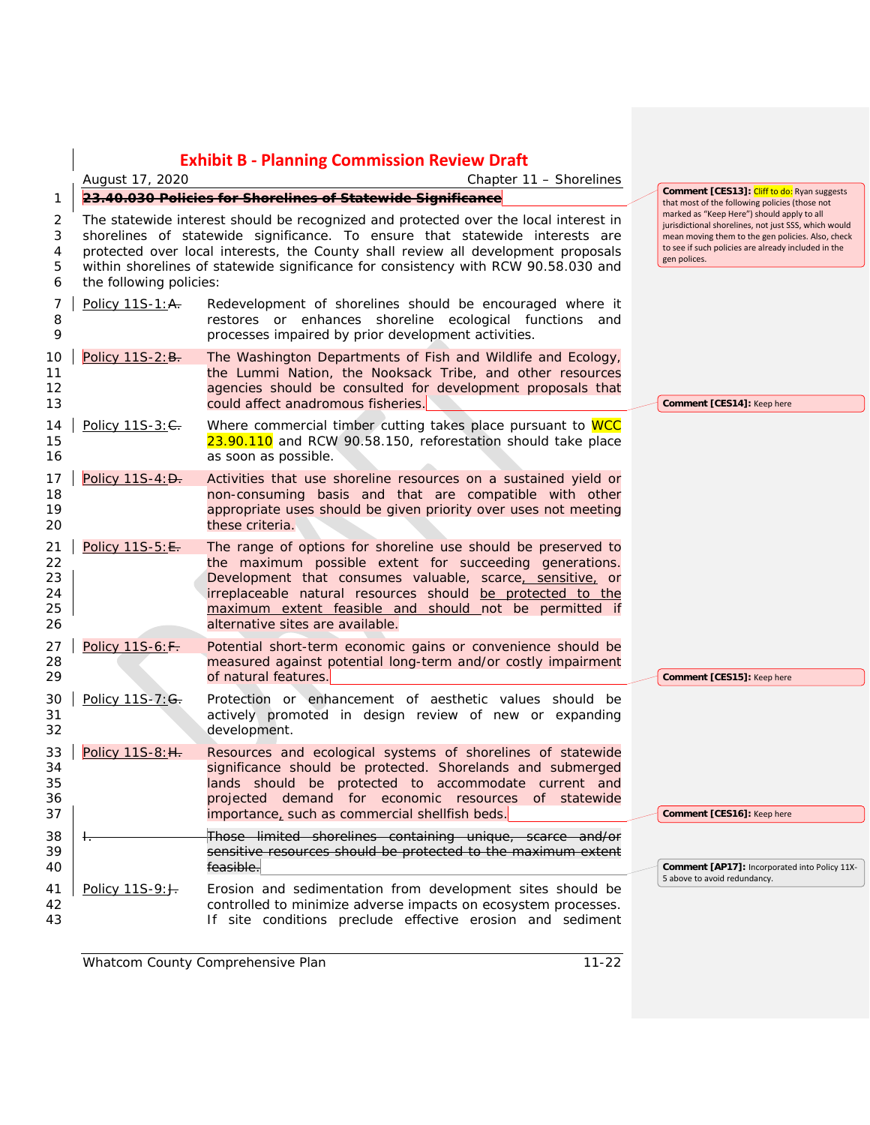|                                  | <b>Exhibit B - Planning Commission Review Draft</b>                                                                                                                                                                                                                                                                                                                        |                                                                                                                                                                                                                                                                                                                                                   |  |                                                                                                                                                                                                                                |
|----------------------------------|----------------------------------------------------------------------------------------------------------------------------------------------------------------------------------------------------------------------------------------------------------------------------------------------------------------------------------------------------------------------------|---------------------------------------------------------------------------------------------------------------------------------------------------------------------------------------------------------------------------------------------------------------------------------------------------------------------------------------------------|--|--------------------------------------------------------------------------------------------------------------------------------------------------------------------------------------------------------------------------------|
|                                  | August 17, 2020<br>Chapter 11 – Shorelines                                                                                                                                                                                                                                                                                                                                 |                                                                                                                                                                                                                                                                                                                                                   |  |                                                                                                                                                                                                                                |
| 1                                | 23.40.030 Policies for Shorelines of Statewide Significance                                                                                                                                                                                                                                                                                                                |                                                                                                                                                                                                                                                                                                                                                   |  | <b>Comment [CES13]: Cliff to do:</b> Ryan suggests<br>that most of the following policies (those not                                                                                                                           |
| 2<br>3<br>4<br>5<br>6            | The statewide interest should be recognized and protected over the local interest in<br>shorelines of statewide significance. To ensure that statewide interests are<br>protected over local interests, the County shall review all development proposals<br>within shorelines of statewide significance for consistency with RCW 90.58.030 and<br>the following policies: |                                                                                                                                                                                                                                                                                                                                                   |  | marked as "Keep Here") should apply to all<br>jurisdictional shorelines, not just SSS, which would<br>mean moving them to the gen policies. Also, check<br>to see if such policies are already included in the<br>gen polices. |
| 7<br>8<br>9                      | Policy 11S-1: A.                                                                                                                                                                                                                                                                                                                                                           | Redevelopment of shorelines should be encouraged where it<br>restores or enhances shoreline ecological functions and<br>processes impaired by prior development activities.                                                                                                                                                                       |  |                                                                                                                                                                                                                                |
| 10<br>11<br>12<br>13             | Policy 11S-2: B.                                                                                                                                                                                                                                                                                                                                                           | The Washington Departments of Fish and Wildlife and Ecology,<br>the Lummi Nation, the Nooksack Tribe, and other resources<br>agencies should be consulted for development proposals that<br>could affect anadromous fisheries.                                                                                                                    |  | Comment [CES14]: Keep here                                                                                                                                                                                                     |
| 14<br>15<br>16                   | Policy 11S-3: C.                                                                                                                                                                                                                                                                                                                                                           | Where commercial timber cutting takes place pursuant to WCC<br>23.90.110 and RCW 90.58.150, reforestation should take place<br>as soon as possible.                                                                                                                                                                                               |  |                                                                                                                                                                                                                                |
| 17<br>18<br>19<br>20             | Policy 11S-4: D.                                                                                                                                                                                                                                                                                                                                                           | Activities that use shoreline resources on a sustained yield or<br>non-consuming basis and that are compatible with other<br>appropriate uses should be given priority over uses not meeting<br>these criteria.                                                                                                                                   |  |                                                                                                                                                                                                                                |
| 21<br>22<br>23<br>24<br>25<br>26 | Policy 11S-5: E.                                                                                                                                                                                                                                                                                                                                                           | The range of options for shoreline use should be preserved to<br>the maximum possible extent for succeeding generations.<br>Development that consumes valuable, scarce, sensitive, or<br>irreplaceable natural resources should be protected to the<br>maximum extent feasible and should not be permitted if<br>alternative sites are available. |  |                                                                                                                                                                                                                                |
| 27<br>28<br>29                   | Policy 11S-6: F.                                                                                                                                                                                                                                                                                                                                                           | Potential short-term economic gains or convenience should be<br>measured against potential long-term and/or costly impairment<br>of natural features.                                                                                                                                                                                             |  | Comment [CES15]: Keep here                                                                                                                                                                                                     |
| 30<br>31<br>32                   | Policy 11S-7: G.                                                                                                                                                                                                                                                                                                                                                           | Protection or enhancement of aesthetic values should be<br>actively promoted in design review of new or expanding<br>development.                                                                                                                                                                                                                 |  |                                                                                                                                                                                                                                |
| 33<br>34<br>35<br>36<br>37       | Policy 11S-8: H.                                                                                                                                                                                                                                                                                                                                                           | Resources and ecological systems of shorelines of statewide<br>significance should be protected. Shorelands and submerged<br>lands should be protected to accommodate current and<br>projected demand for economic resources of statewide<br>importance, such as commercial shellfish beds.                                                       |  | Comment [CES16]: Keep here                                                                                                                                                                                                     |
| 38<br>39<br>40                   | ⊤.                                                                                                                                                                                                                                                                                                                                                                         | Those limited shorelines containing unique, scarce and/or<br>sensitive resources should be protected to the maximum extent<br>feasible.                                                                                                                                                                                                           |  | Comment [AP17]: Incorporated into Policy 11X-<br>5 above to avoid redundancy.                                                                                                                                                  |
| 41<br>42<br>43                   | Policy 11S-9: J.                                                                                                                                                                                                                                                                                                                                                           | Erosion and sedimentation from development sites should be<br>controlled to minimize adverse impacts on ecosystem processes.<br>If site conditions preclude effective erosion and sediment                                                                                                                                                        |  |                                                                                                                                                                                                                                |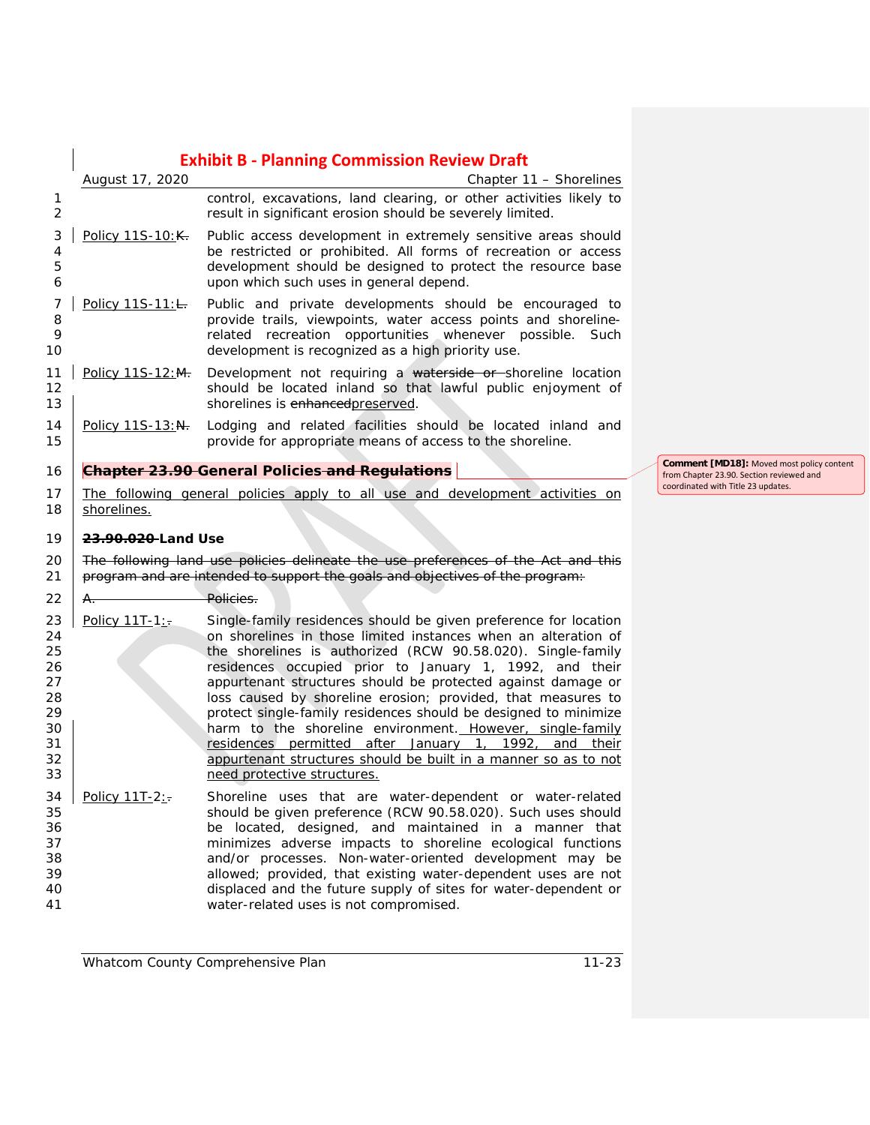### **Exhibit B - Planning Commission Review Draft** *August 17, 2020 Chapter 11 – Shorelines* control, excavations, land clearing, or other activities likely to result in significant erosion should be severely limited. Policy 11S-10: K. Public access development in extremely sensitive areas should be restricted or prohibited. All forms of recreation or access development should be designed to protect the resource base upon which such uses in general depend. 7 Policy 11S-11:<del>L.</del> Public and private developments should be encouraged to 8 **8** provide trails, viewpoints, water access points and shoreline-<br>9 **provide the example of the state of the shore possible.** Such related recreation opportunities whenever possible. Such development is recognized as a high priority use. 11 | Policy 11S-12:M. Development not requiring a waterside or shoreline location should be located inland so that lawful public enjoyment of **Shorelines is enhancedpreserved.** 14 | Policy 11S-13:N. Lodging and related facilities should be located inland and provide for appropriate means of access to the shoreline. **Chapter 23.90 General Policies and Regulations**  The following general policies apply to all use and development activities on 18 shorelines. **23.90.020 Land Use** 20 The following land use policies delineate the use preferences of the Act and this 21 program and are intended to support the goals and objectives of the program: 22 A. Policies. 23 Policy 11T-1:- Single-family residences should be given preference for location on shorelines in those limited instances when an alteration of the shorelines is authorized (RCW 90.58.020). Single-family residences occupied prior to January 1, 1992, and their appurtenant structures should be protected against damage or loss caused by shoreline erosion; provided, that measures to protect single-family residences should be designed to minimize **harm to the shoreline environment.** However, single-family **residences permitted after January 1, 1992, and their** 32 appurtenant structures should be built in a manner so as to not need protective structures. Policy  $11T-2$ : Shoreline uses that are water-dependent or water-related<br>35 should be given preference (RCW 90.58.020). Such uses should should be given preference (RCW 90.58.020). Such uses should be located, designed, and maintained in a manner that minimizes adverse impacts to shoreline ecological functions and/or processes. Non-water-oriented development may be allowed; provided, that existing water-dependent uses are not displaced and the future supply of sites for water-dependent or water-related uses is not compromised.

**Comment [MD18]:** Moved most policy content from Chapter 23.90. Section reviewed and coordinated with Title 23 updates.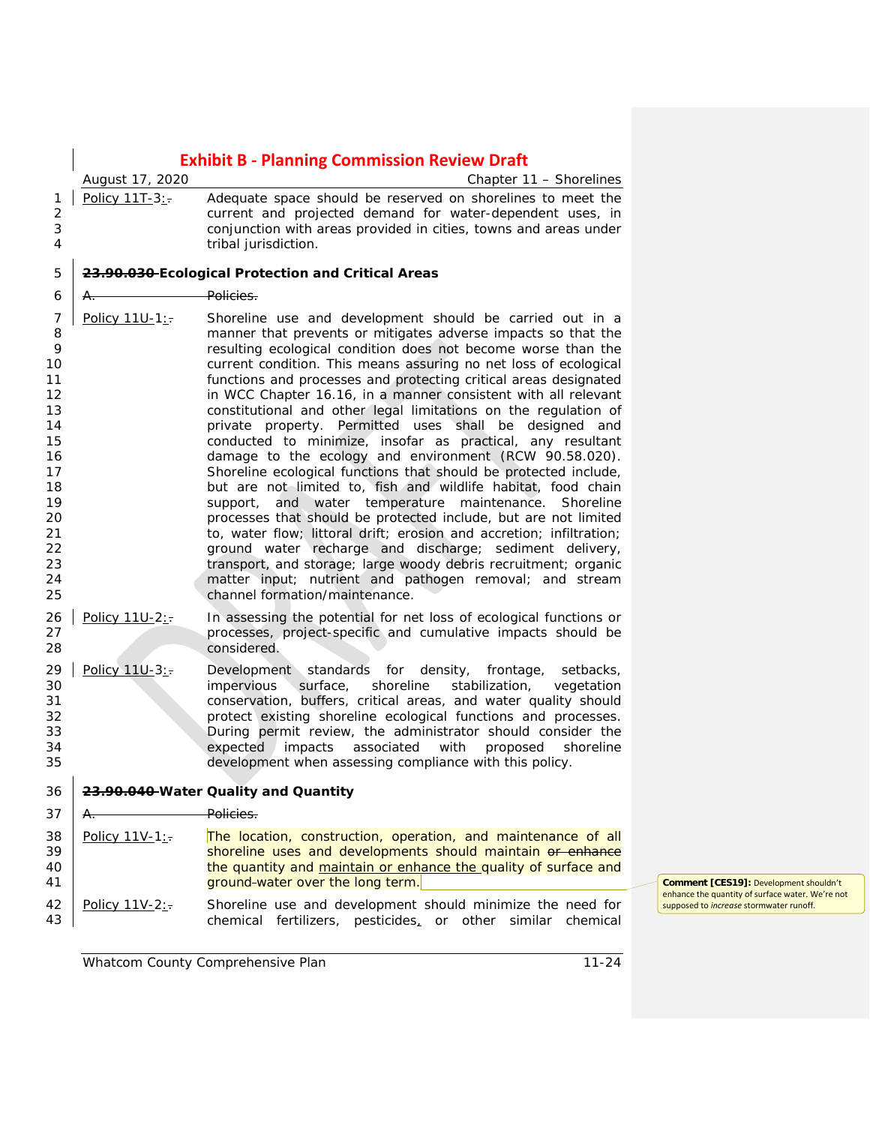|                                                                                                             |                 | <b>Exhibit B - Planning Commission Review Draft</b>                                                                                                                                                                                                                                                                                                                                                                                                                                                                                                                                                                                                                                                                                                                                                                                                                                                                                                                                                                                                                                                                                                                                                                                 |
|-------------------------------------------------------------------------------------------------------------|-----------------|-------------------------------------------------------------------------------------------------------------------------------------------------------------------------------------------------------------------------------------------------------------------------------------------------------------------------------------------------------------------------------------------------------------------------------------------------------------------------------------------------------------------------------------------------------------------------------------------------------------------------------------------------------------------------------------------------------------------------------------------------------------------------------------------------------------------------------------------------------------------------------------------------------------------------------------------------------------------------------------------------------------------------------------------------------------------------------------------------------------------------------------------------------------------------------------------------------------------------------------|
|                                                                                                             | August 17, 2020 | Chapter 11 - Shorelines                                                                                                                                                                                                                                                                                                                                                                                                                                                                                                                                                                                                                                                                                                                                                                                                                                                                                                                                                                                                                                                                                                                                                                                                             |
| 1<br>$\overline{2}$<br>3<br>4                                                                               | Policy 11T-3:   | Adequate space should be reserved on shorelines to meet the<br>current and projected demand for water-dependent uses, in<br>conjunction with areas provided in cities, towns and areas under<br>tribal jurisdiction.                                                                                                                                                                                                                                                                                                                                                                                                                                                                                                                                                                                                                                                                                                                                                                                                                                                                                                                                                                                                                |
| 5                                                                                                           |                 | 23.90.030-Ecological Protection and Critical Areas                                                                                                                                                                                                                                                                                                                                                                                                                                                                                                                                                                                                                                                                                                                                                                                                                                                                                                                                                                                                                                                                                                                                                                                  |
| 6                                                                                                           | А.              | <del>Policies.</del>                                                                                                                                                                                                                                                                                                                                                                                                                                                                                                                                                                                                                                                                                                                                                                                                                                                                                                                                                                                                                                                                                                                                                                                                                |
| 7<br>8<br>9<br>10<br>11<br>12<br>13<br>14<br>15<br>16<br>17<br>18<br>19<br>20<br>21<br>22<br>23<br>24<br>25 | Policy 11U-1:   | Shoreline use and development should be carried out in a<br>manner that prevents or mitigates adverse impacts so that the<br>resulting ecological condition does not become worse than the<br>current condition. This means assuring no net loss of ecological<br>functions and processes and protecting critical areas designated<br>in WCC Chapter 16.16, in a manner consistent with all relevant<br>constitutional and other legal limitations on the regulation of<br>private property. Permitted uses shall be designed and<br>conducted to minimize, insofar as practical, any resultant<br>damage to the ecology and environment (RCW 90.58.020).<br>Shoreline ecological functions that should be protected include,<br>but are not limited to, fish and wildlife habitat, food chain<br>and water temperature maintenance.<br>Shoreline<br>support,<br>processes that should be protected include, but are not limited<br>to, water flow; littoral drift; erosion and accretion; infiltration;<br>ground water recharge and discharge; sediment delivery,<br>transport, and storage; large woody debris recruitment; organic<br>matter input; nutrient and pathogen removal; and stream<br>channel formation/maintenance. |
| 26<br>27<br>28                                                                                              | Policy 11U-2:   | In assessing the potential for net loss of ecological functions or<br>processes, project-specific and cumulative impacts should be<br>considered.                                                                                                                                                                                                                                                                                                                                                                                                                                                                                                                                                                                                                                                                                                                                                                                                                                                                                                                                                                                                                                                                                   |
| 29<br>30<br>31<br>32<br>33<br>34<br>35                                                                      | Policy 11U-3:   | Development standards for density,<br>frontage,<br>setbacks,<br>surface,<br>shoreline<br>stabilization,<br>impervious<br>vegetation<br>conservation, buffers, critical areas, and water quality should<br>protect existing shoreline ecological functions and processes.<br>During permit review, the administrator should consider the<br>expected<br>impacts associated<br>with<br>proposed<br>shoreline<br>development when assessing compliance with this policy.                                                                                                                                                                                                                                                                                                                                                                                                                                                                                                                                                                                                                                                                                                                                                               |
| 36                                                                                                          |                 | 23.90.040 Water Quality and Quantity                                                                                                                                                                                                                                                                                                                                                                                                                                                                                                                                                                                                                                                                                                                                                                                                                                                                                                                                                                                                                                                                                                                                                                                                |
| 37                                                                                                          | Α.              | Policies.                                                                                                                                                                                                                                                                                                                                                                                                                                                                                                                                                                                                                                                                                                                                                                                                                                                                                                                                                                                                                                                                                                                                                                                                                           |
| 38<br>39<br>40<br>41                                                                                        | Policy 11V-1:   | The location, construction, operation, and maintenance of all<br>shoreline uses and developments should maintain or enhance<br>the quantity and maintain or enhance the quality of surface and<br>ground-water over the long term.                                                                                                                                                                                                                                                                                                                                                                                                                                                                                                                                                                                                                                                                                                                                                                                                                                                                                                                                                                                                  |
| 42<br>43                                                                                                    | Policy 11V-2:   | Shoreline use and development should minimize the need for<br>fertilizers, pesticides, or other<br>chemical<br>similar<br>chemical                                                                                                                                                                                                                                                                                                                                                                                                                                                                                                                                                                                                                                                                                                                                                                                                                                                                                                                                                                                                                                                                                                  |

**Comment [CES19]:** Development shouldn't enhance the quantity of surface water. We're not supposed to *increase* stormwater runoff.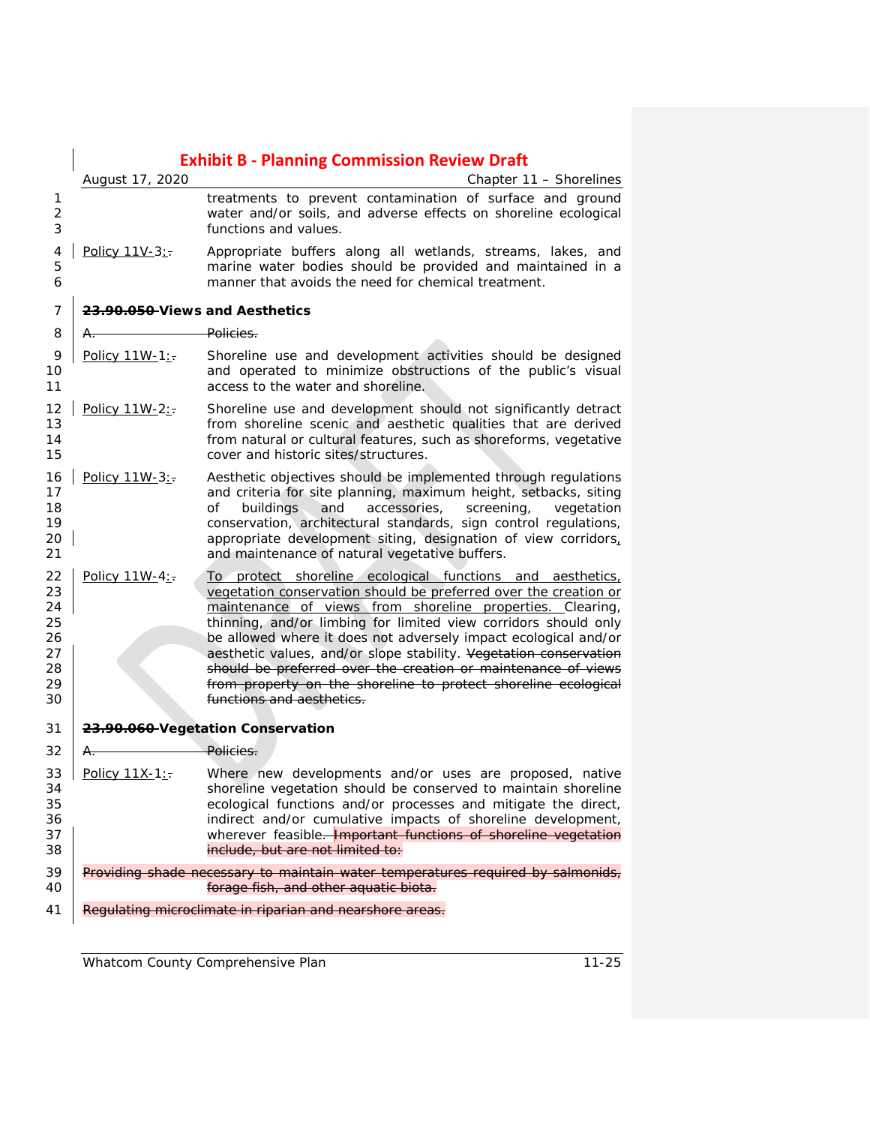|                                                    | August 17, 2020                | <b>Exhibit B - Planning Commission Review Draft</b>                                                                                                                                                                                                                                                                                                                                                                                                                                                                                                                   |
|----------------------------------------------------|--------------------------------|-----------------------------------------------------------------------------------------------------------------------------------------------------------------------------------------------------------------------------------------------------------------------------------------------------------------------------------------------------------------------------------------------------------------------------------------------------------------------------------------------------------------------------------------------------------------------|
| 1<br>$\overline{2}$<br>3                           |                                | Chapter 11 - Shorelines<br>treatments to prevent contamination of surface and ground<br>water and/or soils, and adverse effects on shoreline ecological<br>functions and values.                                                                                                                                                                                                                                                                                                                                                                                      |
| 4<br>5<br>6                                        | Policy 11V-3:-                 | Appropriate buffers along all wetlands, streams, lakes, and<br>marine water bodies should be provided and maintained in a<br>manner that avoids the need for chemical treatment.                                                                                                                                                                                                                                                                                                                                                                                      |
| 7                                                  | 23.90.050 Views and Aesthetics |                                                                                                                                                                                                                                                                                                                                                                                                                                                                                                                                                                       |
| 8                                                  | A.                             | <del>Policies.</del>                                                                                                                                                                                                                                                                                                                                                                                                                                                                                                                                                  |
| 9<br>10<br>11                                      | Policy 11W-1:                  | Shoreline use and development activities should be designed<br>and operated to minimize obstructions of the public's visual<br>access to the water and shoreline.                                                                                                                                                                                                                                                                                                                                                                                                     |
| 12<br>13<br>14<br>15                               | Policy 11W-2:                  | Shoreline use and development should not significantly detract<br>from shoreline scenic and aesthetic qualities that are derived<br>from natural or cultural features, such as shoreforms, vegetative<br>cover and historic sites/structures.                                                                                                                                                                                                                                                                                                                         |
| 16<br>17<br>18<br>19<br>20<br>21                   | Policy 11W-3:-                 | Aesthetic objectives should be implemented through regulations<br>and criteria for site planning, maximum height, setbacks, siting<br>accessories,<br>of<br>buildings<br>and<br>screening,<br>vegetation<br>conservation, architectural standards, sign control regulations,<br>appropriate development siting, designation of view corridors,<br>and maintenance of natural vegetative buffers.                                                                                                                                                                      |
| 22<br>23<br>24<br>25<br>26<br>27<br>28<br>29<br>30 | Policy $11W-4:$                | To protect shoreline ecological functions and aesthetics,<br>vegetation conservation should be preferred over the creation or<br>maintenance of views from shoreline properties. Clearing,<br>thinning, and/or limbing for limited view corridors should only<br>be allowed where it does not adversely impact ecological and/or<br>aesthetic values, and/or slope stability. Vegetation conservation<br>should be preferred over the creation or maintenance of views<br>from property on the shoreline to protect shoreline ecological<br>functions and aesthetics. |
| 31                                                 |                                | 23.90.060-Vegetation Conservation                                                                                                                                                                                                                                                                                                                                                                                                                                                                                                                                     |
| 32                                                 | A.                             | <del>Policies.</del>                                                                                                                                                                                                                                                                                                                                                                                                                                                                                                                                                  |
| 33<br>34<br>35<br>36<br>37<br>38                   | Policy 11X-1:-                 | Where new developments and/or uses are proposed, native<br>shoreline vegetation should be conserved to maintain shoreline<br>ecological functions and/or processes and mitigate the direct,<br>indirect and/or cumulative impacts of shoreline development,<br>wherever feasible. <b>Important functions of shoreline vegetation</b><br>include, but are not limited to:                                                                                                                                                                                              |
| 39<br>40                                           |                                | Providing shade necessary to maintain water temperatures required by salmonids,<br>forage fish, and other aquatic biota.                                                                                                                                                                                                                                                                                                                                                                                                                                              |
| 41                                                 |                                | Regulating microclimate in riparian and nearshore areas.                                                                                                                                                                                                                                                                                                                                                                                                                                                                                                              |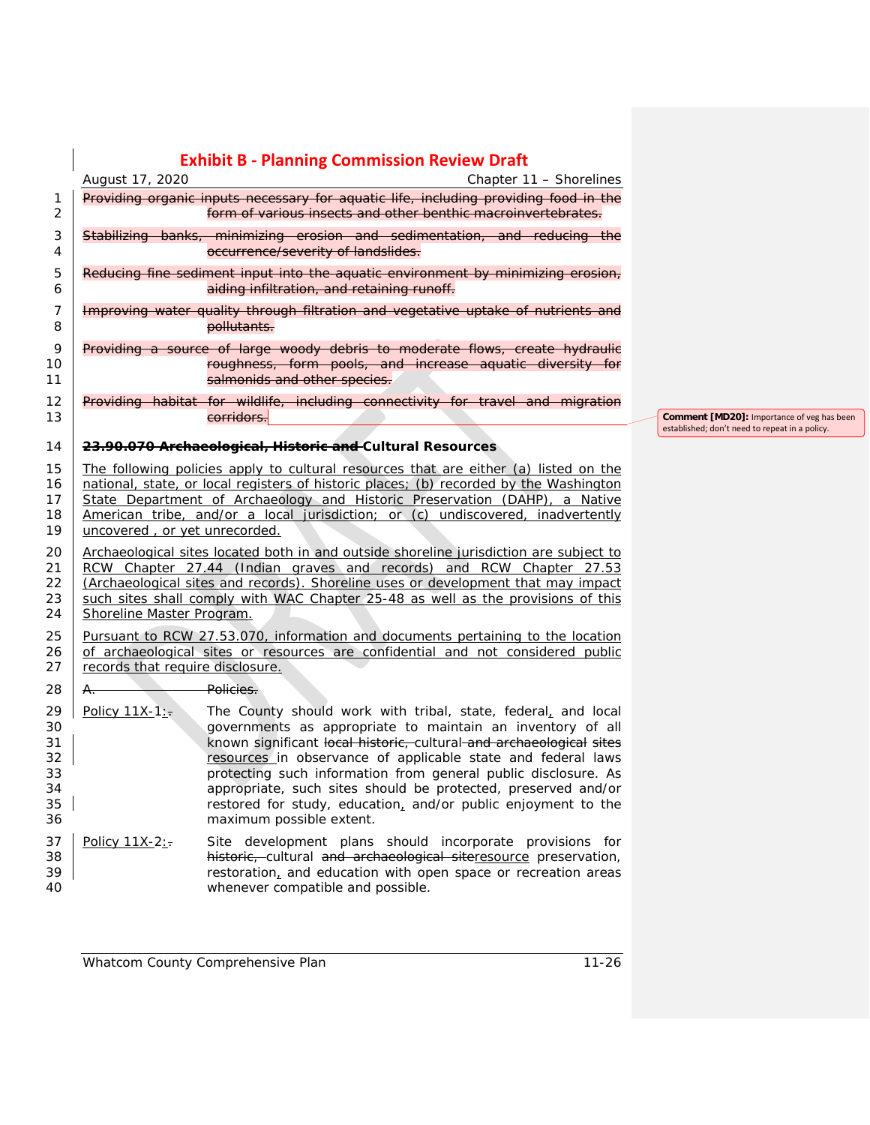|                                              | August 17, 2020                                                                                                                                                                                                                                                                                                                                                                  | <b>Exhibit B - Planning Commission Review Draft</b><br>Chapter 11 - Shorelines                                                                                                                                                                                                                                                                                                                                                                                                                     |  |                                                                                              |
|----------------------------------------------|----------------------------------------------------------------------------------------------------------------------------------------------------------------------------------------------------------------------------------------------------------------------------------------------------------------------------------------------------------------------------------|----------------------------------------------------------------------------------------------------------------------------------------------------------------------------------------------------------------------------------------------------------------------------------------------------------------------------------------------------------------------------------------------------------------------------------------------------------------------------------------------------|--|----------------------------------------------------------------------------------------------|
| 1<br>$\overline{c}$                          |                                                                                                                                                                                                                                                                                                                                                                                  | Providing organic inputs necessary for aquatic life, including providing food in the<br>form of various insects and other benthic macroinvertebrates.                                                                                                                                                                                                                                                                                                                                              |  |                                                                                              |
| 3<br>4                                       |                                                                                                                                                                                                                                                                                                                                                                                  | Stabilizing banks, minimizing crosion and sedimentation, and reducing the<br>occurrence/severity of landslides.                                                                                                                                                                                                                                                                                                                                                                                    |  |                                                                                              |
| 5<br>6                                       |                                                                                                                                                                                                                                                                                                                                                                                  | Reducing fine sediment input into the aquatic environment by minimizing erosion,<br>aiding infiltration, and retaining runoff.                                                                                                                                                                                                                                                                                                                                                                     |  |                                                                                              |
| 7<br>8                                       |                                                                                                                                                                                                                                                                                                                                                                                  | Improving water quality through filtration and vegetative uptake of nutrients and<br>pollutants.                                                                                                                                                                                                                                                                                                                                                                                                   |  |                                                                                              |
| 9<br>10<br>11                                |                                                                                                                                                                                                                                                                                                                                                                                  | Providing a source of large woody debris to moderate flows, create hydraulic<br>roughness, form pools, and increase aquatic diversity for<br>salmonids and other species.                                                                                                                                                                                                                                                                                                                          |  |                                                                                              |
| 12<br>13                                     |                                                                                                                                                                                                                                                                                                                                                                                  | Providing habitat for wildlife, including connectivity for travel and migration<br>corridors.                                                                                                                                                                                                                                                                                                                                                                                                      |  | Comment [MD20]: Importance of veg has been<br>established; don't need to repeat in a policy. |
| 14                                           |                                                                                                                                                                                                                                                                                                                                                                                  | 23.90.070 Archaeological, Historic and Cultural Resources                                                                                                                                                                                                                                                                                                                                                                                                                                          |  |                                                                                              |
| 15<br>16<br>17<br>18<br>19                   | The following policies apply to cultural resources that are either (a) listed on the<br>national, state, or local registers of historic places; (b) recorded by the Washington<br>State Department of Archaeology and Historic Preservation (DAHP), a Native<br>American tribe, and/or a local jurisdiction; or (c) undiscovered, inadvertently<br>uncovered, or yet unrecorded. |                                                                                                                                                                                                                                                                                                                                                                                                                                                                                                    |  |                                                                                              |
| 20<br>21<br>22<br>23<br>24                   | Archaeological sites located both in and outside shoreline jurisdiction are subject to<br>RCW Chapter 27.44 (Indian graves and records) and RCW Chapter 27.53<br>(Archaeological sites and records). Shoreline uses or development that may impact<br>such sites shall comply with WAC Chapter 25-48 as well as the provisions of this<br>Shoreline Master Program.              |                                                                                                                                                                                                                                                                                                                                                                                                                                                                                                    |  |                                                                                              |
| 25<br>26<br>27                               | Pursuant to RCW 27.53.070, information and documents pertaining to the location<br>of archaeological sites or resources are confidential and not considered public<br>records that require disclosure.                                                                                                                                                                           |                                                                                                                                                                                                                                                                                                                                                                                                                                                                                                    |  |                                                                                              |
| 28                                           | A.                                                                                                                                                                                                                                                                                                                                                                               | Policies.                                                                                                                                                                                                                                                                                                                                                                                                                                                                                          |  |                                                                                              |
| 29<br>30<br>31<br>32<br>33<br>34<br>35<br>36 | Policy 11X-1:                                                                                                                                                                                                                                                                                                                                                                    | The County should work with tribal, state, federal, and local<br>governments as appropriate to maintain an inventory of all<br>known significant local historic, cultural and archaeological sites<br>resources in observance of applicable state and federal laws<br>protecting such information from general public disclosure. As<br>appropriate, such sites should be protected, preserved and/or<br>restored for study, education, and/or public enjoyment to the<br>maximum possible extent. |  |                                                                                              |
| 37<br>38<br>39<br>40                         | Policy 11X-2:-                                                                                                                                                                                                                                                                                                                                                                   | Site development plans should incorporate provisions for<br>historic, cultural and archaeological siteresource preservation,<br>restoration, and education with open space or recreation areas<br>whenever compatible and possible.                                                                                                                                                                                                                                                                |  |                                                                                              |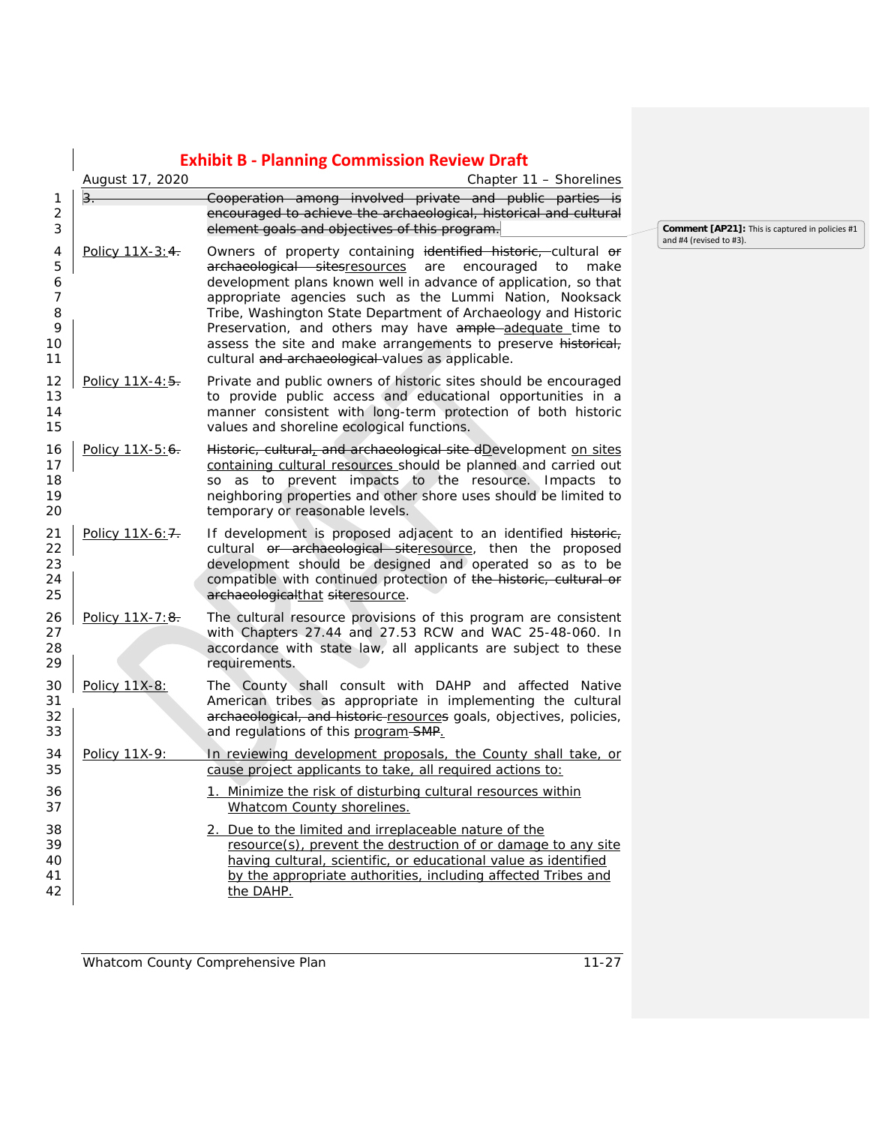|                                                     |                  | <b>Exhibit B - Planning Commission Review Draft</b>                                                                                                                                                                                                                                                                                                                                                                                                                                                                  |
|-----------------------------------------------------|------------------|----------------------------------------------------------------------------------------------------------------------------------------------------------------------------------------------------------------------------------------------------------------------------------------------------------------------------------------------------------------------------------------------------------------------------------------------------------------------------------------------------------------------|
|                                                     | August 17, 2020  | Chapter 11 - Shorelines                                                                                                                                                                                                                                                                                                                                                                                                                                                                                              |
| 1<br>$\overline{2}$<br>3                            | $3 -$            | Cooperation among involved private and public parties is<br>encouraged to achieve the archaeological, historical and cultural<br>element goals and objectives of this program.                                                                                                                                                                                                                                                                                                                                       |
| 4<br>5<br>6<br>$\overline{7}$<br>8<br>9<br>10<br>11 | Policy 11X-3:4.  | Owners of property containing identified historic, cultural or<br>archaeological sitesresources<br>encouraged<br>make<br>are<br>to<br>development plans known well in advance of application, so that<br>appropriate agencies such as the Lummi Nation, Nooksack<br>Tribe, Washington State Department of Archaeology and Historic<br>Preservation, and others may have ample-adequate time to<br>assess the site and make arrangements to preserve historical,<br>cultural and archaeological-values as applicable. |
| 12<br>13<br>14<br>15                                | Policy 11X-4:5.  | Private and public owners of historic sites should be encouraged<br>to provide public access and educational opportunities in a<br>manner consistent with long-term protection of both historic<br>values and shoreline ecological functions.                                                                                                                                                                                                                                                                        |
| 16<br>17<br>18<br>19<br>20                          | Policy 11X-5:6.  | Historic, cultural, and archaeological site dDevelopment on sites<br>containing cultural resources should be planned and carried out<br>so as to prevent impacts to the resource. Impacts to<br>neighboring properties and other shore uses should be limited to<br>temporary or reasonable levels.                                                                                                                                                                                                                  |
| 21<br>22<br>23<br>24<br>25                          | Policy 11X-6: 7. | If development is proposed adjacent to an identified historic,<br>cultural or archaeological siteresource, then the proposed<br>development should be designed and operated so as to be<br>compatible with continued protection of the historic, cultural or<br>archaeologicalthat siteresource.                                                                                                                                                                                                                     |
| 26<br>27<br>28<br>29                                | Policy 11X-7:8.  | The cultural resource provisions of this program are consistent<br>with Chapters 27.44 and 27.53 RCW and WAC 25-48-060. In<br>accordance with state law, all applicants are subject to these<br>requirements.                                                                                                                                                                                                                                                                                                        |
| 30<br>31<br>32<br>33                                | Policy 11X-8:    | The County shall consult with DAHP and affected Native<br>American tribes as appropriate in implementing the cultural<br>archaeological, and historic-resources goals, objectives, policies,<br>and regulations of this program-SMP.                                                                                                                                                                                                                                                                                 |
| 34<br>35                                            | Policy 11X-9:    | In reviewing development proposals, the County shall take, or<br>cause project applicants to take, all required actions to:                                                                                                                                                                                                                                                                                                                                                                                          |
| 36<br>37                                            |                  | 1. Minimize the risk of disturbing cultural resources within<br><b>Whatcom County shorelines.</b>                                                                                                                                                                                                                                                                                                                                                                                                                    |
| 38<br>39<br>40<br>41<br>42                          |                  | 2. Due to the limited and irreplaceable nature of the<br>resource(s), prevent the destruction of or damage to any site<br>having cultural, scientific, or educational value as identified<br>by the appropriate authorities, including affected Tribes and<br>the DAHP.                                                                                                                                                                                                                                              |

**Comment [AP21]:** This is captured in policies #1 and #4 (revised to #3).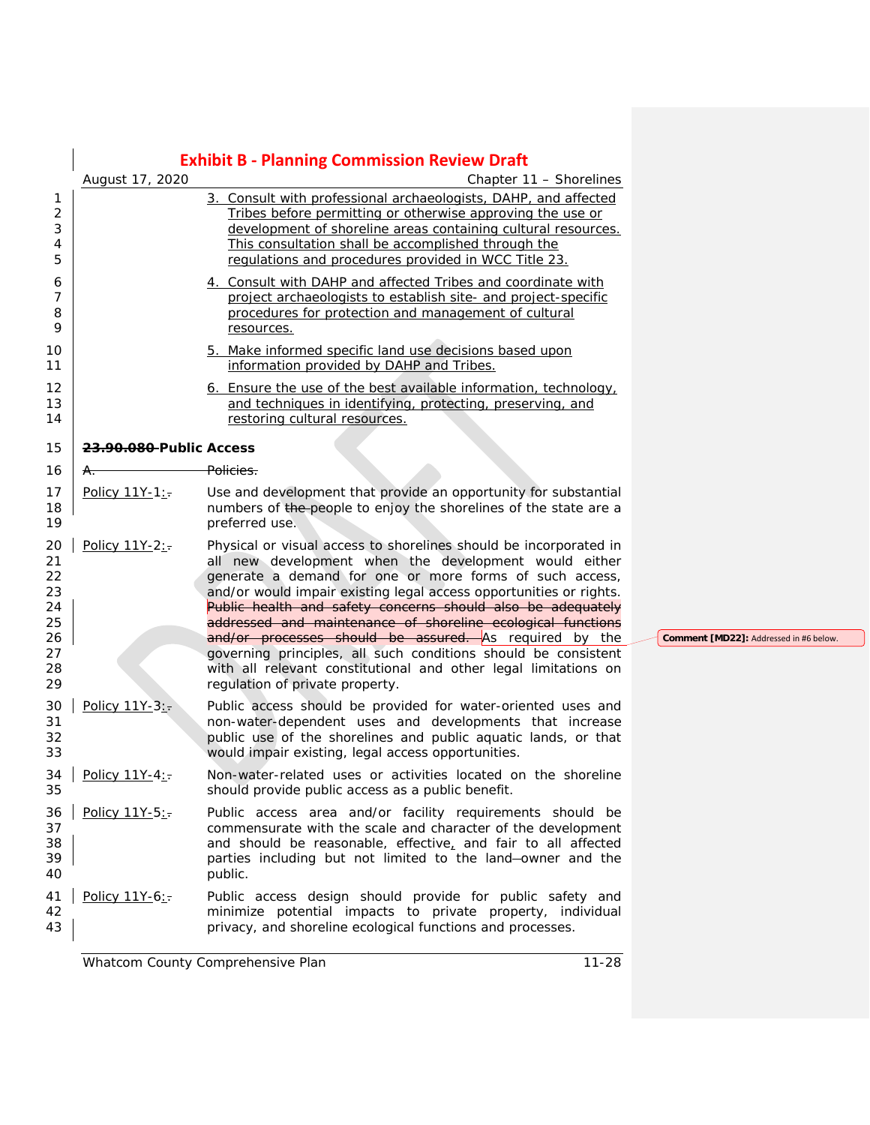|                                                    |                                     | <b>Exhibit B - Planning Commission Review Draft</b>                                                                                                                                                                                                                                                                                                                                                                                                                                                                                                                                      |
|----------------------------------------------------|-------------------------------------|------------------------------------------------------------------------------------------------------------------------------------------------------------------------------------------------------------------------------------------------------------------------------------------------------------------------------------------------------------------------------------------------------------------------------------------------------------------------------------------------------------------------------------------------------------------------------------------|
|                                                    | August 17, 2020                     | Chapter 11 - Shorelines                                                                                                                                                                                                                                                                                                                                                                                                                                                                                                                                                                  |
| 1<br>$\overline{2}$<br>3<br>4<br>5                 |                                     | 3. Consult with professional archaeologists, DAHP, and affected<br>Tribes before permitting or otherwise approving the use or<br>development of shoreline areas containing cultural resources.<br>This consultation shall be accomplished through the<br>regulations and procedures provided in WCC Title 23.                                                                                                                                                                                                                                                                            |
| 6<br>7<br>8<br>9                                   |                                     | 4. Consult with DAHP and affected Tribes and coordinate with<br>project archaeologists to establish site- and project-specific<br>procedures for protection and management of cultural<br>resources.                                                                                                                                                                                                                                                                                                                                                                                     |
| 10<br>11                                           |                                     | 5. Make informed specific land use decisions based upon<br>information provided by DAHP and Tribes.                                                                                                                                                                                                                                                                                                                                                                                                                                                                                      |
| 12<br>13<br>14                                     |                                     | 6. Ensure the use of the best available information, technology,<br>and techniques in identifying, protecting, preserving, and<br>restoring cultural resources.                                                                                                                                                                                                                                                                                                                                                                                                                          |
| 15                                                 | <del>23.90.080 </del> Public Access |                                                                                                                                                                                                                                                                                                                                                                                                                                                                                                                                                                                          |
| 16                                                 | <del>A.</del>                       | Policies.                                                                                                                                                                                                                                                                                                                                                                                                                                                                                                                                                                                |
| 17<br>18<br>19                                     | Policy 11Y-1:                       | Use and development that provide an opportunity for substantial<br>numbers of the people to enjoy the shorelines of the state are a<br>preferred use.                                                                                                                                                                                                                                                                                                                                                                                                                                    |
| 20<br>21<br>22<br>23<br>24<br>25<br>26<br>27<br>28 | Policy 11Y-2:-                      | Physical or visual access to shorelines should be incorporated in<br>all new development when the development would either<br>generate a demand for one or more forms of such access,<br>and/or would impair existing legal access opportunities or rights.<br>Public health and safety concerns should also be adequately<br>addressed and maintenance of shoreline ecological functions<br>and/or processes should be assured. As required by the<br>governing principles, all such conditions should be consistent<br>with all relevant constitutional and other legal limitations on |
| 29                                                 |                                     | regulation of private property.                                                                                                                                                                                                                                                                                                                                                                                                                                                                                                                                                          |
| 30<br>31<br>32<br>33                               | Policy 11Y-3:                       | Public access should be provided for water-oriented uses and<br>non-water-dependent uses and developments that increase<br>public use of the shorelines and public aquatic lands, or that<br>would impair existing, legal access opportunities.                                                                                                                                                                                                                                                                                                                                          |
| 34<br>35                                           | Policy $11Y-4:$                     | Non-water-related uses or activities located on the shoreline<br>should provide public access as a public benefit.                                                                                                                                                                                                                                                                                                                                                                                                                                                                       |
| 36<br>37<br>38<br>39<br>40                         | Policy 11Y-5:                       | Public access area and/or facility requirements should be<br>commensurate with the scale and character of the development<br>and should be reasonable, effective, and fair to all affected<br>parties including but not limited to the land-owner and the<br>public.                                                                                                                                                                                                                                                                                                                     |
| 41<br>42<br>43                                     | Policy 11Y-6:                       | Public access design should provide for public safety and<br>minimize potential impacts to private property, individual<br>privacy, and shoreline ecological functions and processes.                                                                                                                                                                                                                                                                                                                                                                                                    |

**Comment [MD22]:** Addressed in #6 below.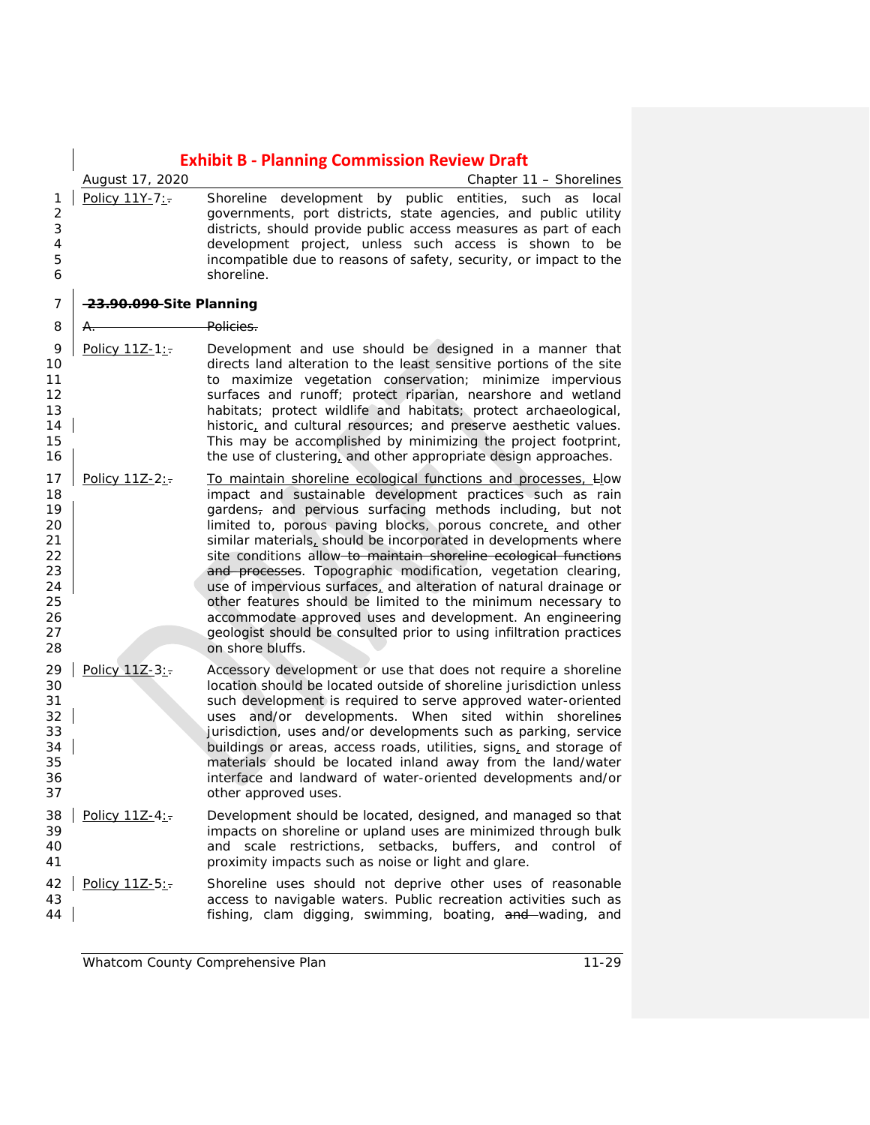|                                                                      |                                    | <b>Exhibit B - Planning Commission Review Draft</b>                                                                                                                                                                                                                                                                                                                                                                                                                                                                                                                                                                                                                                                                                                           |
|----------------------------------------------------------------------|------------------------------------|---------------------------------------------------------------------------------------------------------------------------------------------------------------------------------------------------------------------------------------------------------------------------------------------------------------------------------------------------------------------------------------------------------------------------------------------------------------------------------------------------------------------------------------------------------------------------------------------------------------------------------------------------------------------------------------------------------------------------------------------------------------|
|                                                                      | August 17, 2020                    | Chapter 11 - Shorelines                                                                                                                                                                                                                                                                                                                                                                                                                                                                                                                                                                                                                                                                                                                                       |
| 1<br>2<br>3<br>4<br>5<br>6                                           | Policy 11Y-7:                      | Shoreline development by public entities, such as local<br>governments, port districts, state agencies, and public utility<br>districts, should provide public access measures as part of each<br>development project, unless such access is shown to be<br>incompatible due to reasons of safety, security, or impact to the<br>shoreline.                                                                                                                                                                                                                                                                                                                                                                                                                   |
| $\overline{7}$                                                       | <del>23.90.090</del> Site Planning |                                                                                                                                                                                                                                                                                                                                                                                                                                                                                                                                                                                                                                                                                                                                                               |
| 8                                                                    | ₳.                                 | Policies.                                                                                                                                                                                                                                                                                                                                                                                                                                                                                                                                                                                                                                                                                                                                                     |
| 9<br>10<br>11<br>12<br>13<br>14<br>15<br>16                          | Policy 11Z-1:-                     | Development and use should be designed in a manner that<br>directs land alteration to the least sensitive portions of the site<br>to maximize vegetation conservation; minimize impervious<br>surfaces and runoff; protect riparian, nearshore and wetland<br>habitats; protect wildlife and habitats; protect archaeological,<br>historic, and cultural resources; and preserve aesthetic values.<br>This may be accomplished by minimizing the project footprint,<br>the use of clustering, and other appropriate design approaches.                                                                                                                                                                                                                        |
| 17<br>18<br>19<br>20<br>21<br>22<br>23<br>24<br>25<br>26<br>27<br>28 | Policy 11Z-2:-                     | To maintain shoreline ecological functions and processes, How<br>impact and sustainable development practices such as rain<br>gardens, and pervious surfacing methods including, but not<br>limited to, porous paving blocks, porous concrete, and other<br>similar materials, should be incorporated in developments where<br>site conditions allow-to maintain shoreline ecological functions<br>and processes. Topographic modification, vegetation clearing,<br>use of impervious surfaces, and alteration of natural drainage or<br>other features should be limited to the minimum necessary to<br>accommodate approved uses and development. An engineering<br>geologist should be consulted prior to using infiltration practices<br>on shore bluffs. |
| 29<br>30<br>31<br>32<br>33<br>34<br>35<br>36<br>37                   | Policy 11Z-3:                      | Accessory development or use that does not require a shoreline<br>location should be located outside of shoreline jurisdiction unless<br>such development is required to serve approved water-oriented<br>uses and/or developments. When sited within shorelines<br>jurisdiction, uses and/or developments such as parking, service<br>buildings or areas, access roads, utilities, signs, and storage of<br>materials should be located inland away from the land/water<br>interface and landward of water-oriented developments and/or<br>other approved uses.                                                                                                                                                                                              |
| 38<br>39<br>40<br>41                                                 | Policy 11Z-4:                      | Development should be located, designed, and managed so that<br>impacts on shoreline or upland uses are minimized through bulk<br>and scale restrictions, setbacks, buffers, and control of<br>proximity impacts such as noise or light and glare.                                                                                                                                                                                                                                                                                                                                                                                                                                                                                                            |
| 42<br>43<br>44                                                       | Policy 11Z-5:                      | Shoreline uses should not deprive other uses of reasonable<br>access to navigable waters. Public recreation activities such as<br>fishing, clam digging, swimming, boating, and wading, and                                                                                                                                                                                                                                                                                                                                                                                                                                                                                                                                                                   |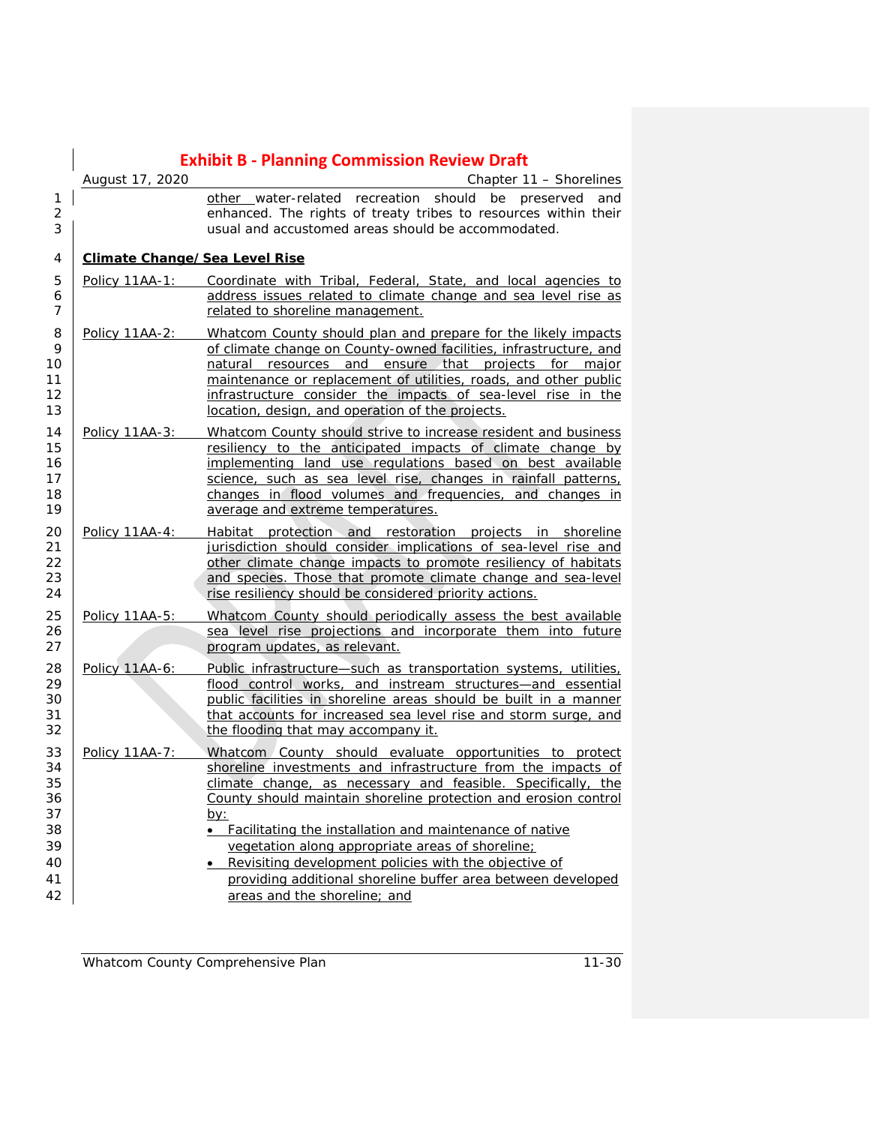|                                      | <b>Exhibit B - Planning Commission Review Draft</b>                                                                                                                                                                                                                                                                                                                                                                                                                                                                                                  |
|--------------------------------------|------------------------------------------------------------------------------------------------------------------------------------------------------------------------------------------------------------------------------------------------------------------------------------------------------------------------------------------------------------------------------------------------------------------------------------------------------------------------------------------------------------------------------------------------------|
|                                      | Chapter 11 - Shorelines<br>other water-related recreation should be preserved<br>and<br>enhanced. The rights of treaty tribes to resources within their<br>usual and accustomed areas should be accommodated.                                                                                                                                                                                                                                                                                                                                        |
| <b>Climate Change/Sea Level Rise</b> |                                                                                                                                                                                                                                                                                                                                                                                                                                                                                                                                                      |
| Policy 11AA-1:                       | Coordinate with Tribal, Federal, State, and local agencies to<br>address issues related to climate change and sea level rise as<br>related to shoreline management.                                                                                                                                                                                                                                                                                                                                                                                  |
| Policy 11AA-2:                       | Whatcom County should plan and prepare for the likely impacts<br>of climate change on County-owned facilities, infrastructure, and<br>natural resources and ensure that projects for major<br>maintenance or replacement of utilities, roads, and other public<br>infrastructure consider the impacts of sea-level rise in the<br>location, design, and operation of the projects.                                                                                                                                                                   |
| Policy 11AA-3:                       | Whatcom County should strive to increase resident and business<br>resiliency to the anticipated impacts of climate change by<br>implementing land use regulations based on best available<br>science, such as sea level rise, changes in rainfall patterns,<br>changes in flood volumes and frequencies, and changes in<br>average and extreme temperatures.                                                                                                                                                                                         |
| Policy 11AA-4:                       | Habitat protection and restoration projects in shoreline<br>jurisdiction should consider implications of sea-level rise and<br>other climate change impacts to promote resiliency of habitats<br>and species. Those that promote climate change and sea-level<br>rise resiliency should be considered priority actions.                                                                                                                                                                                                                              |
| Policy 11AA-5:                       | Whatcom County should periodically assess the best available<br>sea level rise projections and incorporate them into future<br>program updates, as relevant.                                                                                                                                                                                                                                                                                                                                                                                         |
| Policy 11AA-6:                       | Public infrastructure-such as transportation systems, utilities,<br>flood control works, and instream structures-and essential<br>public facilities in shoreline areas should be built in a manner<br>that accounts for increased sea level rise and storm surge, and<br>the flooding that may accompany it.                                                                                                                                                                                                                                         |
| Policy 11AA-7:                       | Whatcom County should evaluate opportunities to protect<br>shoreline investments and infrastructure from the impacts of<br>climate change, as necessary and feasible. Specifically, the<br>County should maintain shoreline protection and erosion control<br><u>by:</u><br>• Facilitating the installation and maintenance of native<br>vegetation along appropriate areas of shoreline;<br>• Revisiting development policies with the objective of<br>providing additional shoreline buffer area between developed<br>areas and the shoreline; and |
|                                      | August 17, 2020                                                                                                                                                                                                                                                                                                                                                                                                                                                                                                                                      |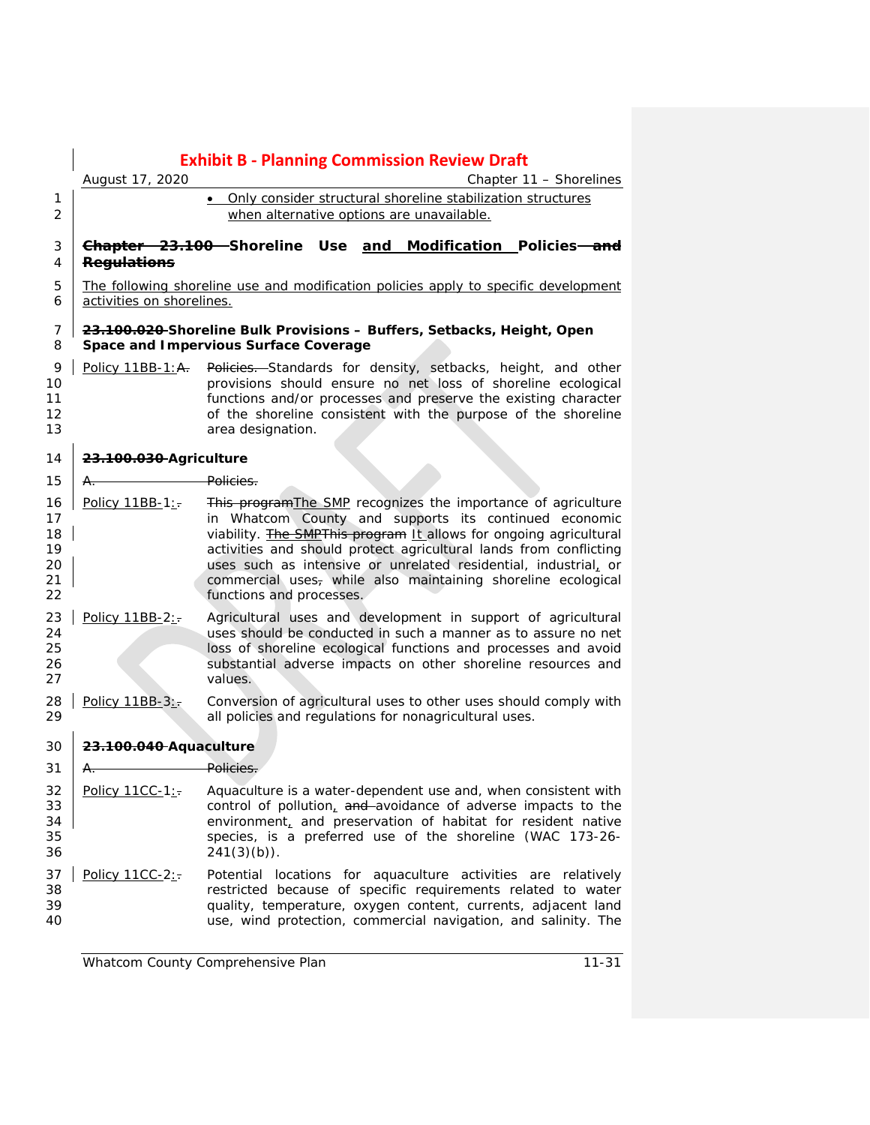|                                        |                           | <b>Exhibit B - Planning Commission Review Draft</b>                                                                                                                                                                                                                                                                                                                                                                                    |
|----------------------------------------|---------------------------|----------------------------------------------------------------------------------------------------------------------------------------------------------------------------------------------------------------------------------------------------------------------------------------------------------------------------------------------------------------------------------------------------------------------------------------|
|                                        | August 17, 2020           | Chapter 11 - Shorelines                                                                                                                                                                                                                                                                                                                                                                                                                |
| 1                                      |                           | . Only consider structural shoreline stabilization structures                                                                                                                                                                                                                                                                                                                                                                          |
| $\overline{2}$                         |                           | when alternative options are unavailable.                                                                                                                                                                                                                                                                                                                                                                                              |
| 3<br>4                                 | <b>Regulations</b>        | Chapter 23.100 Shoreline Use<br>and Modification Policies <del> and</del>                                                                                                                                                                                                                                                                                                                                                              |
| 5<br>6                                 | activities on shorelines. | The following shoreline use and modification policies apply to specific development                                                                                                                                                                                                                                                                                                                                                    |
| 7<br>8                                 |                           | 23.100.020 Shoreline Bulk Provisions - Buffers, Setbacks, Height, Open<br>Space and Impervious Surface Coverage                                                                                                                                                                                                                                                                                                                        |
| 9<br>10<br>11<br>12<br>13              |                           | Policy 11BB-1:A. Policies. Standards for density, setbacks, height, and other<br>provisions should ensure no net loss of shoreline ecological<br>functions and/or processes and preserve the existing character<br>of the shoreline consistent with the purpose of the shoreline<br>area designation.                                                                                                                                  |
| 14                                     | 23.100.030 Agriculture    |                                                                                                                                                                                                                                                                                                                                                                                                                                        |
| 15                                     | <b>Policies</b><br>A.     |                                                                                                                                                                                                                                                                                                                                                                                                                                        |
| 16<br>17<br>18<br>19<br>20<br>21<br>22 | Policy 11BB-1:            | This program The SMP recognizes the importance of agriculture<br>in Whatcom County and supports its continued economic<br>viability. <b>The SMPThis program It allows for ongoing agricultural</b><br>activities and should protect agricultural lands from conflicting<br>uses such as intensive or unrelated residential, industrial, or<br>commercial uses, while also maintaining shoreline ecological<br>functions and processes. |
| 23<br>24<br>25<br>26<br>27             | Policy 11BB-2:-           | Agricultural uses and development in support of agricultural<br>uses should be conducted in such a manner as to assure no net<br>loss of shoreline ecological functions and processes and avoid<br>substantial adverse impacts on other shoreline resources and<br>values.                                                                                                                                                             |
| 28<br>29                               | Policy 11BB-3:            | Conversion of agricultural uses to other uses should comply with<br>all policies and regulations for nonagricultural uses.                                                                                                                                                                                                                                                                                                             |
| 30                                     | 23.100.040 Aquaculture    |                                                                                                                                                                                                                                                                                                                                                                                                                                        |
| 31                                     | Α.                        | Policies.                                                                                                                                                                                                                                                                                                                                                                                                                              |
| 32<br>33<br>34<br>35<br>36             | Policy 11CC-1:            | Aquaculture is a water-dependent use and, when consistent with<br>control of pollution, and avoidance of adverse impacts to the<br>environment, and preservation of habitat for resident native<br>species, is a preferred use of the shoreline (WAC 173-26-<br>$241(3)(b)$ .                                                                                                                                                          |
| 37<br>38<br>39<br>40                   | Policy 11CC-2:-           | Potential locations for aquaculture activities are relatively<br>restricted because of specific requirements related to water<br>quality, temperature, oxygen content, currents, adjacent land<br>use, wind protection, commercial navigation, and salinity. The                                                                                                                                                                       |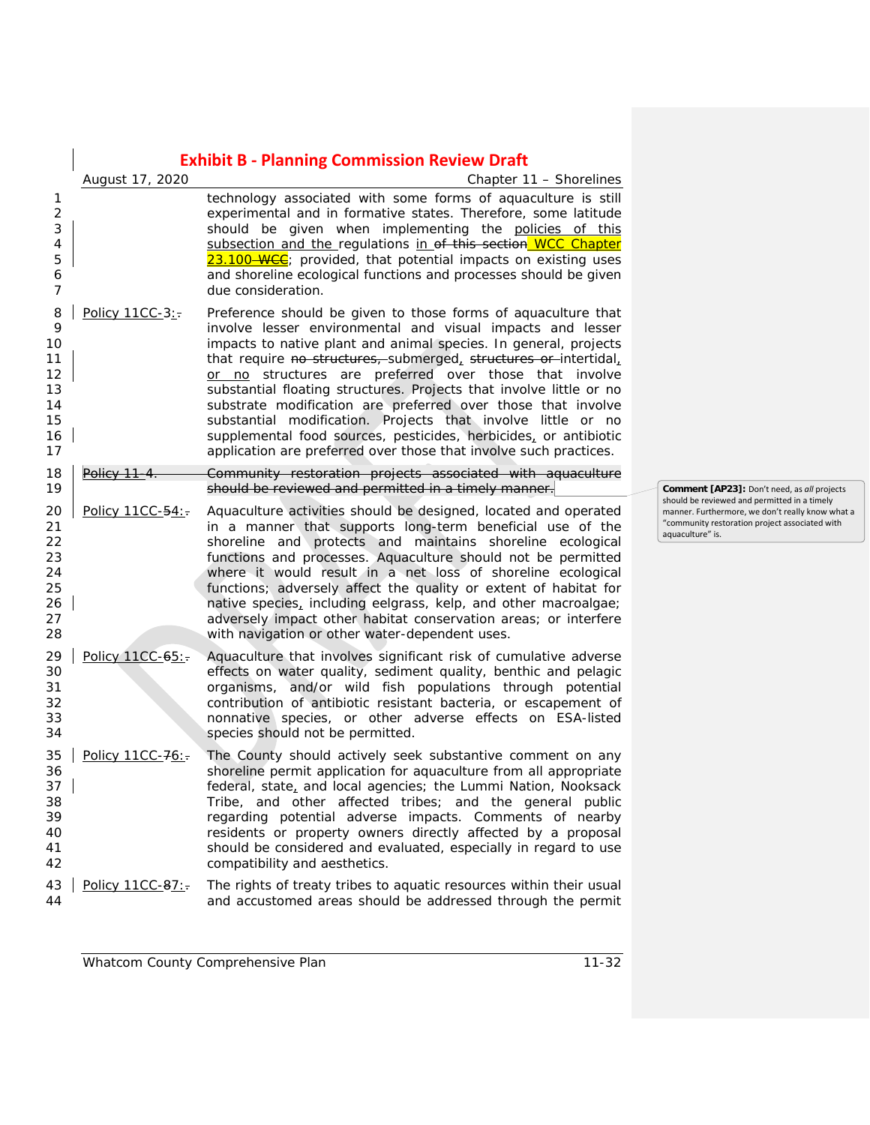|                                                        |                   | <b>Exhibit B - Planning Commission Review Draft</b>                                                                                                                                                                                                                                                                                                                                                                                                                                                                                                                                                                                                                           |  |
|--------------------------------------------------------|-------------------|-------------------------------------------------------------------------------------------------------------------------------------------------------------------------------------------------------------------------------------------------------------------------------------------------------------------------------------------------------------------------------------------------------------------------------------------------------------------------------------------------------------------------------------------------------------------------------------------------------------------------------------------------------------------------------|--|
| 1<br>$\overline{2}$<br>3<br>4<br>5<br>6<br>7           | August 17, 2020   | Chapter 11 – Shorelines<br>technology associated with some forms of aquaculture is still<br>experimental and in formative states. Therefore, some latitude<br>should be given when implementing the policies of this<br>subsection and the regulations in of this section WCC Chapter<br>23.100 WCC; provided, that potential impacts on existing uses<br>and shoreline ecological functions and processes should be given<br>due consideration.                                                                                                                                                                                                                              |  |
| 8<br>9<br>10<br>11<br>12<br>13<br>14<br>15<br>16<br>17 | Policy 11CC-3:    | Preference should be given to those forms of aquaculture that<br>involve lesser environmental and visual impacts and lesser<br>impacts to native plant and animal species. In general, projects<br>that require no structures, submerged, structures or intertidal,<br>or no structures are preferred over those that involve<br>substantial floating structures. Projects that involve little or no<br>substrate modification are preferred over those that involve<br>substantial modification. Projects that involve little or no<br>supplemental food sources, pesticides, herbicides, or antibiotic<br>application are preferred over those that involve such practices. |  |
| 18<br>19                                               | <del>Policy</del> | Community restoration projects associated with aquaculture<br>should be reviewed and permitted in a timely manner.                                                                                                                                                                                                                                                                                                                                                                                                                                                                                                                                                            |  |
| 20<br>21<br>22<br>23<br>24<br>25<br>26<br>27<br>28     | Policy 11CC-54:   | Aquaculture activities should be designed, located and operated<br>in a manner that supports long-term beneficial use of the<br>shoreline and protects and maintains shoreline ecological<br>functions and processes. Aquaculture should not be permitted<br>where it would result in a net loss of shoreline ecological<br>functions; adversely affect the quality or extent of habitat for<br>native species, including eelgrass, kelp, and other macroalgae;<br>adversely impact other habitat conservation areas; or interfere<br>with navigation or other water-dependent uses.                                                                                          |  |
| 29<br>30<br>31<br>32<br>33<br>34                       | Policy 11CC-65:   | Aquaculture that involves significant risk of cumulative adverse<br>effects on water quality, sediment quality, benthic and pelagic<br>organisms, and/or wild fish populations through potential<br>contribution of antibiotic resistant bacteria, or escapement of<br>nonnative species, or other adverse effects on ESA-listed<br>species should not be permitted.                                                                                                                                                                                                                                                                                                          |  |
| 35<br>36<br>37<br>38<br>39<br>40<br>41<br>42           | Policy 11CC-76:-  | The County should actively seek substantive comment on any<br>shoreline permit application for aquaculture from all appropriate<br>federal, state, and local agencies; the Lummi Nation, Nooksack<br>Tribe, and other affected tribes; and the general public<br>regarding potential adverse impacts. Comments of nearby<br>residents or property owners directly affected by a proposal<br>should be considered and evaluated, especially in regard to use<br>compatibility and aesthetics.                                                                                                                                                                                  |  |
| 43<br>44                                               | Policy 11CC-87:   | The rights of treaty tribes to aquatic resources within their usual<br>and accustomed areas should be addressed through the permit                                                                                                                                                                                                                                                                                                                                                                                                                                                                                                                                            |  |

**Comment [AP23]:** Don't need, as *all* projects should be reviewed and permitted in a timely manner. Furthermore, we don't really know what a "community restoration project associated with approximate and a production proj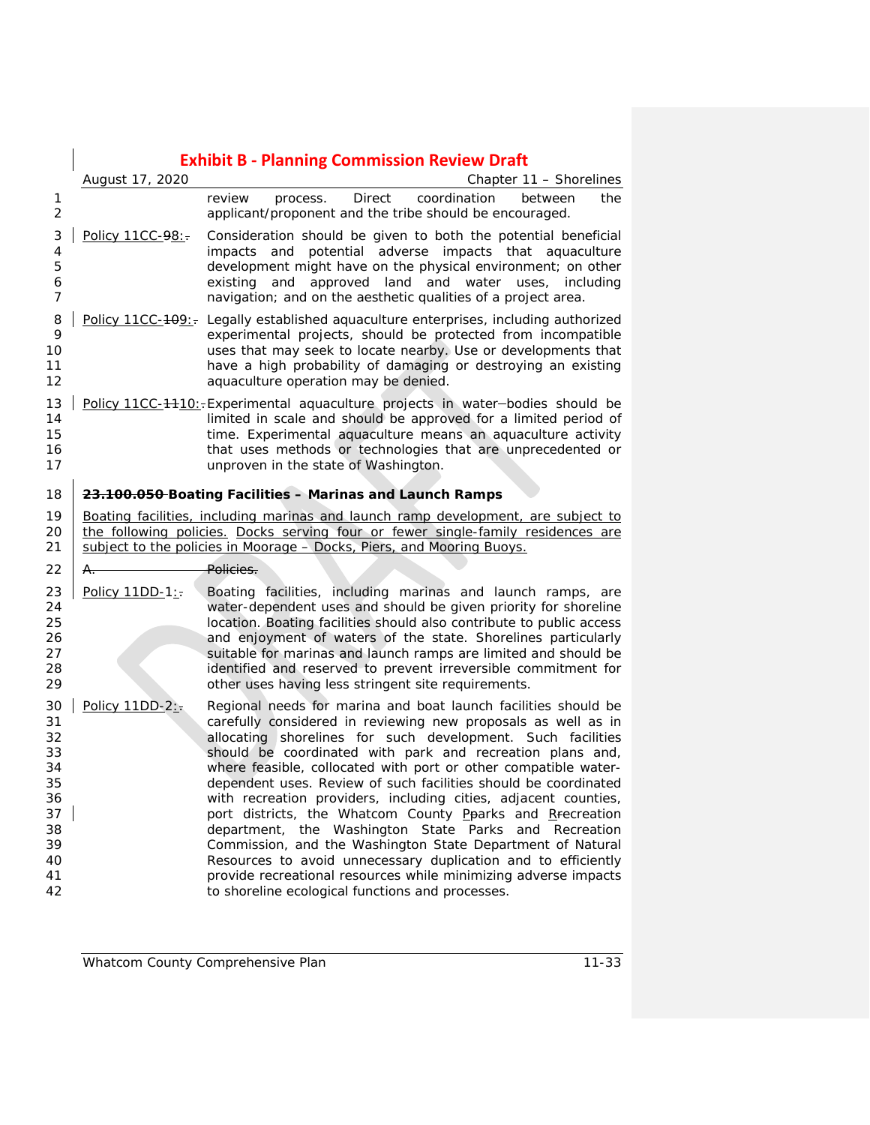|                                                                            | <b>Exhibit B - Planning Commission Review Draft</b> |                                                                                                                                                                                                                                                                                                                                                                                                                                                                                                                                                                                                                                                                                                                                                                                                                                                 |  |
|----------------------------------------------------------------------------|-----------------------------------------------------|-------------------------------------------------------------------------------------------------------------------------------------------------------------------------------------------------------------------------------------------------------------------------------------------------------------------------------------------------------------------------------------------------------------------------------------------------------------------------------------------------------------------------------------------------------------------------------------------------------------------------------------------------------------------------------------------------------------------------------------------------------------------------------------------------------------------------------------------------|--|
|                                                                            | August 17, 2020                                     | Chapter 11 – Shorelines                                                                                                                                                                                                                                                                                                                                                                                                                                                                                                                                                                                                                                                                                                                                                                                                                         |  |
| 1<br>2                                                                     |                                                     | <b>Direct</b><br>review<br>coordination<br>process.<br>between<br>the<br>applicant/proponent and the tribe should be encouraged.                                                                                                                                                                                                                                                                                                                                                                                                                                                                                                                                                                                                                                                                                                                |  |
| 3<br>4<br>5<br>6<br>7                                                      | Policy 11CC-98:-                                    | Consideration should be given to both the potential beneficial<br>impacts and potential adverse impacts that aquaculture<br>development might have on the physical environment; on other<br>approved land and water uses, including<br>existing<br>and<br>navigation; and on the aesthetic qualities of a project area.                                                                                                                                                                                                                                                                                                                                                                                                                                                                                                                         |  |
| 8<br>9<br>10<br>11<br>12                                                   |                                                     | Policy 11CC-409:- Legally established aquaculture enterprises, including authorized<br>experimental projects, should be protected from incompatible<br>uses that may seek to locate nearby. Use or developments that<br>have a high probability of damaging or destroying an existing<br>aquaculture operation may be denied.                                                                                                                                                                                                                                                                                                                                                                                                                                                                                                                   |  |
| 13<br>14<br>15<br>16<br>17                                                 |                                                     | Policy 11CC-4410:-Experimental aquaculture projects in water-bodies should be<br>limited in scale and should be approved for a limited period of<br>time. Experimental aquaculture means an aquaculture activity<br>that uses methods or technologies that are unprecedented or<br>unproven in the state of Washington.                                                                                                                                                                                                                                                                                                                                                                                                                                                                                                                         |  |
| 18                                                                         |                                                     | 23.100.050-Boating Facilities - Marinas and Launch Ramps                                                                                                                                                                                                                                                                                                                                                                                                                                                                                                                                                                                                                                                                                                                                                                                        |  |
| 19<br>20<br>21                                                             |                                                     | Boating facilities, including marinas and launch ramp development, are subject to<br>the following policies. Docks serving four or fewer single-family residences are<br>subject to the policies in Moorage - Docks, Piers, and Mooring Buoys.                                                                                                                                                                                                                                                                                                                                                                                                                                                                                                                                                                                                  |  |
| 22                                                                         | A.,                                                 | Policies.                                                                                                                                                                                                                                                                                                                                                                                                                                                                                                                                                                                                                                                                                                                                                                                                                                       |  |
| 23<br>24<br>25<br>26<br>27<br>28<br>29                                     | Policy 11DD-1:                                      | Boating facilities, including marinas and launch ramps, are<br>water-dependent uses and should be given priority for shoreline<br>location. Boating facilities should also contribute to public access<br>and enjoyment of waters of the state. Shorelines particularly<br>suitable for marinas and launch ramps are limited and should be<br>identified and reserved to prevent irreversible commitment for<br>other uses having less stringent site requirements.                                                                                                                                                                                                                                                                                                                                                                             |  |
| 30<br>31<br>32<br>33<br>34<br>35<br>36<br>37<br>38<br>39<br>40<br>41<br>42 | Policy $11DD-2$ :                                   | Regional needs for marina and boat launch facilities should be<br>carefully considered in reviewing new proposals as well as in<br>allocating shorelines for such development. Such facilities<br>should be coordinated with park and recreation plans and,<br>where feasible, collocated with port or other compatible water-<br>dependent uses. Review of such facilities should be coordinated<br>with recreation providers, including cities, adjacent counties,<br>port districts, the Whatcom County Pearks and Recreation<br>department, the Washington State Parks and Recreation<br>Commission, and the Washington State Department of Natural<br>Resources to avoid unnecessary duplication and to efficiently<br>provide recreational resources while minimizing adverse impacts<br>to shoreline ecological functions and processes. |  |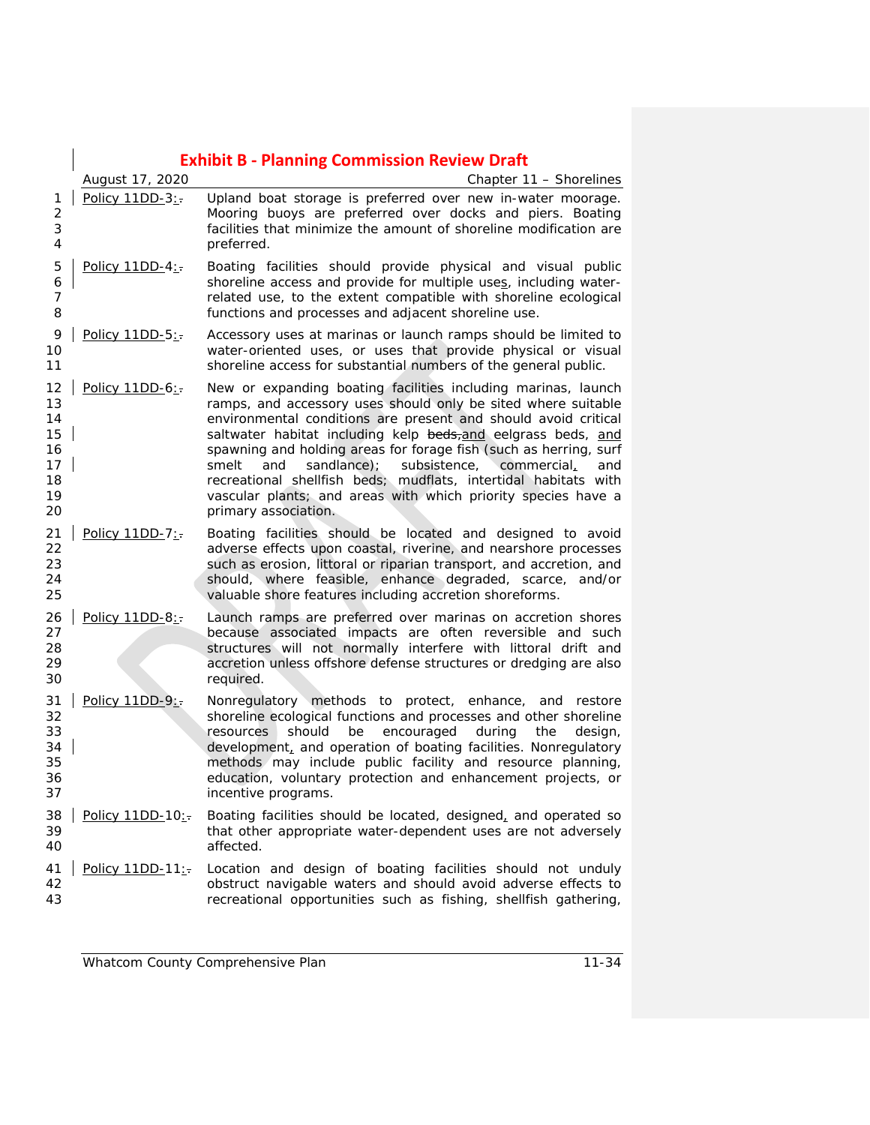|                                                    | <b>Exhibit B - Planning Commission Review Draft</b> |                                                                                                                                                                                                                                                                                                                                                                                                                                                                                                                                                                        |  |
|----------------------------------------------------|-----------------------------------------------------|------------------------------------------------------------------------------------------------------------------------------------------------------------------------------------------------------------------------------------------------------------------------------------------------------------------------------------------------------------------------------------------------------------------------------------------------------------------------------------------------------------------------------------------------------------------------|--|
|                                                    | August 17, 2020                                     | Chapter 11 - Shorelines                                                                                                                                                                                                                                                                                                                                                                                                                                                                                                                                                |  |
| 1<br>$\overline{2}$<br>3<br>4                      | Policy 11DD-3:                                      | Upland boat storage is preferred over new in-water moorage.<br>Mooring buoys are preferred over docks and piers. Boating<br>facilities that minimize the amount of shoreline modification are<br>preferred.                                                                                                                                                                                                                                                                                                                                                            |  |
| 5<br>6<br>$\overline{7}$<br>8                      | Policy 11DD-4:                                      | Boating facilities should provide physical and visual public<br>shoreline access and provide for multiple uses, including water-<br>related use, to the extent compatible with shoreline ecological<br>functions and processes and adjacent shoreline use.                                                                                                                                                                                                                                                                                                             |  |
| 9<br>10<br>11                                      | Policy 11DD-5:                                      | Accessory uses at marinas or launch ramps should be limited to<br>water-oriented uses, or uses that provide physical or visual<br>shoreline access for substantial numbers of the general public.                                                                                                                                                                                                                                                                                                                                                                      |  |
| 12<br>13<br>14<br>15<br>16<br>17<br>18<br>19<br>20 | Policy 11DD-6:                                      | New or expanding boating facilities including marinas, launch<br>ramps, and accessory uses should only be sited where suitable<br>environmental conditions are present and should avoid critical<br>saltwater habitat including kelp beds, and eelgrass beds, and<br>spawning and holding areas for forage fish (such as herring, surf<br>sandlance);<br>smelt<br>and<br>subsistence,<br>commercial<br>and<br>recreational shellfish beds; mudflats, intertidal habitats with<br>vascular plants; and areas with which priority species have a<br>primary association. |  |
| 21<br>22<br>23<br>24<br>25                         | Policy 11DD-7:-                                     | Boating facilities should be located and designed to avoid<br>adverse effects upon coastal, riverine, and nearshore processes<br>such as erosion, littoral or riparian transport, and accretion, and<br>should, where feasible, enhance degraded, scarce, and/or<br>valuable shore features including accretion shoreforms.                                                                                                                                                                                                                                            |  |
| 26<br>27<br>28<br>29<br>30                         | Policy $11DD-8$ :                                   | Launch ramps are preferred over marinas on accretion shores<br>because associated impacts are often reversible and such<br>structures will not normally interfere with littoral drift and<br>accretion unless offshore defense structures or dredging are also<br>required.                                                                                                                                                                                                                                                                                            |  |
| 31<br>32<br>33<br>34<br>35<br>36<br>37             | Policy 11DD-9:                                      | Nonregulatory methods to protect, enhance, and restore<br>shoreline ecological functions and processes and other shoreline<br>resources<br>should<br>be<br>encouraged<br>during<br>the<br>design,<br>development, and operation of boating facilities. Nonregulatory<br>methods may include public facility and resource planning,<br>education, voluntary protection and enhancement projects, or<br>incentive programs.                                                                                                                                              |  |
| 38<br>39<br>40                                     | Policy 11DD-10:                                     | Boating facilities should be located, designed, and operated so<br>that other appropriate water-dependent uses are not adversely<br>affected.                                                                                                                                                                                                                                                                                                                                                                                                                          |  |
| 41<br>42<br>43                                     | Policy 11DD-11:                                     | Location and design of boating facilities should not unduly<br>obstruct navigable waters and should avoid adverse effects to<br>recreational opportunities such as fishing, shellfish gathering,                                                                                                                                                                                                                                                                                                                                                                       |  |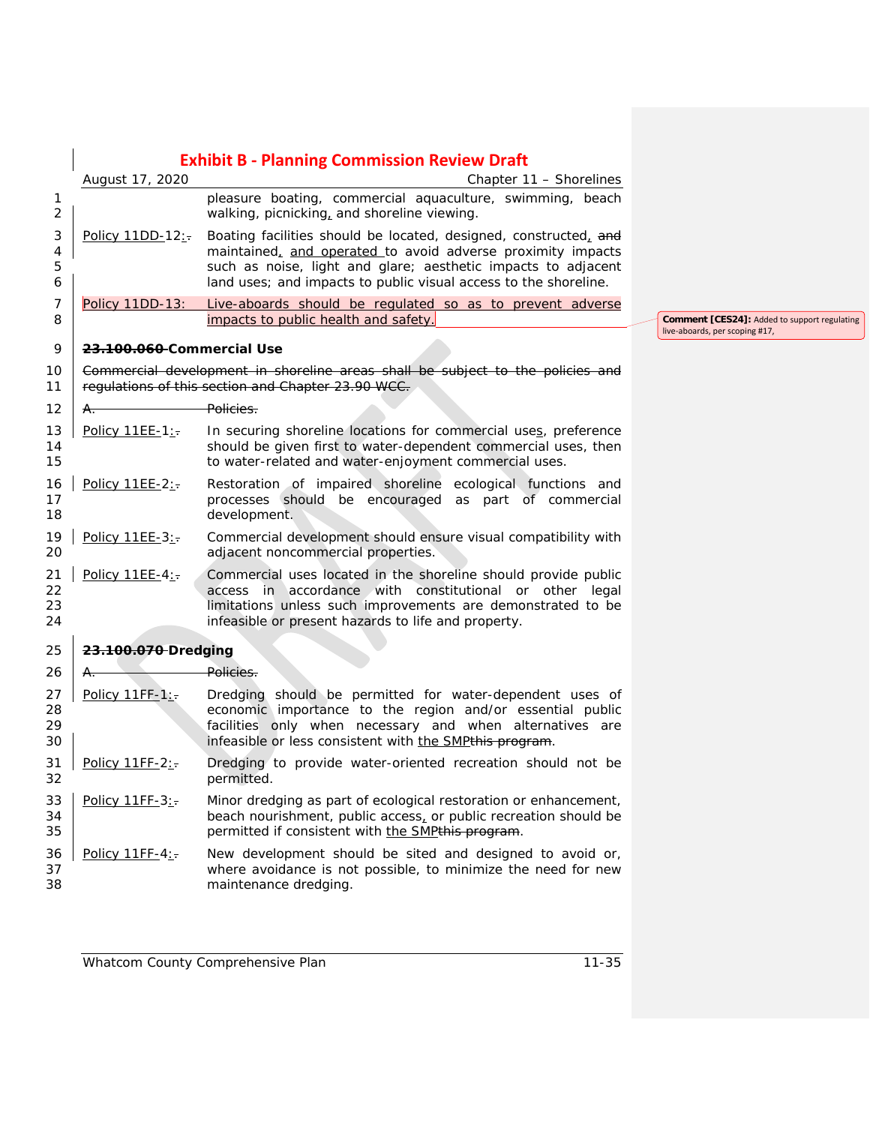|                                         | <b>Exhibit B - Planning Commission Review Draft</b> |                                                                                                                                                                                                                                                                      |  |
|-----------------------------------------|-----------------------------------------------------|----------------------------------------------------------------------------------------------------------------------------------------------------------------------------------------------------------------------------------------------------------------------|--|
|                                         | August 17, 2020                                     | Chapter 11 - Shorelines                                                                                                                                                                                                                                              |  |
| $\mathbf{1}$<br>$\overline{2}$          |                                                     | pleasure boating, commercial aquaculture, swimming, beach<br>walking, picnicking, and shoreline viewing.                                                                                                                                                             |  |
| 3<br>$\overline{\mathcal{A}}$<br>5<br>6 | Policy 11DD-12:                                     | Boating facilities should be located, designed, constructed, and<br>maintained, and operated to avoid adverse proximity impacts<br>such as noise, light and glare; aesthetic impacts to adjacent<br>land uses; and impacts to public visual access to the shoreline. |  |
| 7<br>8                                  | Policy 11DD-13:                                     | Live-aboards should be regulated so as to prevent adverse<br>impacts to public health and safety.                                                                                                                                                                    |  |
| 9                                       | <del>23.100.060</del> Commercial Use                |                                                                                                                                                                                                                                                                      |  |
| 10<br>11                                |                                                     | Commercial development in shoreline areas shall be subject to the policies and<br>regulations of this section and Chapter 23.90 WCC.                                                                                                                                 |  |
| 12                                      | A.,                                                 | Policies.                                                                                                                                                                                                                                                            |  |
| 13<br>14<br>15                          | Policy 11EE-1:                                      | In securing shoreline locations for commercial uses, preference<br>should be given first to water-dependent commercial uses, then<br>to water-related and water-enjoyment commercial uses.                                                                           |  |
| 16<br>17<br>18                          | Policy 11EE-2:                                      | Restoration of impaired shoreline ecological functions and<br>processes should be encouraged as part of commercial<br>development.                                                                                                                                   |  |
| 19<br>20                                | Policy 11EE-3:-                                     | Commercial development should ensure visual compatibility with<br>adjacent noncommercial properties.                                                                                                                                                                 |  |
| 21<br>22<br>23<br>24                    | Policy 11EE-4:                                      | Commercial uses located in the shoreline should provide public<br>access in accordance with constitutional or other legal<br>limitations unless such improvements are demonstrated to be<br>infeasible or present hazards to life and property.                      |  |
| 25                                      | 23.100.070-Dredging                                 |                                                                                                                                                                                                                                                                      |  |
| 26                                      | Α.                                                  | Policies.                                                                                                                                                                                                                                                            |  |
| 27<br>28<br>29<br>30                    | Policy $11FF-1$ :                                   | Dredging should be permitted for water-dependent uses of<br>economic importance to the region and/or essential public<br>facilities only when necessary and when alternatives are<br>infeasible or less consistent with the SMPthis program.                         |  |
| 31<br>32                                | Policy 11FF-2:                                      | Dredging to provide water-oriented recreation should not be<br>permitted.                                                                                                                                                                                            |  |
| 33<br>34<br>35                          | Policy 11FF-3:                                      | Minor dredging as part of ecological restoration or enhancement,<br>beach nourishment, public access, or public recreation should be<br>permitted if consistent with the SMPthis program.                                                                            |  |
| 36<br>37<br>38                          | Policy 11FF-4:                                      | New development should be sited and designed to avoid or,<br>where avoidance is not possible, to minimize the need for new<br>maintenance dredging.                                                                                                                  |  |

**Comment [CES24]:** Added to support regulating live-aboards, per scoping #17,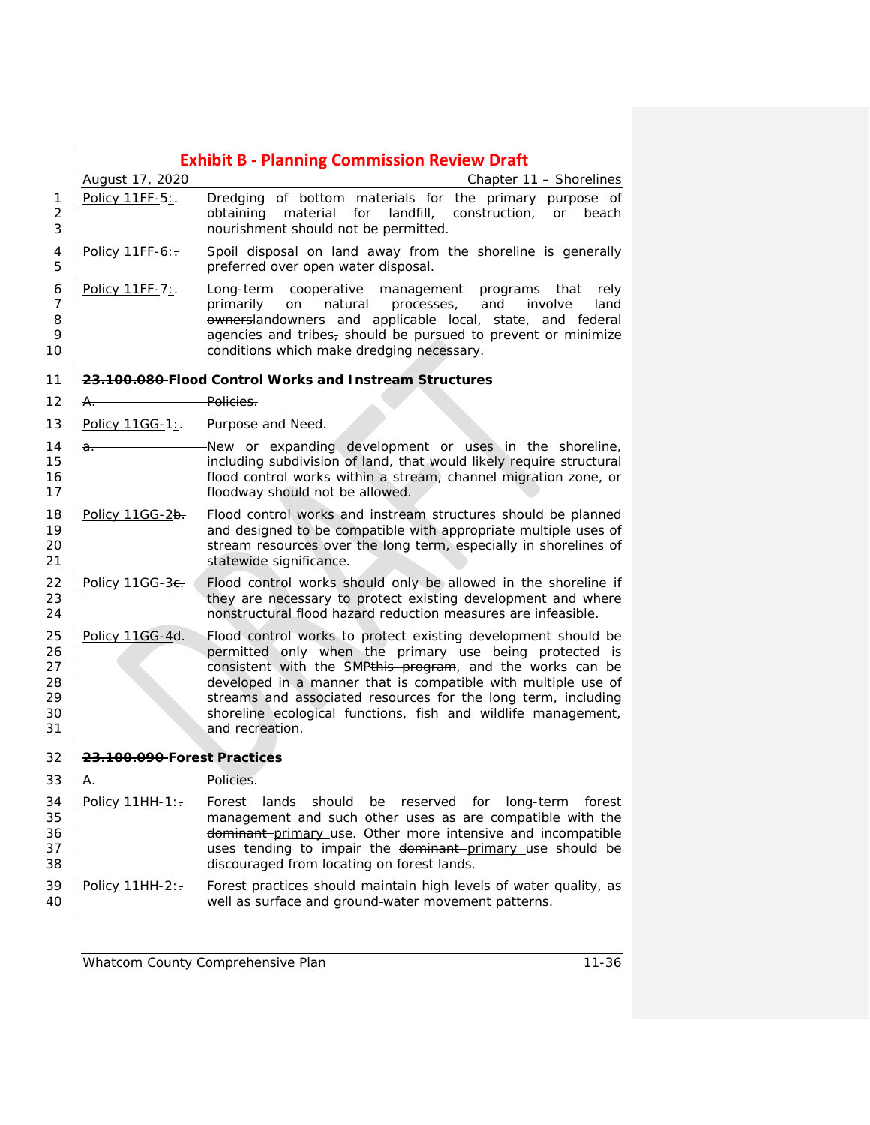|                                        | <b>Exhibit B - Planning Commission Review Draft</b> |                                                                                                                                                                                                                                                                                                                                                                                                            |  |
|----------------------------------------|-----------------------------------------------------|------------------------------------------------------------------------------------------------------------------------------------------------------------------------------------------------------------------------------------------------------------------------------------------------------------------------------------------------------------------------------------------------------------|--|
|                                        | August 17, 2020                                     | Chapter 11 - Shorelines                                                                                                                                                                                                                                                                                                                                                                                    |  |
| 1<br>$\overline{2}$<br>3               | Policy 11FF-5:                                      | Dredging of bottom materials for the primary purpose of<br>material for<br>landfill,<br>construction,<br><b>or</b><br>beach<br>obtaining<br>nourishment should not be permitted.                                                                                                                                                                                                                           |  |
| 4<br>5                                 | Policy 11FF-6:                                      | Spoil disposal on land away from the shoreline is generally<br>preferred over open water disposal.                                                                                                                                                                                                                                                                                                         |  |
| 6<br>7<br>8<br>9<br>10                 | Policy 11FF-7:                                      | Long-term<br>cooperative<br>management programs that<br>rely<br>primarily<br>on<br>natural processes,<br>and<br>involve<br>land<br>ownerslandowners and applicable local, state, and federal<br>agencies and tribes, should be pursued to prevent or minimize<br>conditions which make dredging necessary.                                                                                                 |  |
| 11                                     |                                                     | 23.100.080-Flood Control Works and Instream Structures                                                                                                                                                                                                                                                                                                                                                     |  |
| 12                                     | А.                                                  | Policies.                                                                                                                                                                                                                                                                                                                                                                                                  |  |
| 13                                     | Policy $11GG-1$ :                                   | Purpose and Need.                                                                                                                                                                                                                                                                                                                                                                                          |  |
| 14<br>15<br>16<br>17                   | $a$ .                                               | New or expanding development or uses in the shoreline,<br>including subdivision of land, that would likely require structural<br>flood control works within a stream, channel migration zone, or<br>floodway should not be allowed.                                                                                                                                                                        |  |
| 18<br>19<br>20<br>21                   | Policy 11GG-2b.                                     | Flood control works and instream structures should be planned<br>and designed to be compatible with appropriate multiple uses of<br>stream resources over the long term, especially in shorelines of<br>statewide significance.                                                                                                                                                                            |  |
| 22<br>23<br>24                         | Policy 11GG-3e.                                     | Flood control works should only be allowed in the shoreline if<br>they are necessary to protect existing development and where<br>nonstructural flood hazard reduction measures are infeasible.                                                                                                                                                                                                            |  |
| 25<br>26<br>27<br>28<br>29<br>30<br>31 | Policy 11GG-4d.                                     | Flood control works to protect existing development should be<br>permitted only when the primary use being protected is<br>consistent with the SMPthis program, and the works can be<br>developed in a manner that is compatible with multiple use of<br>streams and associated resources for the long term, including<br>shoreline ecological functions, fish and wildlife management,<br>and recreation. |  |
| 32                                     | 23.100.090-Forest Practices                         |                                                                                                                                                                                                                                                                                                                                                                                                            |  |
| 33                                     |                                                     | Policies.                                                                                                                                                                                                                                                                                                                                                                                                  |  |
| 34<br>35<br>36<br>37<br>38             | Policy 11HH-1:                                      | lands<br>should be reserved for<br>long-term<br>forest<br>Forest<br>management and such other uses as are compatible with the<br>dominant primary use. Other more intensive and incompatible<br>uses tending to impair the dominant-primary use should be<br>discouraged from locating on forest lands.                                                                                                    |  |
| 39<br>40                               | Policy 11HH-2:                                      | Forest practices should maintain high levels of water quality, as<br>well as surface and ground-water movement patterns.                                                                                                                                                                                                                                                                                   |  |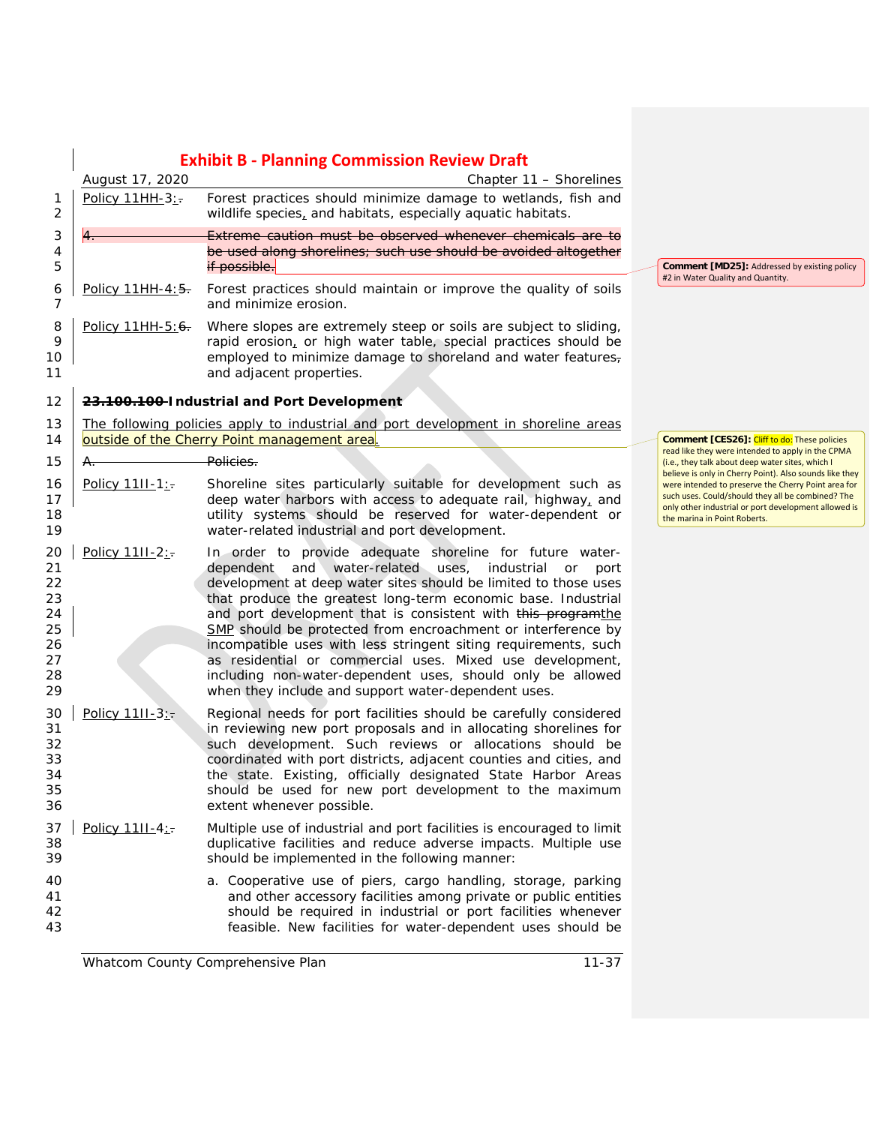|                                                          | <b>Exhibit B - Planning Commission Review Draft</b> |                                                                                                                                                                                                                                                                                                                                                                                                                                                                                                                                                                                                                                                 |                                                                                                                                                                                                  |
|----------------------------------------------------------|-----------------------------------------------------|-------------------------------------------------------------------------------------------------------------------------------------------------------------------------------------------------------------------------------------------------------------------------------------------------------------------------------------------------------------------------------------------------------------------------------------------------------------------------------------------------------------------------------------------------------------------------------------------------------------------------------------------------|--------------------------------------------------------------------------------------------------------------------------------------------------------------------------------------------------|
|                                                          | August 17, 2020                                     | Chapter 11 - Shorelines                                                                                                                                                                                                                                                                                                                                                                                                                                                                                                                                                                                                                         |                                                                                                                                                                                                  |
| 1<br>$\overline{c}$                                      | Policy 11HH-3:                                      | Forest practices should minimize damage to wetlands, fish and<br>wildlife species, and habitats, especially aquatic habitats.                                                                                                                                                                                                                                                                                                                                                                                                                                                                                                                   |                                                                                                                                                                                                  |
| 3<br>4<br>5                                              |                                                     | Extreme caution must be observed whenever chemicals are to<br>be used along shorelines; such use should be avoided altogether<br>if possible.                                                                                                                                                                                                                                                                                                                                                                                                                                                                                                   | <b>Comment [MD25]: Addressed by existing policy</b>                                                                                                                                              |
| 6<br>7                                                   | Policy 11HH-4:5.                                    | Forest practices should maintain or improve the quality of soils<br>and minimize erosion.                                                                                                                                                                                                                                                                                                                                                                                                                                                                                                                                                       | #2 in Water Quality and Quantity.                                                                                                                                                                |
| 8<br>9<br>10<br>11                                       | Policy 11HH-5:6.                                    | Where slopes are extremely steep or soils are subject to sliding,<br>rapid erosion, or high water table, special practices should be<br>employed to minimize damage to shoreland and water features,<br>and adjacent properties.                                                                                                                                                                                                                                                                                                                                                                                                                |                                                                                                                                                                                                  |
| 12                                                       |                                                     | 23.100.100-Industrial and Port Development                                                                                                                                                                                                                                                                                                                                                                                                                                                                                                                                                                                                      |                                                                                                                                                                                                  |
| 13<br>14                                                 |                                                     | The following policies apply to industrial and port development in shoreline areas<br>outside of the Cherry Point management area.                                                                                                                                                                                                                                                                                                                                                                                                                                                                                                              | <b>Comment [CES26]: Cliff to do: These policies</b>                                                                                                                                              |
| 15                                                       | A.                                                  | <del>-Policies.</del>                                                                                                                                                                                                                                                                                                                                                                                                                                                                                                                                                                                                                           | read like they were intended to apply in the CPMA<br>(i.e., they talk about deep water sites, which I<br>believe is only in Cherry Point). Also sounds like they                                 |
| 16<br>17<br>18<br>19                                     | Policy 11II-1:                                      | Shoreline sites particularly suitable for development such as<br>deep water harbors with access to adequate rail, highway, and<br>utility systems should be reserved for water-dependent or<br>water-related industrial and port development.                                                                                                                                                                                                                                                                                                                                                                                                   | were intended to preserve the Cherry Point area for<br>such uses. Could/should they all be combined? The<br>only other industrial or port development allowed is<br>the marina in Point Roberts. |
| 20<br>21<br>22<br>23<br>24<br>25<br>26<br>27<br>28<br>29 | Policy 11II-2:                                      | In order to provide adequate shoreline for future water-<br>dependent and water-related uses, industrial<br>or<br>port<br>development at deep water sites should be limited to those uses<br>that produce the greatest long-term economic base. Industrial<br>and port development that is consistent with this programthe<br>SMP should be protected from encroachment or interference by<br>incompatible uses with less stringent siting requirements, such<br>as residential or commercial uses. Mixed use development,<br>including non-water-dependent uses, should only be allowed<br>when they include and support water-dependent uses. |                                                                                                                                                                                                  |
| 30<br>31<br>32<br>33<br>34<br>35<br>36                   | Policy 11II-3:                                      | Regional needs for port facilities should be carefully considered<br>in reviewing new port proposals and in allocating shorelines for<br>such development. Such reviews or allocations should be<br>coordinated with port districts, adjacent counties and cities, and<br>the state. Existing, officially designated State Harbor Areas<br>should be used for new port development to the maximum<br>extent whenever possible.                                                                                                                                                                                                                  |                                                                                                                                                                                                  |
| 37<br>38<br>39                                           | Policy 1111-4:                                      | Multiple use of industrial and port facilities is encouraged to limit<br>duplicative facilities and reduce adverse impacts. Multiple use<br>should be implemented in the following manner:                                                                                                                                                                                                                                                                                                                                                                                                                                                      |                                                                                                                                                                                                  |
| 40<br>41<br>42<br>43                                     |                                                     | a. Cooperative use of piers, cargo handling, storage, parking<br>and other accessory facilities among private or public entities<br>should be required in industrial or port facilities whenever<br>feasible. New facilities for water-dependent uses should be                                                                                                                                                                                                                                                                                                                                                                                 |                                                                                                                                                                                                  |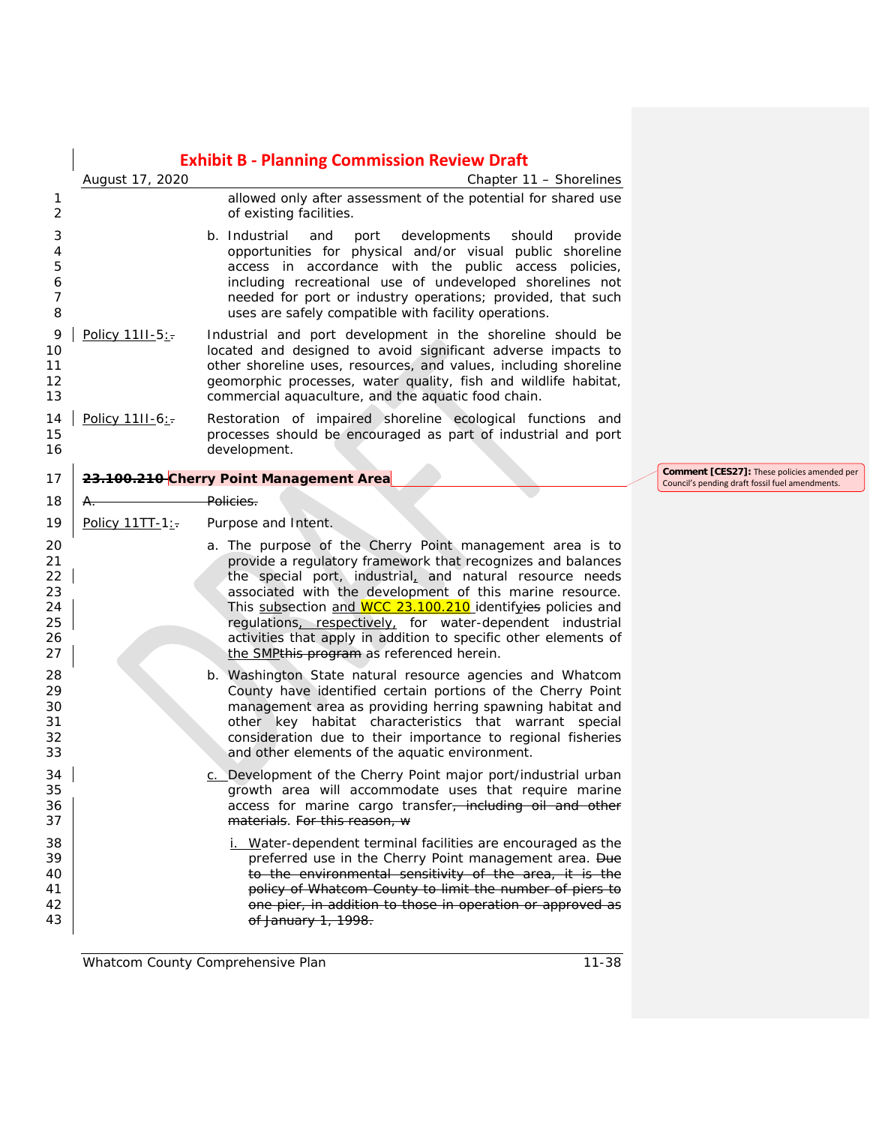|                                              | <b>Exhibit B - Planning Commission Review Draft</b> |                                                                                                                                                                                                                                                                                                                                                                                                                                                                                             |                                                                                                       |  |
|----------------------------------------------|-----------------------------------------------------|---------------------------------------------------------------------------------------------------------------------------------------------------------------------------------------------------------------------------------------------------------------------------------------------------------------------------------------------------------------------------------------------------------------------------------------------------------------------------------------------|-------------------------------------------------------------------------------------------------------|--|
|                                              | August 17, 2020                                     | Chapter 11 - Shorelines                                                                                                                                                                                                                                                                                                                                                                                                                                                                     |                                                                                                       |  |
| 1<br>2                                       |                                                     | allowed only after assessment of the potential for shared use<br>of existing facilities.                                                                                                                                                                                                                                                                                                                                                                                                    |                                                                                                       |  |
| 3<br>4<br>5<br>6<br>7<br>8                   |                                                     | b. Industrial<br>and<br>port<br>developments<br>should<br>provide<br>opportunities for physical and/or visual public shoreline<br>access in accordance with the public access policies,<br>including recreational use of undeveloped shorelines not<br>needed for port or industry operations; provided, that such<br>uses are safely compatible with facility operations.                                                                                                                  |                                                                                                       |  |
| 9<br>10<br>11<br>12<br>13                    | Policy 1111-5:                                      | Industrial and port development in the shoreline should be<br>located and designed to avoid significant adverse impacts to<br>other shoreline uses, resources, and values, including shoreline<br>geomorphic processes, water quality, fish and wildlife habitat,<br>commercial aquaculture, and the aquatic food chain.                                                                                                                                                                    |                                                                                                       |  |
| 14<br>15<br>16                               | Policy 1111-6:                                      | Restoration of impaired shoreline ecological functions and<br>processes should be encouraged as part of industrial and port<br>development.                                                                                                                                                                                                                                                                                                                                                 |                                                                                                       |  |
| 17                                           |                                                     | 23.100.210 Cherry Point Management Area                                                                                                                                                                                                                                                                                                                                                                                                                                                     | <b>Comment [CES27]:</b> These policies amended per<br>Council's pending draft fossil fuel amendments. |  |
| 18                                           |                                                     | Policies.                                                                                                                                                                                                                                                                                                                                                                                                                                                                                   |                                                                                                       |  |
| 19                                           | Policy 11TT-1:                                      | Purpose and Intent.                                                                                                                                                                                                                                                                                                                                                                                                                                                                         |                                                                                                       |  |
| 20<br>21<br>22<br>23<br>24<br>25<br>26<br>27 |                                                     | a. The purpose of the Cherry Point management area is to<br>provide a regulatory framework that recognizes and balances<br>the special port, industrial, and natural resource needs<br>associated with the development of this marine resource.<br>This subsection and WCC 23.100.210 identifyies policies and<br>regulations, respectively, for water-dependent industrial<br>activities that apply in addition to specific other elements of<br>the SMPthis program as referenced herein. |                                                                                                       |  |
| 28<br>29<br>30<br>31<br>32<br>33             |                                                     | b. Washington State natural resource agencies and Whatcom<br>County have identified certain portions of the Cherry Point<br>management area as providing herring spawning habitat and<br>other key habitat characteristics that warrant special<br>consideration due to their importance to regional fisheries<br>and other elements of the aquatic environment.                                                                                                                            |                                                                                                       |  |
| 34<br>35<br>36<br>37                         |                                                     | Development of the Cherry Point major port/industrial urban<br>growth area will accommodate uses that require marine<br>access for marine cargo transfer <del>, including oil and other</del><br>materials. For this reason, w                                                                                                                                                                                                                                                              |                                                                                                       |  |
| 38<br>39<br>40<br>41<br>42<br>43             |                                                     | Water-dependent terminal facilities are encouraged as the<br>preferred use in the Cherry Point management area. Due<br>to the environmental sensitivity of the area, it is the<br>policy of Whatcom County to limit the number of piers to<br>one pier, in addition to those in operation or approved as<br>of January 1, 1998.                                                                                                                                                             |                                                                                                       |  |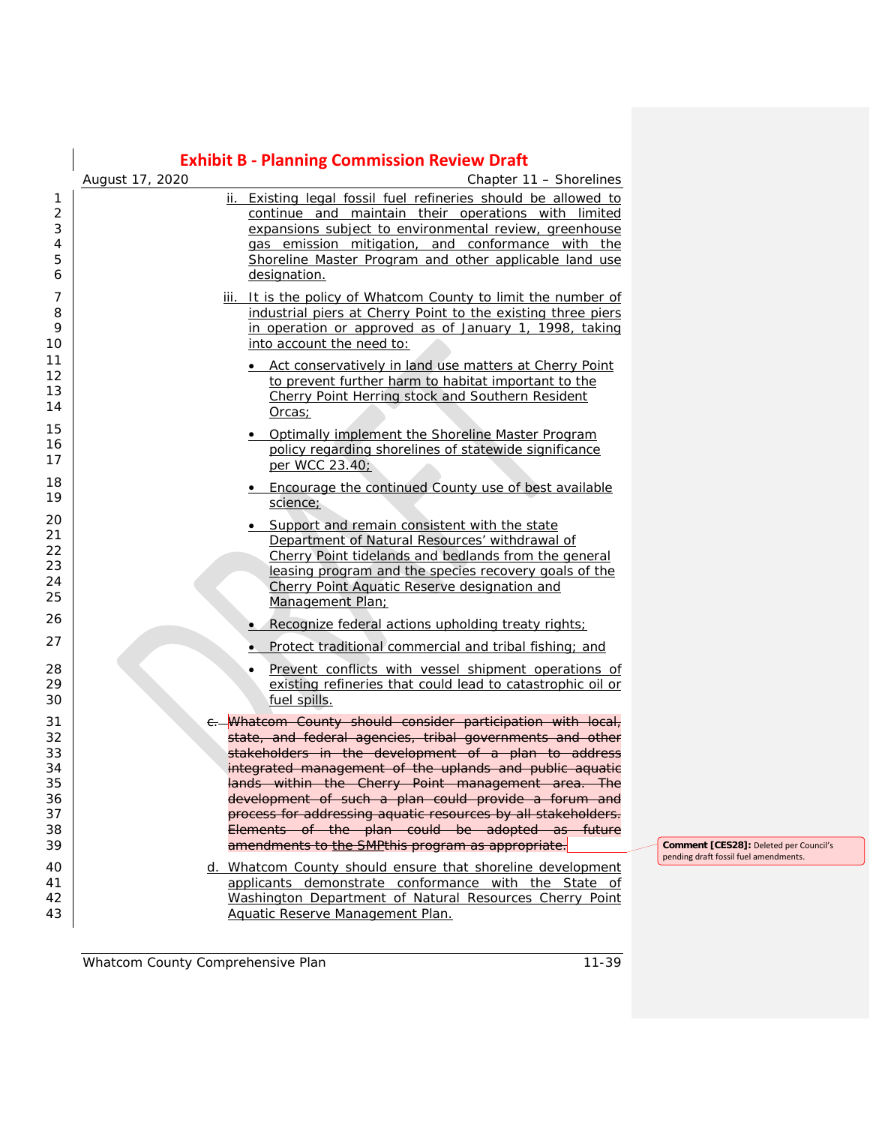|                                         | <b>Exhibit B - Planning Commission Review Draft</b>                                                                                                                                                                                                                                                            |  |
|-----------------------------------------|----------------------------------------------------------------------------------------------------------------------------------------------------------------------------------------------------------------------------------------------------------------------------------------------------------------|--|
|                                         | August 17, 2020<br>Chapter 11 - Shorelines                                                                                                                                                                                                                                                                     |  |
| 1<br>$\overline{2}$<br>3<br>4<br>5<br>6 | ii. Existing legal fossil fuel refineries should be allowed to<br>continue and maintain their operations with limited<br>expansions subject to environmental review, greenhouse<br>gas emission mitigation, and conformance with the<br>Shoreline Master Program and other applicable land use<br>designation. |  |
| 7<br>8<br>9<br>10                       | iii. It is the policy of Whatcom County to limit the number of<br>industrial piers at Cherry Point to the existing three piers<br>in operation or approved as of January 1, 1998, taking<br>into account the need to:                                                                                          |  |
| 11<br>12<br>13<br>14                    | • Act conservatively in land use matters at Cherry Point<br>to prevent further harm to habitat important to the<br>Cherry Point Herring stock and Southern Resident<br>Orcas;                                                                                                                                  |  |
| 15<br>16<br>17                          | . Optimally implement the Shoreline Master Program<br>policy regarding shorelines of statewide significance<br>per WCC 23.40;                                                                                                                                                                                  |  |
| 18<br>19                                | • Encourage the continued County use of best available<br>science;                                                                                                                                                                                                                                             |  |
| 20<br>21<br>22<br>23<br>24<br>25        | • Support and remain consistent with the state<br>Department of Natural Resources' withdrawal of<br>Cherry Point tidelands and bedlands from the general<br>leasing program and the species recovery goals of the<br>Cherry Point Aquatic Reserve designation and<br>Management Plan;                          |  |
| 26                                      | • Recognize federal actions upholding treaty rights;                                                                                                                                                                                                                                                           |  |
| 27                                      | Protect traditional commercial and tribal fishing; and                                                                                                                                                                                                                                                         |  |
| 28<br>29<br>30                          | Prevent conflicts with vessel shipment operations of<br>existing refineries that could lead to catastrophic oil or<br>fuel spills.                                                                                                                                                                             |  |
| 31                                      | Whatcom County should consider participation with local,                                                                                                                                                                                                                                                       |  |
| 32                                      | state, and federal agencies, tribal governments and other                                                                                                                                                                                                                                                      |  |
| 33<br>34                                | stakeholders in the development of a plan to address<br>integrated management of the uplands and public aquatic                                                                                                                                                                                                |  |
| 35                                      | lands within the Cherry Point management area. The                                                                                                                                                                                                                                                             |  |
| 36                                      | development of such a plan could provide a forum and                                                                                                                                                                                                                                                           |  |
| 37                                      | process for addressing aquatic resources by all stakeholders.                                                                                                                                                                                                                                                  |  |
| 38<br>39                                | Elements of the plan could be adopted as future<br>amendments to the SMPthis program as appropriate.                                                                                                                                                                                                           |  |
| 40                                      | d. Whatcom County should ensure that shoreline development                                                                                                                                                                                                                                                     |  |
| 41                                      | applicants demonstrate conformance with the State of                                                                                                                                                                                                                                                           |  |
| 42                                      | Washington Department of Natural Resources Cherry Point                                                                                                                                                                                                                                                        |  |
| 43                                      | Aquatic Reserve Management Plan.                                                                                                                                                                                                                                                                               |  |

**Comment [CES28]:** Deleted per Council's pending draft fossil fuel amendments.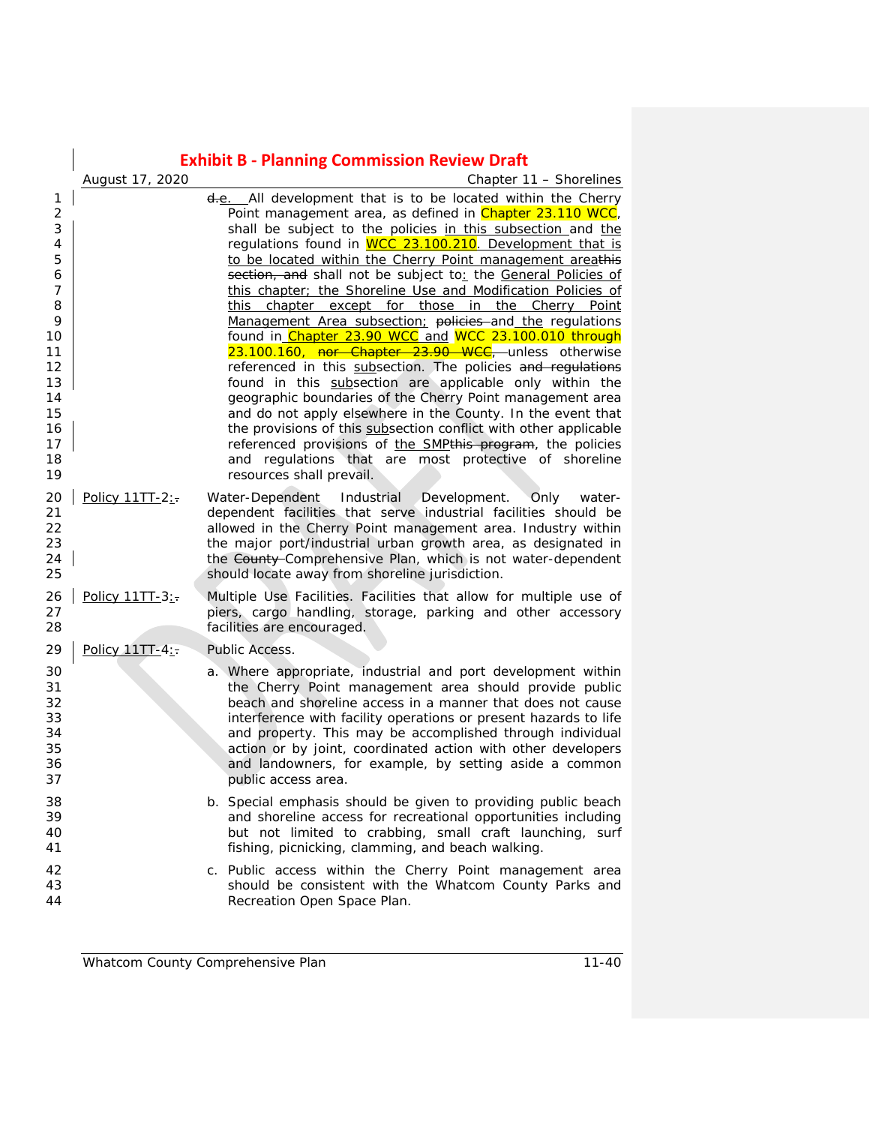|                                                                                                              | <b>Exhibit B - Planning Commission Review Draft</b> |                                                                                                                                                                                                                                                                                                                                                                                                                                                                                                                                                                                                                                                                                                                                                                                                                                                                                                                                                                                                                                                                                                                                                         |  |
|--------------------------------------------------------------------------------------------------------------|-----------------------------------------------------|---------------------------------------------------------------------------------------------------------------------------------------------------------------------------------------------------------------------------------------------------------------------------------------------------------------------------------------------------------------------------------------------------------------------------------------------------------------------------------------------------------------------------------------------------------------------------------------------------------------------------------------------------------------------------------------------------------------------------------------------------------------------------------------------------------------------------------------------------------------------------------------------------------------------------------------------------------------------------------------------------------------------------------------------------------------------------------------------------------------------------------------------------------|--|
|                                                                                                              | August 17, 2020                                     | Chapter 11 - Shorelines                                                                                                                                                                                                                                                                                                                                                                                                                                                                                                                                                                                                                                                                                                                                                                                                                                                                                                                                                                                                                                                                                                                                 |  |
| 1<br>$\overline{c}$<br>3<br>4<br>5<br>6<br>7<br>8<br>9<br>10<br>11<br>12<br>13<br>14<br>15<br>16<br>17<br>18 |                                                     | <del>d.</del> e. All development that is to be located within the Cherry<br>Point management area, as defined in Chapter 23.110 WCC,<br>shall be subject to the policies in this subsection and the<br>regulations found in <b>WCC 23.100.210</b> . Development that is<br>to be located within the Cherry Point management areathis<br>section, and shall not be subject to: the General Policies of<br>this chapter; the Shoreline Use and Modification Policies of<br>this chapter except for those in the Cherry Point<br>Management Area subsection: policies and the regulations<br>found in Chapter 23.90 WCC and WCC 23.100.010 through<br>23.100.160, nor Chapter 23.90 WCC, unless otherwise<br>referenced in this subsection. The policies and regulations<br>found in this subsection are applicable only within the<br>geographic boundaries of the Cherry Point management area<br>and do not apply elsewhere in the County. In the event that<br>the provisions of this subsection conflict with other applicable<br>referenced provisions of the SMPthis program, the policies<br>and regulations that are most protective of shoreline |  |
| 19<br>20<br>21<br>22<br>23<br>24<br>25<br>26                                                                 | Policy 11TT-2:-<br>Policy 11TT-3:-                  | resources shall prevail.<br>Water-Dependent Industrial Development.<br>Only<br>water-<br>dependent facilities that serve industrial facilities should be<br>allowed in the Cherry Point management area. Industry within<br>the major port/industrial urban growth area, as designated in<br>the County-Comprehensive Plan, which is not water-dependent<br>should locate away from shoreline jurisdiction.<br>Multiple Use Facilities. Facilities that allow for multiple use of                                                                                                                                                                                                                                                                                                                                                                                                                                                                                                                                                                                                                                                                       |  |
| 27<br>28                                                                                                     |                                                     | piers, cargo handling, storage, parking and other accessory<br>facilities are encouraged.                                                                                                                                                                                                                                                                                                                                                                                                                                                                                                                                                                                                                                                                                                                                                                                                                                                                                                                                                                                                                                                               |  |
| 29                                                                                                           | Policy 11TT-4:-                                     | Public Access.                                                                                                                                                                                                                                                                                                                                                                                                                                                                                                                                                                                                                                                                                                                                                                                                                                                                                                                                                                                                                                                                                                                                          |  |
| 30<br>31<br>32<br>33<br>34<br>35<br>36<br>37                                                                 |                                                     | a. Where appropriate, industrial and port development within<br>the Cherry Point management area should provide public<br>beach and shoreline access in a manner that does not cause<br>interference with facility operations or present hazards to life<br>and property. This may be accomplished through individual<br>action or by joint, coordinated action with other developers<br>and landowners, for example, by setting aside a common<br>public access area.                                                                                                                                                                                                                                                                                                                                                                                                                                                                                                                                                                                                                                                                                  |  |
| 38<br>39<br>40<br>41                                                                                         |                                                     | b. Special emphasis should be given to providing public beach<br>and shoreline access for recreational opportunities including<br>but not limited to crabbing, small craft launching, surf<br>fishing, picnicking, clamming, and beach walking.                                                                                                                                                                                                                                                                                                                                                                                                                                                                                                                                                                                                                                                                                                                                                                                                                                                                                                         |  |
| 42<br>43<br>44                                                                                               |                                                     | c. Public access within the Cherry Point management area<br>should be consistent with the Whatcom County Parks and<br>Recreation Open Space Plan.                                                                                                                                                                                                                                                                                                                                                                                                                                                                                                                                                                                                                                                                                                                                                                                                                                                                                                                                                                                                       |  |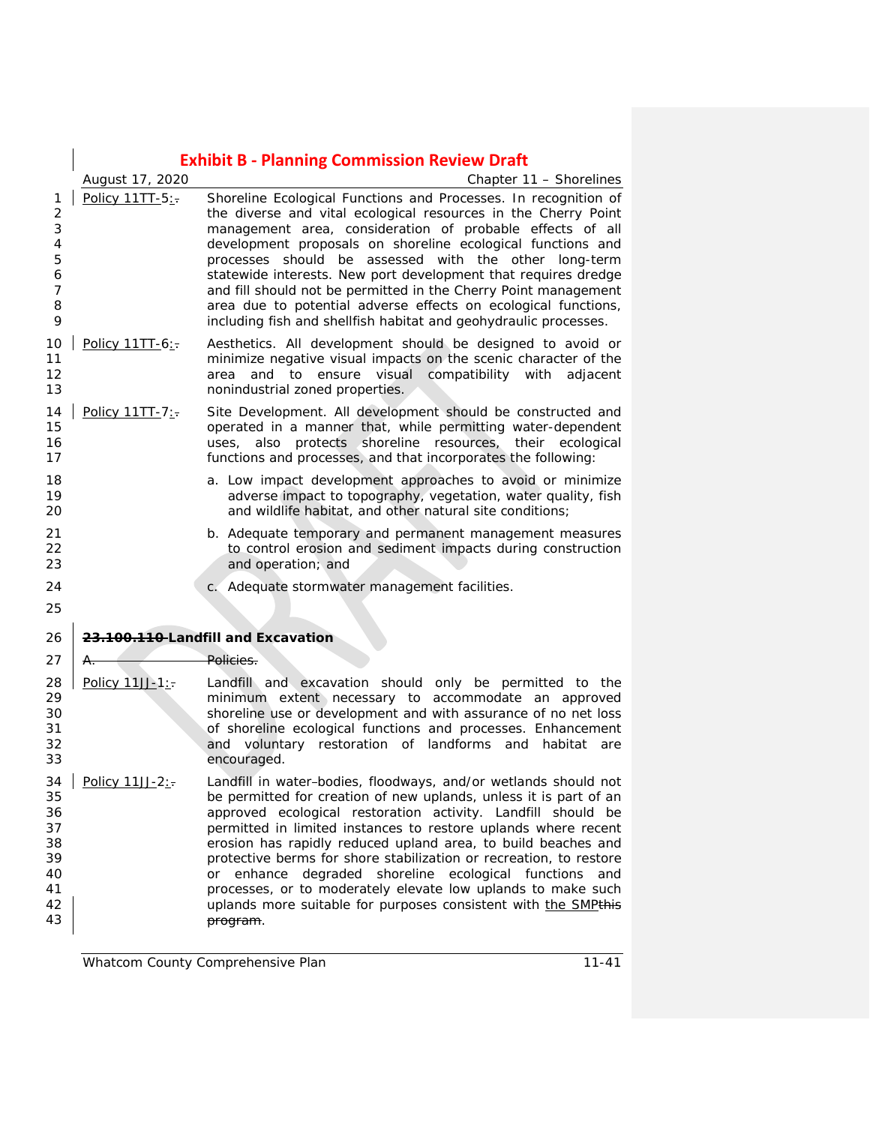| <b>Exhibit B - Planning Commission Review Draft</b> |
|-----------------------------------------------------|
|-----------------------------------------------------|

|                | August 17, 2020 | Chapter 11 - Shorelines                                          |
|----------------|-----------------|------------------------------------------------------------------|
|                | Policy 11TT-5:  | Shoreline Ecological Functions and Processes. In recognition of  |
| 2              |                 | the diverse and vital ecological resources in the Cherry Point   |
| 3              |                 | management area, consideration of probable effects of all        |
| $\overline{4}$ |                 | development proposals on shoreline ecological functions and      |
| 5              |                 | processes should be assessed with the other long-term            |
| 6              |                 | statewide interests. New port development that requires dredge   |
| 7              |                 | and fill should not be permitted in the Cherry Point management  |
| 8              |                 | area due to potential adverse effects on ecological functions,   |
| 9              |                 | including fish and shellfish habitat and geohydraulic processes. |
|                |                 |                                                                  |

- 10 | Policy 11TT-6:- Aesthetics. All development should be designed to avoid or minimize negative visual impacts on the scenic character of the **12 area and to ensure visual compatibility with adjacent** nonindustrial zoned properties.
- 14 | Policy 11TT-7: Site Development. All development should be constructed and operated in a manner that, while permitting water-dependent uses, also protects shoreline resources, their ecological functions and processes, and that incorporates the following:
- **18 a.** Low impact development approaches to avoid or minimize adverse impact to topography, vegetation, water quality, fish and wildlife habitat, and other natural site conditions;
- b. Adequate temporary and permanent management measures 22 to control erosion and sediment impacts during construction<br>23 and operation: and and operation; and
- **c.** Adequate stormwater management facilities.
- 

 **23.100.110 Landfill and Excavation** 27 A. Policies.

- 28 | Policy  $11JJ-1:-$  Landfill and excavation should only be permitted to the 29 minimum extent necessary to accommodate an approved<br>20 shoreline use or development and with assurance of no net loss shoreline use or development and with assurance of no net loss of shoreline ecological functions and processes. Enhancement and voluntary restoration of landforms and habitat are encouraged.
- 34 Policy 11JJ-2: $\frac{1}{2}$  Landfill in water-bodies, floodways, and/or wetlands should not be permitted for creation of new uplands, unless it is part of an approved ecological restoration activity. Landfill should be permitted in limited instances to restore uplands where recent erosion has rapidly reduced upland area, to build beaches and protective berms for shore stabilization or recreation, to restore or enhance degraded shoreline ecological functions and processes, or to moderately elevate low uplands to make such 42 | uplands more suitable for purposes consistent with the SMPthis program.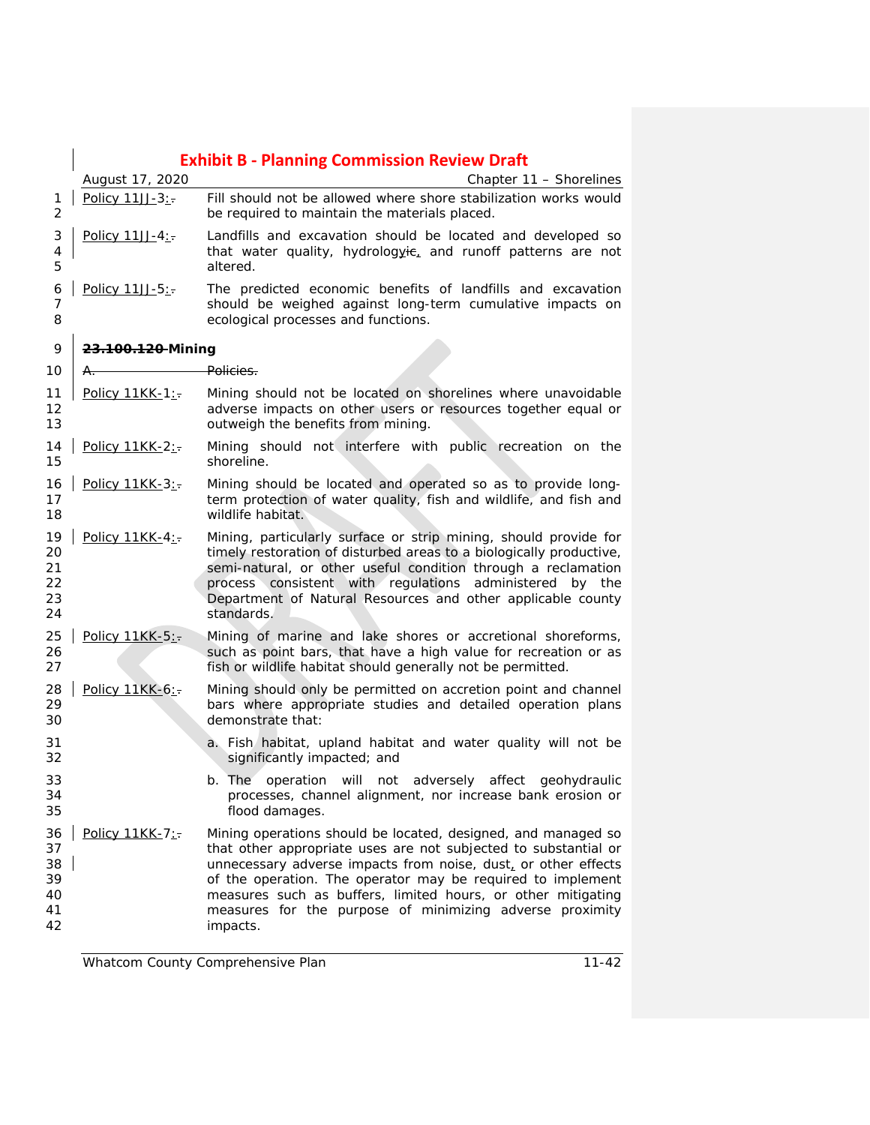|                                        |                   | <b>Exhibit B - Planning Commission Review Draft</b>                                                                                                                                                                                                                                                                                                                                                       |
|----------------------------------------|-------------------|-----------------------------------------------------------------------------------------------------------------------------------------------------------------------------------------------------------------------------------------------------------------------------------------------------------------------------------------------------------------------------------------------------------|
|                                        | August 17, 2020   | Chapter 11 - Shorelines                                                                                                                                                                                                                                                                                                                                                                                   |
| 1<br>2                                 | Policy 11JJ-3:-   | Fill should not be allowed where shore stabilization works would<br>be required to maintain the materials placed.                                                                                                                                                                                                                                                                                         |
| 3<br>4<br>5                            | Policy 11JJ-4:    | Landfills and excavation should be located and developed so<br>that water quality, hydrologyie, and runoff patterns are not<br>altered.                                                                                                                                                                                                                                                                   |
| 6<br>7<br>8                            | Policy 11JJ-5:    | The predicted economic benefits of landfills and excavation<br>should be weighed against long-term cumulative impacts on<br>ecological processes and functions.                                                                                                                                                                                                                                           |
| 9                                      | 23.100.120 Mining |                                                                                                                                                                                                                                                                                                                                                                                                           |
| 10                                     | Α.                | Policies.                                                                                                                                                                                                                                                                                                                                                                                                 |
| 11<br>12<br>13                         | Policy 11KK-1:    | Mining should not be located on shorelines where unavoidable<br>adverse impacts on other users or resources together equal or<br>outweigh the benefits from mining.                                                                                                                                                                                                                                       |
| 14<br>15                               | Policy 11KK-2:-   | Mining should not interfere with public recreation on the<br>shoreline.                                                                                                                                                                                                                                                                                                                                   |
| 16<br>17<br>18                         | Policy 11KK-3:-   | Mining should be located and operated so as to provide long-<br>term protection of water quality, fish and wildlife, and fish and<br>wildlife habitat.                                                                                                                                                                                                                                                    |
| 19<br>20<br>21<br>22<br>23<br>24       | Policy 11KK-4:-   | Mining, particularly surface or strip mining, should provide for<br>timely restoration of disturbed areas to a biologically productive,<br>semi-natural, or other useful condition through a reclamation<br>process consistent with regulations administered by the<br>Department of Natural Resources and other applicable county<br>standards.                                                          |
| 25<br>26<br>27                         | Policy 11KK-5:-   | Mining of marine and lake shores or accretional shoreforms,<br>such as point bars, that have a high value for recreation or as<br>fish or wildlife habitat should generally not be permitted.                                                                                                                                                                                                             |
| 28<br>29<br>30                         | Policy 11KK-6:    | Mining should only be permitted on accretion point and channel<br>bars where appropriate studies and detailed operation plans<br>demonstrate that:                                                                                                                                                                                                                                                        |
| 31<br>32                               |                   | a. Fish habitat, upland habitat and water quality will not be<br>significantly impacted; and                                                                                                                                                                                                                                                                                                              |
| 33<br>34<br>35                         |                   | b. The operation will not adversely affect geohydraulic<br>processes, channel alignment, nor increase bank erosion or<br>flood damages.                                                                                                                                                                                                                                                                   |
| 36<br>37<br>38<br>39<br>40<br>41<br>42 | Policy 11KK-7:    | Mining operations should be located, designed, and managed so<br>that other appropriate uses are not subjected to substantial or<br>unnecessary adverse impacts from noise, dust, or other effects<br>of the operation. The operator may be required to implement<br>measures such as buffers, limited hours, or other mitigating<br>measures for the purpose of minimizing adverse proximity<br>impacts. |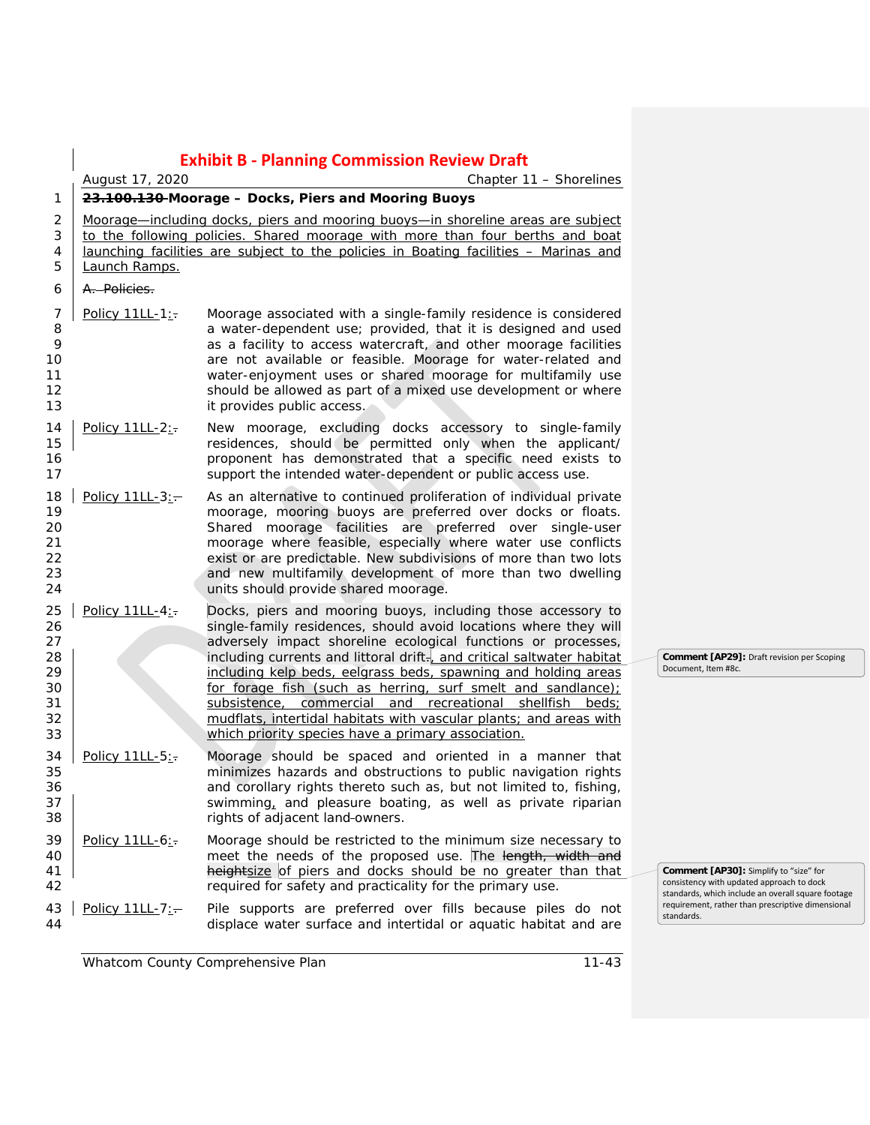|                                              | <b>Exhibit B - Planning Commission Review Draft</b>                                                                                                                                                                                                                                                                              |                                                                                                                                                                                                                                                                                                                                                                                                                                                                                                                                                 |                                                                                                                                           |  |
|----------------------------------------------|----------------------------------------------------------------------------------------------------------------------------------------------------------------------------------------------------------------------------------------------------------------------------------------------------------------------------------|-------------------------------------------------------------------------------------------------------------------------------------------------------------------------------------------------------------------------------------------------------------------------------------------------------------------------------------------------------------------------------------------------------------------------------------------------------------------------------------------------------------------------------------------------|-------------------------------------------------------------------------------------------------------------------------------------------|--|
|                                              | August 17, 2020                                                                                                                                                                                                                                                                                                                  |                                                                                                                                                                                                                                                                                                                                                                                                                                                                                                                                                 |                                                                                                                                           |  |
| 1<br>2<br>3<br>4<br>5                        | 23.100.130-Moorage - Docks, Piers and Mooring Buoys<br>Moorage—including docks, piers and mooring buoys—in shoreline areas are subject<br>to the following policies. Shared moorage with more than four berths and boat<br>launching facilities are subject to the policies in Boating facilities - Marinas and<br>Launch Ramps. |                                                                                                                                                                                                                                                                                                                                                                                                                                                                                                                                                 |                                                                                                                                           |  |
| 6                                            | A. Policies.                                                                                                                                                                                                                                                                                                                     |                                                                                                                                                                                                                                                                                                                                                                                                                                                                                                                                                 |                                                                                                                                           |  |
| 7<br>8<br>9<br>10<br>11<br>12<br>13          | Policy 11LL-1:                                                                                                                                                                                                                                                                                                                   | Moorage associated with a single-family residence is considered<br>a water-dependent use; provided, that it is designed and used<br>as a facility to access watercraft, and other moorage facilities<br>are not available or feasible. Moorage for water-related and<br>water-enjoyment uses or shared moorage for multifamily use<br>should be allowed as part of a mixed use development or where<br>it provides public access.                                                                                                               |                                                                                                                                           |  |
| 14<br>15<br>16<br>17                         | Policy 11LL-2:-                                                                                                                                                                                                                                                                                                                  | New moorage, excluding docks accessory to single-family<br>residences, should be permitted only when the applicant/<br>proponent has demonstrated that a specific need exists to<br>support the intended water-dependent or public access use.                                                                                                                                                                                                                                                                                                  |                                                                                                                                           |  |
| 18<br>19<br>20<br>21<br>22<br>23<br>24       | Policy $11LL-3:-$                                                                                                                                                                                                                                                                                                                | As an alternative to continued proliferation of individual private<br>moorage, mooring buoys are preferred over docks or floats.<br>Shared moorage facilities are preferred over single-user<br>moorage where feasible, especially where water use conflicts<br>exist or are predictable. New subdivisions of more than two lots<br>and new multifamily development of more than two dwelling<br>units should provide shared moorage.                                                                                                           |                                                                                                                                           |  |
| 25<br>26<br>27<br>28<br>29<br>30<br>31<br>32 | Policy 11LL-4:-                                                                                                                                                                                                                                                                                                                  | Docks, piers and mooring buoys, including those accessory to<br>single-family residences, should avoid locations where they will<br>adversely impact shoreline ecological functions or processes,<br>including currents and littoral drift-, and critical saltwater habitat<br>including kelp beds, eelgrass beds, spawning and holding areas<br>for forage fish (such as herring, surf smelt and sandlance);<br>subsistence, commercial and recreational shellfish beds;<br>mudflats, intertidal habitats with vascular plants; and areas with | Comment [AP29]: Draft revision per Scoping<br>Document, Item #8c.                                                                         |  |
| 33<br>34<br>35<br>36<br>37<br>38             | Policy 11LL-5:                                                                                                                                                                                                                                                                                                                   | which priority species have a primary association.<br>Moorage should be spaced and oriented in a manner that<br>minimizes hazards and obstructions to public navigation rights<br>and corollary rights thereto such as, but not limited to, fishing,<br>swimming, and pleasure boating, as well as private riparian<br>rights of adjacent land-owners.                                                                                                                                                                                          |                                                                                                                                           |  |
| 39<br>40<br>41<br>42                         | Policy 11LL-6:                                                                                                                                                                                                                                                                                                                   | Moorage should be restricted to the minimum size necessary to<br>meet the needs of the proposed use. The length, width and<br>heightsize of piers and docks should be no greater than that<br>required for safety and practicality for the primary use.                                                                                                                                                                                                                                                                                         | Comment [AP30]: Simplify to "size" for<br>consistency with updated approach to dock<br>standards, which include an overall square footage |  |
| 43<br>44                                     | Policy 11LL-7:-                                                                                                                                                                                                                                                                                                                  | Pile supports are preferred over fills because piles do not<br>displace water surface and intertidal or aquatic habitat and are                                                                                                                                                                                                                                                                                                                                                                                                                 | requirement, rather than prescriptive dimensional<br>standards.                                                                           |  |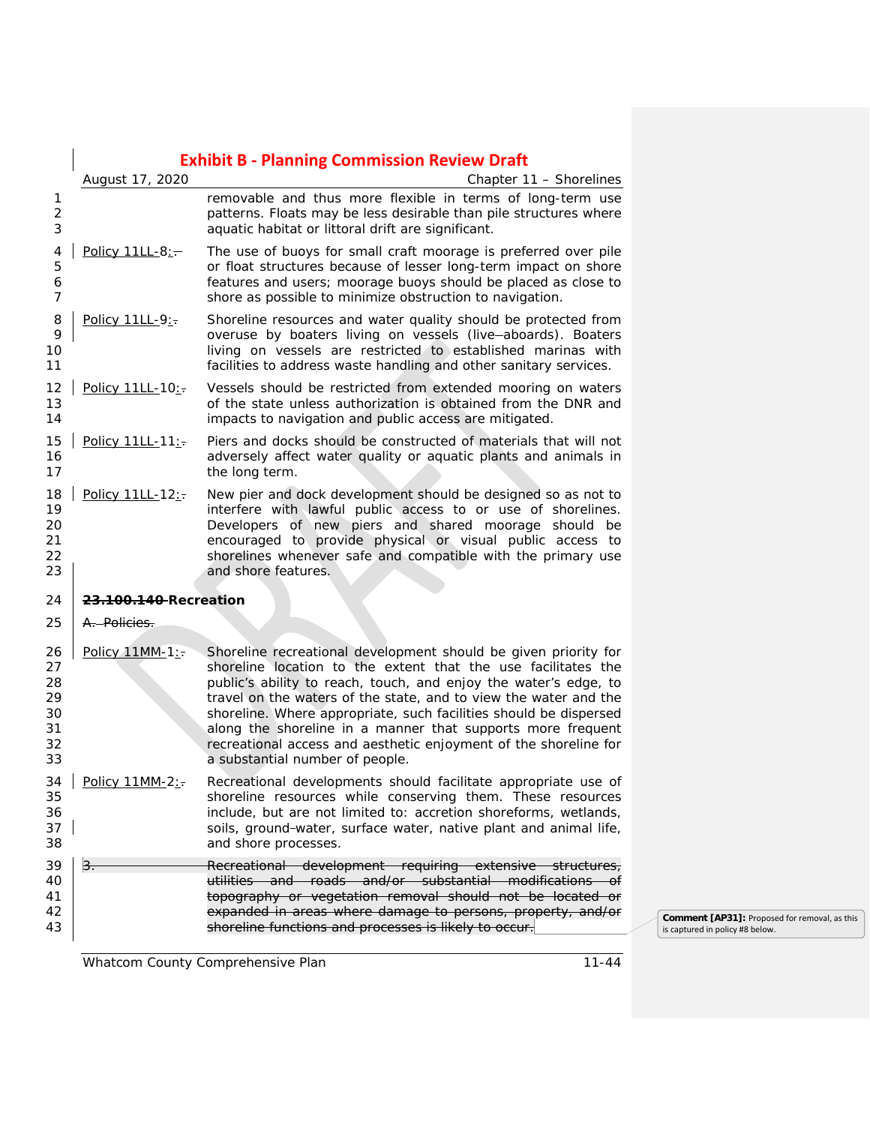|                                              |                                   | <b>Exhibit B - Planning Commission Review Draft</b>                                                                                                                                                                                                                                                                                                                                                                                                                                                                 |  |
|----------------------------------------------|-----------------------------------|---------------------------------------------------------------------------------------------------------------------------------------------------------------------------------------------------------------------------------------------------------------------------------------------------------------------------------------------------------------------------------------------------------------------------------------------------------------------------------------------------------------------|--|
|                                              | August 17, 2020                   | Chapter 11 - Shorelines                                                                                                                                                                                                                                                                                                                                                                                                                                                                                             |  |
| 1<br>2<br>3                                  |                                   | removable and thus more flexible in terms of long-term use<br>patterns. Floats may be less desirable than pile structures where<br>aquatic habitat or littoral drift are significant.                                                                                                                                                                                                                                                                                                                               |  |
| 4<br>5<br>6<br>7                             | Policy 11LL-8:-                   | The use of buoys for small craft moorage is preferred over pile<br>or float structures because of lesser long-term impact on shore<br>features and users; moorage buoys should be placed as close to<br>shore as possible to minimize obstruction to navigation.                                                                                                                                                                                                                                                    |  |
| 8<br>9<br>10<br>11                           | Policy 11LL-9:                    | Shoreline resources and water quality should be protected from<br>overuse by boaters living on vessels (live-aboards). Boaters<br>living on vessels are restricted to established marinas with<br>facilities to address waste handling and other sanitary services.                                                                                                                                                                                                                                                 |  |
| 12<br>13<br>14                               | Policy 11LL-10:                   | Vessels should be restricted from extended mooring on waters<br>of the state unless authorization is obtained from the DNR and<br>impacts to navigation and public access are mitigated.                                                                                                                                                                                                                                                                                                                            |  |
| 15<br>16<br>17                               | Policy 11LL-11:                   | Piers and docks should be constructed of materials that will not<br>adversely affect water quality or aquatic plants and animals in<br>the long term.                                                                                                                                                                                                                                                                                                                                                               |  |
| 18<br>19<br>20<br>21<br>22<br>23             | Policy 11LL-12:                   | New pier and dock development should be designed so as not to<br>interfere with lawful public access to or use of shorelines.<br>Developers of new piers and shared moorage should be<br>encouraged to provide physical or visual public access to<br>shorelines whenever safe and compatible with the primary use<br>and shore features.                                                                                                                                                                           |  |
| 24                                           | <del>23.100.140 </del> Recreation |                                                                                                                                                                                                                                                                                                                                                                                                                                                                                                                     |  |
| 25                                           | A. Policies.                      |                                                                                                                                                                                                                                                                                                                                                                                                                                                                                                                     |  |
| 26<br>27<br>28<br>29<br>30<br>31<br>32<br>33 | Policy 11MM-1:-                   | Shoreline recreational development should be given priority for<br>shoreline location to the extent that the use facilitates the<br>public's ability to reach, touch, and enjoy the water's edge, to<br>travel on the waters of the state, and to view the water and the<br>shoreline. Where appropriate, such facilities should be dispersed<br>along the shoreline in a manner that supports more frequent<br>recreational access and aesthetic enjoyment of the shoreline for<br>a substantial number of people. |  |
| 35<br>36<br>37<br>38                         | 34   Policy 11MM-2:               | Recreational developments should facilitate appropriate use of<br>shoreline resources while conserving them. These resources<br>include, but are not limited to: accretion shoreforms, wetlands,<br>soils, ground-water, surface water, native plant and animal life,<br>and shore processes.                                                                                                                                                                                                                       |  |
| 39                                           |                                   | Recreational development requiring extensive structures,                                                                                                                                                                                                                                                                                                                                                                                                                                                            |  |
| 40                                           |                                   | utilities and roads and/or substantial modifications of                                                                                                                                                                                                                                                                                                                                                                                                                                                             |  |
| 41<br>42                                     |                                   | topography or vegetation removal should not be located or<br>expanded in areas where damage to persons, property, and/or                                                                                                                                                                                                                                                                                                                                                                                            |  |
| 43                                           |                                   | shoreline functions and processes is likely to occur.                                                                                                                                                                                                                                                                                                                                                                                                                                                               |  |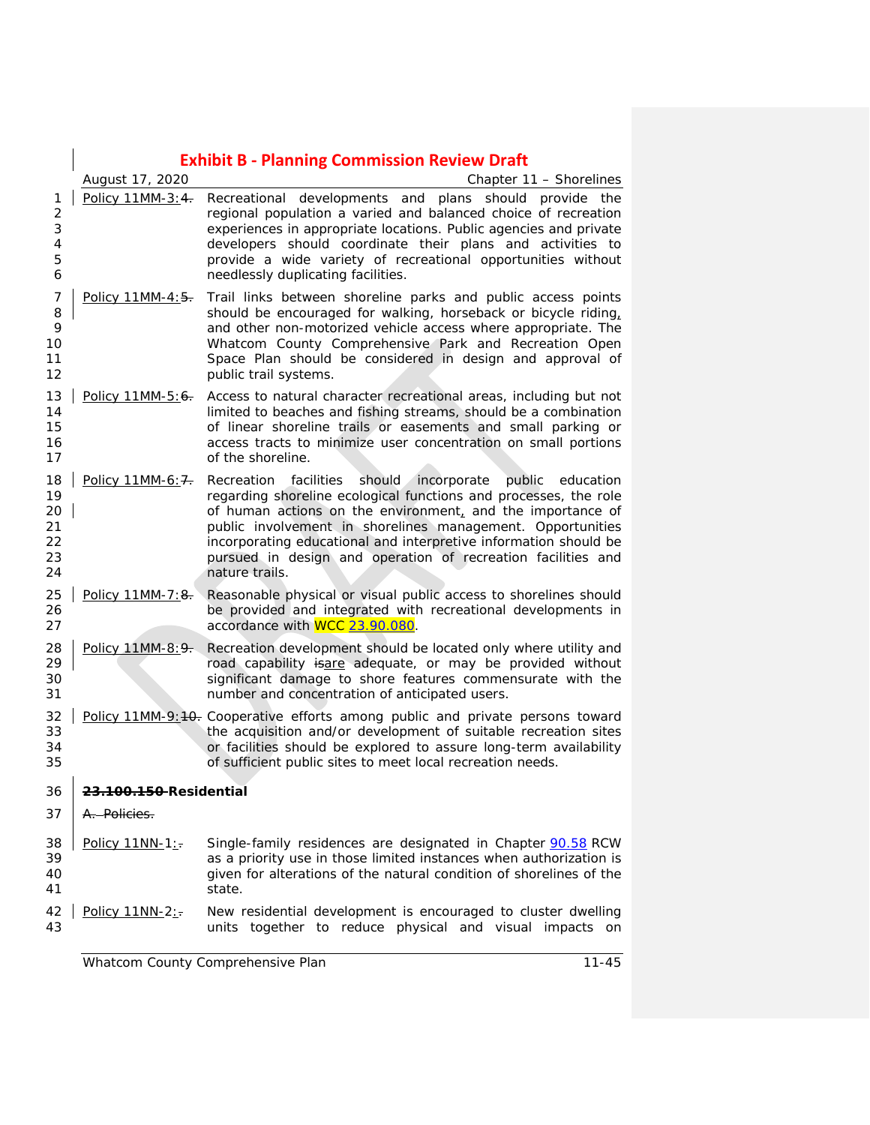|                                        | <b>Exhibit B - Planning Commission Review Draft</b> |                                                                                                                                                                                                                                                                                                                                                                                                                          |  |  |
|----------------------------------------|-----------------------------------------------------|--------------------------------------------------------------------------------------------------------------------------------------------------------------------------------------------------------------------------------------------------------------------------------------------------------------------------------------------------------------------------------------------------------------------------|--|--|
|                                        | Chapter 11 - Shorelines<br>August 17, 2020          |                                                                                                                                                                                                                                                                                                                                                                                                                          |  |  |
| 1<br>2<br>3<br>4<br>5<br>6             | Policy 11MM-3:4.                                    | Recreational developments and plans should provide the<br>regional population a varied and balanced choice of recreation<br>experiences in appropriate locations. Public agencies and private<br>developers should coordinate their plans and activities to<br>provide a wide variety of recreational opportunities without<br>needlessly duplicating facilities.                                                        |  |  |
| 7<br>8<br>9<br>10<br>11<br>12          | Policy 11MM-4:5.                                    | Trail links between shoreline parks and public access points<br>should be encouraged for walking, horseback or bicycle riding,<br>and other non-motorized vehicle access where appropriate. The<br>Whatcom County Comprehensive Park and Recreation Open<br>Space Plan should be considered in design and approval of<br>public trail systems.                                                                           |  |  |
| 13<br>14<br>15<br>16<br>17             | Policy 11MM-5:6.                                    | Access to natural character recreational areas, including but not<br>limited to beaches and fishing streams, should be a combination<br>of linear shoreline trails or easements and small parking or<br>access tracts to minimize user concentration on small portions<br>of the shoreline.                                                                                                                              |  |  |
| 18<br>19<br>20<br>21<br>22<br>23<br>24 | Policy 11MM-6: 7.                                   | should incorporate<br>public education<br>Recreation<br>facilities<br>regarding shoreline ecological functions and processes, the role<br>of human actions on the environment, and the importance of<br>public involvement in shorelines management. Opportunities<br>incorporating educational and interpretive information should be<br>pursued in design and operation of recreation facilities and<br>nature trails. |  |  |
| 25<br>26<br>27                         | Policy 11MM-7:8.                                    | Reasonable physical or visual public access to shorelines should<br>be provided and integrated with recreational developments in<br>accordance with WCC 23.90.080.                                                                                                                                                                                                                                                       |  |  |
| 28<br>29<br>30<br>31                   | Policy 11MM-8: 9.                                   | Recreation development should be located only where utility and<br>road capability isare adequate, or may be provided without<br>significant damage to shore features commensurate with the<br>number and concentration of anticipated users.                                                                                                                                                                            |  |  |
| 32<br>33<br>34<br>35                   |                                                     | Policy 11MM-9:40. Cooperative efforts among public and private persons toward<br>the acquisition and/or development of suitable recreation sites<br>or facilities should be explored to assure long-term availability<br>of sufficient public sites to meet local recreation needs.                                                                                                                                      |  |  |
| 36                                     | <del>23.100.150 </del> Residential                  |                                                                                                                                                                                                                                                                                                                                                                                                                          |  |  |
| 37                                     | A. Policies.                                        |                                                                                                                                                                                                                                                                                                                                                                                                                          |  |  |
| 38<br>39<br>40<br>41                   | Policy 11NN-1:                                      | Single-family residences are designated in Chapter 90.58 RCW<br>as a priority use in those limited instances when authorization is<br>given for alterations of the natural condition of shorelines of the<br>state.                                                                                                                                                                                                      |  |  |
| 42<br>43                               | Policy 11NN-2:-                                     | New residential development is encouraged to cluster dwelling<br>units together to reduce physical and visual impacts on                                                                                                                                                                                                                                                                                                 |  |  |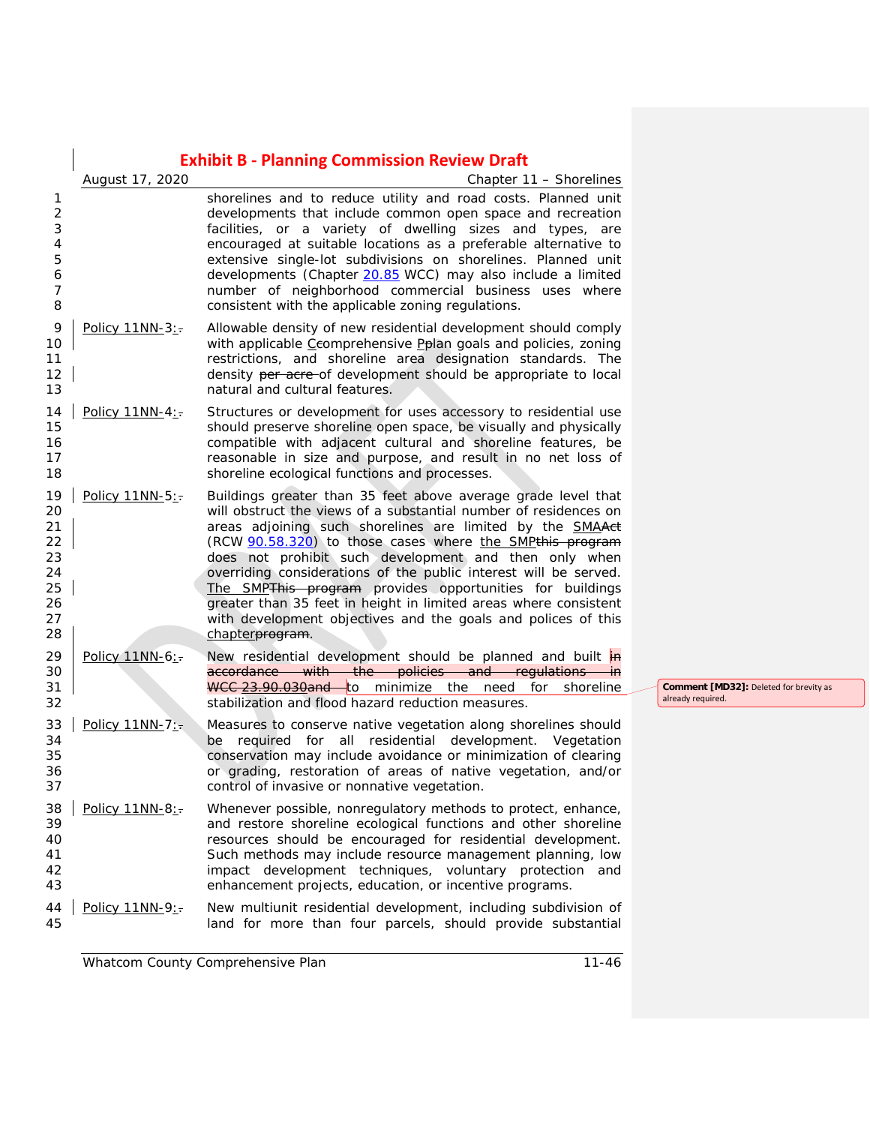$\overline{\phantom{a}}$ 

|                                                                | August 17, 2020     | Chapter 11 - Shorelines                                                                                                                                                                                                                                                                                                                                                                                                                                                                                                                                                                                             |  |
|----------------------------------------------------------------|---------------------|---------------------------------------------------------------------------------------------------------------------------------------------------------------------------------------------------------------------------------------------------------------------------------------------------------------------------------------------------------------------------------------------------------------------------------------------------------------------------------------------------------------------------------------------------------------------------------------------------------------------|--|
| 1<br>$\overline{2}$<br>3<br>4<br>5<br>6<br>$\overline{7}$<br>8 |                     | shorelines and to reduce utility and road costs. Planned unit<br>developments that include common open space and recreation<br>facilities, or a variety of dwelling sizes and types, are<br>encouraged at suitable locations as a preferable alternative to<br>extensive single-lot subdivisions on shorelines. Planned unit<br>developments (Chapter 20.85 WCC) may also include a limited<br>number of neighborhood commercial business uses where<br>consistent with the applicable zoning regulations.                                                                                                          |  |
| 9<br>10<br>11<br>12<br>13                                      | Policy 11NN-3:-     | Allowable density of new residential development should comply<br>with applicable Ceomprehensive Pplan goals and policies, zoning<br>restrictions, and shoreline area designation standards. The<br>density per acre-of development should be appropriate to local<br>natural and cultural features.                                                                                                                                                                                                                                                                                                                |  |
| 14<br>15<br>16<br>17<br>18                                     | Policy 11NN-4:      | Structures or development for uses accessory to residential use<br>should preserve shoreline open space, be visually and physically<br>compatible with adjacent cultural and shoreline features, be<br>reasonable in size and purpose, and result in no net loss of<br>shoreline ecological functions and processes.                                                                                                                                                                                                                                                                                                |  |
| 19<br>20<br>21<br>22<br>23<br>24<br>25<br>26<br>27<br>28       | Policy 11NN-5:      | Buildings greater than 35 feet above average grade level that<br>will obstruct the views of a substantial number of residences on<br>areas adjoining such shorelines are limited by the <b>SMAA</b> ct<br>(RCW 90.58.320) to those cases where the SMPthis program<br>does not prohibit such development and then only when<br>overriding considerations of the public interest will be served.<br>The SMPThis program provides opportunities for buildings<br>greater than 35 feet in height in limited areas where consistent<br>with development objectives and the goals and polices of this<br>chapterprogram. |  |
| 29<br>30<br>31<br>32                                           | Policy 11NN-6:-     | New residential development should be planned and built in<br>accordance with the policies and regulations in<br>WCC 23.90.030and to minimize the need for shoreline<br>stabilization and flood hazard reduction measures.                                                                                                                                                                                                                                                                                                                                                                                          |  |
| 33<br>34<br>35<br>36<br>37                                     | Policy $11NN-7$ :   | Measures to conserve native vegetation along shorelines should<br>be required for all residential development. Vegetation<br>conservation may include avoidance or minimization of clearing<br>or grading, restoration of areas of native vegetation, and/or<br>control of invasive or nonnative vegetation.                                                                                                                                                                                                                                                                                                        |  |
| 39<br>40<br>41<br>42<br>43                                     | 38   Policy 11NN-8: | Whenever possible, nonregulatory methods to protect, enhance,<br>and restore shoreline ecological functions and other shoreline<br>resources should be encouraged for residential development.<br>Such methods may include resource management planning, low<br>impact development techniques, voluntary protection<br>and<br>enhancement projects, education, or incentive programs.                                                                                                                                                                                                                               |  |
| 44<br>45                                                       | Policy 11NN-9:      | New multiunit residential development, including subdivision of<br>land for more than four parcels, should provide substantial                                                                                                                                                                                                                                                                                                                                                                                                                                                                                      |  |

**Comment [MD32]:** Deleted for brevity as already required.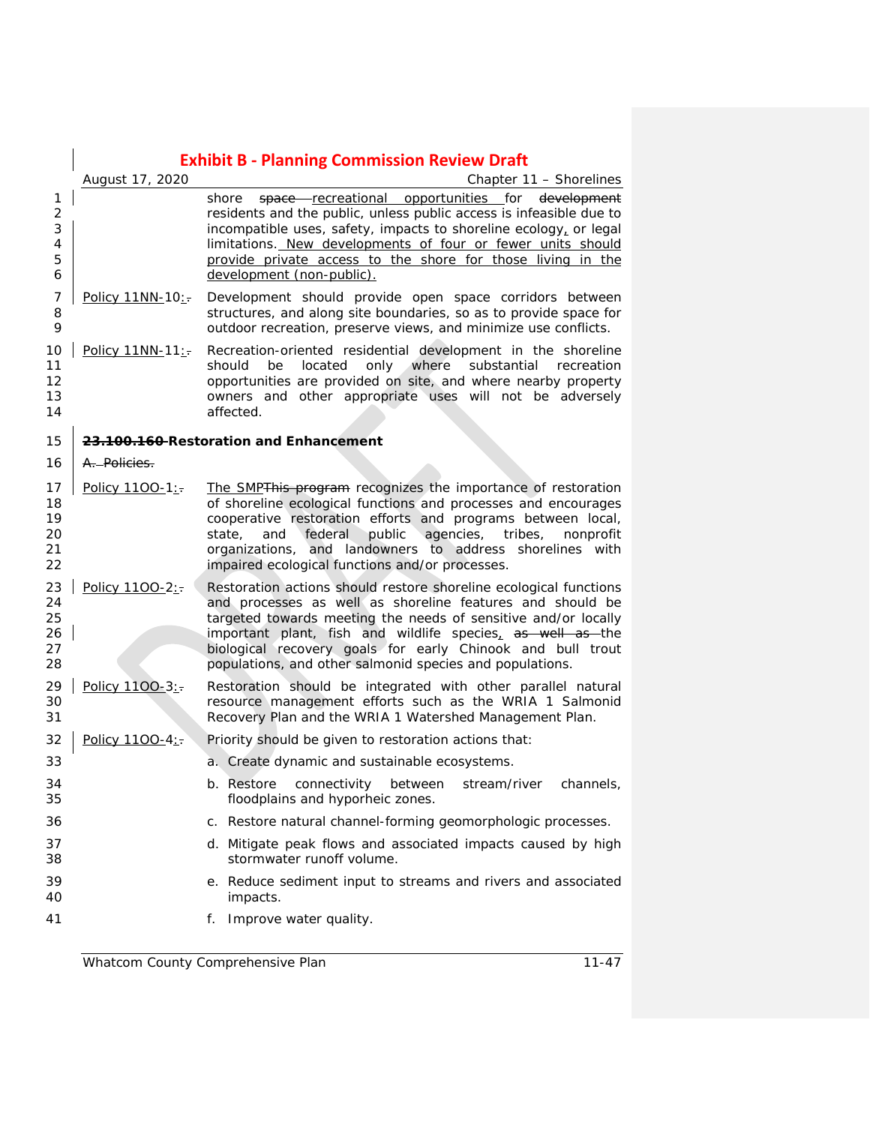|                                         | <b>Exhibit B - Planning Commission Review Draft</b> |                                                                                                                                                                                                                                                                                                                                                                                          |  |  |
|-----------------------------------------|-----------------------------------------------------|------------------------------------------------------------------------------------------------------------------------------------------------------------------------------------------------------------------------------------------------------------------------------------------------------------------------------------------------------------------------------------------|--|--|
|                                         | August 17, 2020<br>Chapter 11 – Shorelines          |                                                                                                                                                                                                                                                                                                                                                                                          |  |  |
| 1<br>$\overline{2}$<br>3<br>4<br>5<br>6 |                                                     | space recreational opportunities for development<br>shore<br>residents and the public, unless public access is infeasible due to<br>incompatible uses, safety, impacts to shoreline ecology, or legal<br>limitations. New developments of four or fewer units should<br>provide private access to the shore for those living in the<br>development (non-public).                         |  |  |
| 7<br>8<br>9                             | Policy 11NN-10:                                     | Development should provide open space corridors between<br>structures, and along site boundaries, so as to provide space for<br>outdoor recreation, preserve views, and minimize use conflicts.                                                                                                                                                                                          |  |  |
| 10<br>11<br>12<br>13<br>14              | Policy 11NN-11:                                     | Recreation-oriented residential development in the shoreline<br>only where<br>located<br>substantial<br>should<br>be<br>recreation<br>opportunities are provided on site, and where nearby property<br>owners and other appropriate uses will not be adversely<br>affected.                                                                                                              |  |  |
| 15                                      | 23.100.160 Restoration and Enhancement              |                                                                                                                                                                                                                                                                                                                                                                                          |  |  |
| 16                                      | A. Policies.                                        |                                                                                                                                                                                                                                                                                                                                                                                          |  |  |
| 17<br>18<br>19<br>20<br>21<br>22        | Policy 1100-1:                                      | The SMPThis program recognizes the importance of restoration<br>of shoreline ecological functions and processes and encourages<br>cooperative restoration efforts and programs between local,<br>public<br>state,<br>and<br>federal<br>agencies,<br>tribes,<br>nonprofit<br>organizations, and landowners to address shorelines with<br>impaired ecological functions and/or processes.  |  |  |
| 23<br>24<br>25<br>26<br>27<br>28        | Policy 1100-2:                                      | Restoration actions should restore shoreline ecological functions<br>and processes as well as shoreline features and should be<br>targeted towards meeting the needs of sensitive and/or locally<br>important plant, fish and wildlife species, as well as the<br>biological recovery goals for early Chinook and bull trout<br>populations, and other salmonid species and populations. |  |  |
| 29<br>30<br>31                          | Policy 1100-3:                                      | Restoration should be integrated with other parallel natural<br>resource management efforts such as the WRIA 1 Salmonid<br>Recovery Plan and the WRIA 1 Watershed Management Plan.                                                                                                                                                                                                       |  |  |
| 32                                      | Policy 1100-4:                                      | Priority should be given to restoration actions that:                                                                                                                                                                                                                                                                                                                                    |  |  |
| 33                                      |                                                     | a. Create dynamic and sustainable ecosystems.                                                                                                                                                                                                                                                                                                                                            |  |  |
| 34<br>35                                |                                                     | b. Restore connectivity between stream/river channels,<br>floodplains and hyporheic zones.                                                                                                                                                                                                                                                                                               |  |  |
| 36                                      |                                                     | c. Restore natural channel-forming geomorphologic processes.                                                                                                                                                                                                                                                                                                                             |  |  |
| 37<br>38                                |                                                     | d. Mitigate peak flows and associated impacts caused by high<br>stormwater runoff volume.                                                                                                                                                                                                                                                                                                |  |  |
| 39<br>40                                |                                                     | e. Reduce sediment input to streams and rivers and associated<br>impacts.                                                                                                                                                                                                                                                                                                                |  |  |
| 41                                      |                                                     | f. Improve water quality.                                                                                                                                                                                                                                                                                                                                                                |  |  |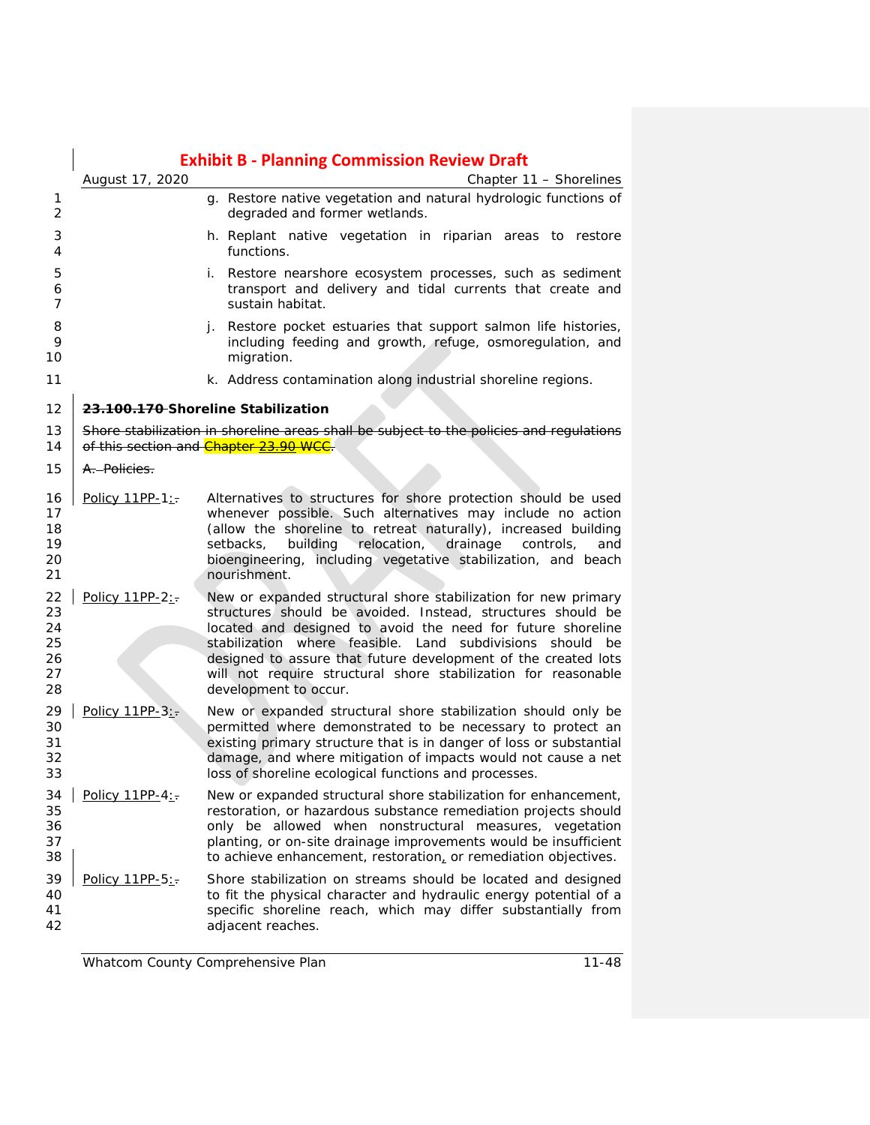|                                        | <b>Exhibit B - Planning Commission Review Draft</b> |                                                                                                                                                                                                                                                                                                                                                                                                                           |  |
|----------------------------------------|-----------------------------------------------------|---------------------------------------------------------------------------------------------------------------------------------------------------------------------------------------------------------------------------------------------------------------------------------------------------------------------------------------------------------------------------------------------------------------------------|--|
|                                        | August 17, 2020                                     | Chapter 11 - Shorelines                                                                                                                                                                                                                                                                                                                                                                                                   |  |
| 1<br>2                                 |                                                     | g. Restore native vegetation and natural hydrologic functions of<br>degraded and former wetlands.                                                                                                                                                                                                                                                                                                                         |  |
| 3<br>4                                 |                                                     | h. Replant native vegetation in riparian areas to restore<br>functions.                                                                                                                                                                                                                                                                                                                                                   |  |
| 5<br>6<br>7                            |                                                     | i. Restore nearshore ecosystem processes, such as sediment<br>transport and delivery and tidal currents that create and<br>sustain habitat.                                                                                                                                                                                                                                                                               |  |
| 8<br>9<br>10                           |                                                     | j. Restore pocket estuaries that support salmon life histories,<br>including feeding and growth, refuge, osmoregulation, and<br>migration.                                                                                                                                                                                                                                                                                |  |
| 11                                     |                                                     | k. Address contamination along industrial shoreline regions.                                                                                                                                                                                                                                                                                                                                                              |  |
| 12                                     |                                                     | 23.100.170 Shoreline Stabilization                                                                                                                                                                                                                                                                                                                                                                                        |  |
| 13<br>14                               |                                                     | Shore stabilization in shoreline areas shall be subject to the policies and regulations<br>of this section and Chapter 23.90 WCC.                                                                                                                                                                                                                                                                                         |  |
| 15                                     | A. Policies.                                        |                                                                                                                                                                                                                                                                                                                                                                                                                           |  |
| 16<br>17<br>18<br>19<br>20<br>21       | Policy 11PP-1:-                                     | Alternatives to structures for shore protection should be used<br>whenever possible. Such alternatives may include no action<br>(allow the shoreline to retreat naturally), increased building<br>relocation,<br>drainage<br>setbacks,<br>building<br>controls,<br>and<br>bioengineering, including vegetative stabilization, and beach<br>nourishment.                                                                   |  |
| 22<br>23<br>24<br>25<br>26<br>27<br>28 | Policy 11PP-2:                                      | New or expanded structural shore stabilization for new primary<br>structures should be avoided. Instead, structures should be<br>located and designed to avoid the need for future shoreline<br>stabilization where feasible. Land subdivisions should<br>be<br>designed to assure that future development of the created lots<br>will not require structural shore stabilization for reasonable<br>development to occur. |  |
| 29<br>30<br>31<br>32<br>33             | Policy 11PP-3:                                      | New or expanded structural shore stabilization should only be<br>permitted where demonstrated to be necessary to protect an<br>existing primary structure that is in danger of loss or substantial<br>damage, and where mitigation of impacts would not cause a net<br>loss of shoreline ecological functions and processes.                                                                                              |  |
| 34<br>35<br>36<br>37<br>38             | Policy 11PP-4:-                                     | New or expanded structural shore stabilization for enhancement,<br>restoration, or hazardous substance remediation projects should<br>only be allowed when nonstructural measures, vegetation<br>planting, or on-site drainage improvements would be insufficient<br>to achieve enhancement, restoration, or remediation objectives.                                                                                      |  |
| 39<br>40<br>41<br>42                   | Policy 11PP-5:-                                     | Shore stabilization on streams should be located and designed<br>to fit the physical character and hydraulic energy potential of a<br>specific shoreline reach, which may differ substantially from<br>adjacent reaches.                                                                                                                                                                                                  |  |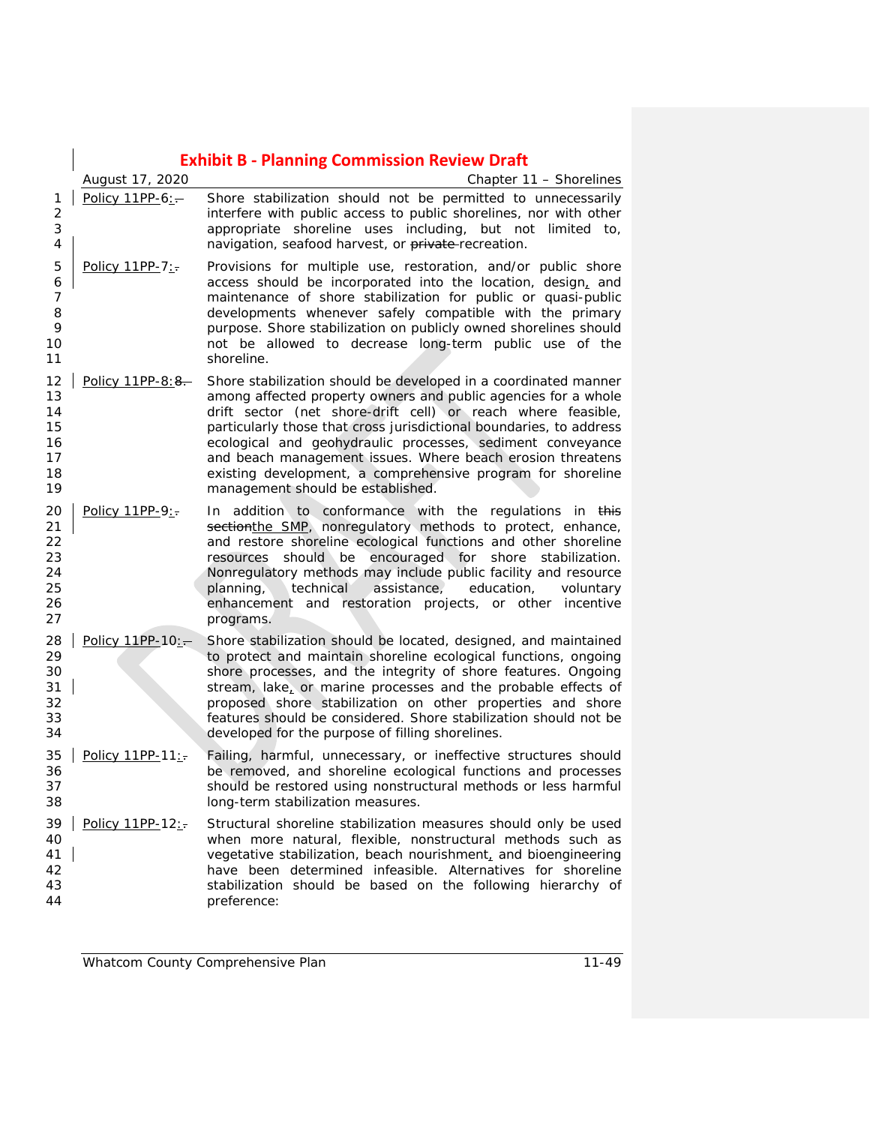|                                                |                                    | <b>Exhibit B - Planning Commission Review Draft</b>                                                                                                                                                                                                                                                                                                                                                                                                                                                      |  |
|------------------------------------------------|------------------------------------|----------------------------------------------------------------------------------------------------------------------------------------------------------------------------------------------------------------------------------------------------------------------------------------------------------------------------------------------------------------------------------------------------------------------------------------------------------------------------------------------------------|--|
| 1<br>$\overline{2}$<br>3<br>4                  | August 17, 2020<br>Policy 11PP-6:- | Chapter 11 - Shorelines<br>Shore stabilization should not be permitted to unnecessarily<br>interfere with public access to public shorelines, nor with other<br>appropriate shoreline uses including, but not limited to,<br>navigation, seafood harvest, or private-recreation.                                                                                                                                                                                                                         |  |
| 5<br>6<br>$\overline{7}$<br>8<br>9<br>10<br>11 | Policy 11PP-7:-                    | Provisions for multiple use, restoration, and/or public shore<br>access should be incorporated into the location, design, and<br>maintenance of shore stabilization for public or quasi-public<br>developments whenever safely compatible with the primary<br>purpose. Shore stabilization on publicly owned shorelines should<br>not be allowed to decrease long-term public use of the<br>shoreline.                                                                                                   |  |
| 12<br>13<br>14<br>15<br>16<br>17<br>18<br>19   | Policy 11PP-8:8.                   | Shore stabilization should be developed in a coordinated manner<br>among affected property owners and public agencies for a whole<br>drift sector (net shore-drift cell) or reach where feasible,<br>particularly those that cross jurisdictional boundaries, to address<br>ecological and geohydraulic processes, sediment conveyance<br>and beach management issues. Where beach erosion threatens<br>existing development, a comprehensive program for shoreline<br>management should be established. |  |
| 20<br>21<br>22<br>23<br>24<br>25<br>26<br>27   | Policy 11PP-9:-                    | In addition to conformance with the regulations in this<br>sectionthe SMP, nonregulatory methods to protect, enhance,<br>and restore shoreline ecological functions and other shoreline<br>resources should be encouraged for shore stabilization.<br>Nonregulatory methods may include public facility and resource<br>technical<br>assistance,<br>education,<br>planning,<br>voluntary<br>enhancement and restoration projects, or other incentive<br>programs.                                        |  |
| 28<br>29<br>30<br>31<br>32<br>33<br>34         | Policy 11PP-10:-                   | Shore stabilization should be located, designed, and maintained<br>to protect and maintain shoreline ecological functions, ongoing<br>shore processes, and the integrity of shore features. Ongoing<br>stream, lake, or marine processes and the probable effects of<br>proposed shore stabilization on other properties and shore<br>features should be considered. Shore stabilization should not be<br>developed for the purpose of filling shorelines.                                               |  |
| 35<br>36<br>37<br>38                           | Policy 11PP-11:                    | Failing, harmful, unnecessary, or ineffective structures should<br>be removed, and shoreline ecological functions and processes<br>should be restored using nonstructural methods or less harmful<br>long-term stabilization measures.                                                                                                                                                                                                                                                                   |  |
| 39<br>40<br>41<br>42<br>43<br>44               | Policy 11PP-12:                    | Structural shoreline stabilization measures should only be used<br>when more natural, flexible, nonstructural methods such as<br>vegetative stabilization, beach nourishment, and bioengineering<br>have been determined infeasible. Alternatives for shoreline<br>stabilization should be based on the following hierarchy of<br>preference:                                                                                                                                                            |  |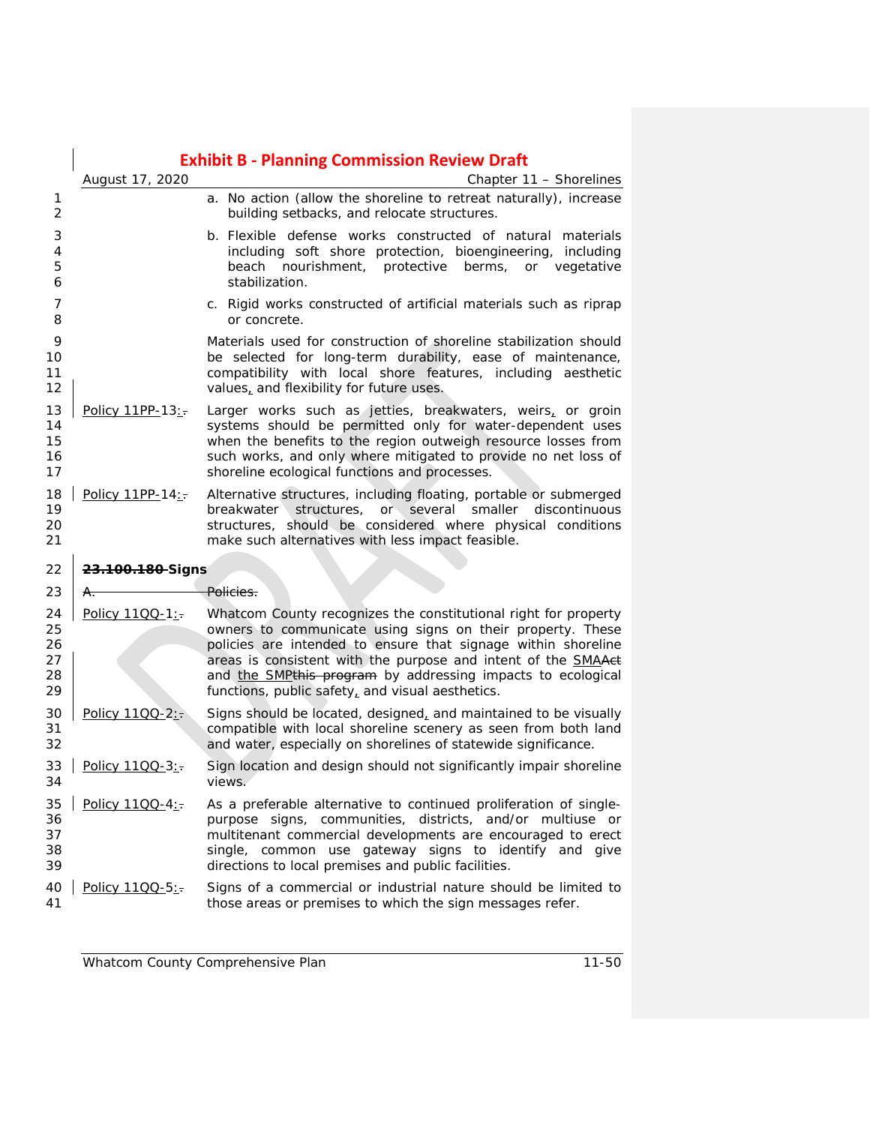|                                  |                  | <b>Exhibit B - Planning Commission Review Draft</b>                                                                                                                                                                                                                                                                                                                                |
|----------------------------------|------------------|------------------------------------------------------------------------------------------------------------------------------------------------------------------------------------------------------------------------------------------------------------------------------------------------------------------------------------------------------------------------------------|
|                                  | August 17, 2020  | Chapter 11 - Shorelines                                                                                                                                                                                                                                                                                                                                                            |
| 1<br>2                           |                  | a. No action (allow the shoreline to retreat naturally), increase<br>building setbacks, and relocate structures.                                                                                                                                                                                                                                                                   |
| 3<br>4<br>5<br>6                 |                  | b. Flexible defense works constructed of natural materials<br>including soft shore protection, bioengineering, including<br>beach nourishment, protective berms, or vegetative<br>stabilization.                                                                                                                                                                                   |
| 7<br>8                           |                  | c. Rigid works constructed of artificial materials such as riprap<br>or concrete.                                                                                                                                                                                                                                                                                                  |
| 9<br>10<br>11<br>12              |                  | Materials used for construction of shoreline stabilization should<br>be selected for long-term durability, ease of maintenance,<br>compatibility with local shore features, including aesthetic<br>values, and flexibility for future uses.                                                                                                                                        |
| 13<br>14<br>15<br>16<br>17       | Policy 11PP-13:  | Larger works such as jetties, breakwaters, weirs, or groin<br>systems should be permitted only for water-dependent uses<br>when the benefits to the region outweigh resource losses from<br>such works, and only where mitigated to provide no net loss of<br>shoreline ecological functions and processes.                                                                        |
| 18<br>19<br>20<br>21             | Policy 11PP-14:  | Alternative structures, including floating, portable or submerged<br>or several<br>smaller discontinuous<br>breakwater<br>structures,<br>structures, should be considered where physical conditions<br>make such alternatives with less impact feasible.                                                                                                                           |
| 22                               | 23.100.180-Signs |                                                                                                                                                                                                                                                                                                                                                                                    |
| 23                               | A.               | <del>Policies.</del>                                                                                                                                                                                                                                                                                                                                                               |
| 24<br>25<br>26<br>27<br>28<br>29 | Policy 11QQ-1:   | Whatcom County recognizes the constitutional right for property<br>owners to communicate using signs on their property. These<br>policies are intended to ensure that signage within shoreline<br>areas is consistent with the purpose and intent of the SMAAet<br>and the SMPthis program by addressing impacts to ecological<br>functions, public safety, and visual aesthetics. |
| 30<br>31<br>32                   | Policy 1100-2:-  | Signs should be located, designed, and maintained to be visually<br>compatible with local shoreline scenery as seen from both land<br>and water, especially on shorelines of statewide significance.                                                                                                                                                                               |
| 33<br>34                         | Policy 1100-3:   | Sign location and design should not significantly impair shoreline<br>views.                                                                                                                                                                                                                                                                                                       |
| 35<br>36<br>37<br>38<br>39       | Policy 1100-4:   | As a preferable alternative to continued proliferation of single-<br>purpose signs, communities, districts, and/or multiuse or<br>multitenant commercial developments are encouraged to erect<br>single, common use gateway signs to identify and give<br>directions to local premises and public facilities.                                                                      |
| 40<br>41                         | Policy 1100-5:   | Signs of a commercial or industrial nature should be limited to<br>those areas or premises to which the sign messages refer.                                                                                                                                                                                                                                                       |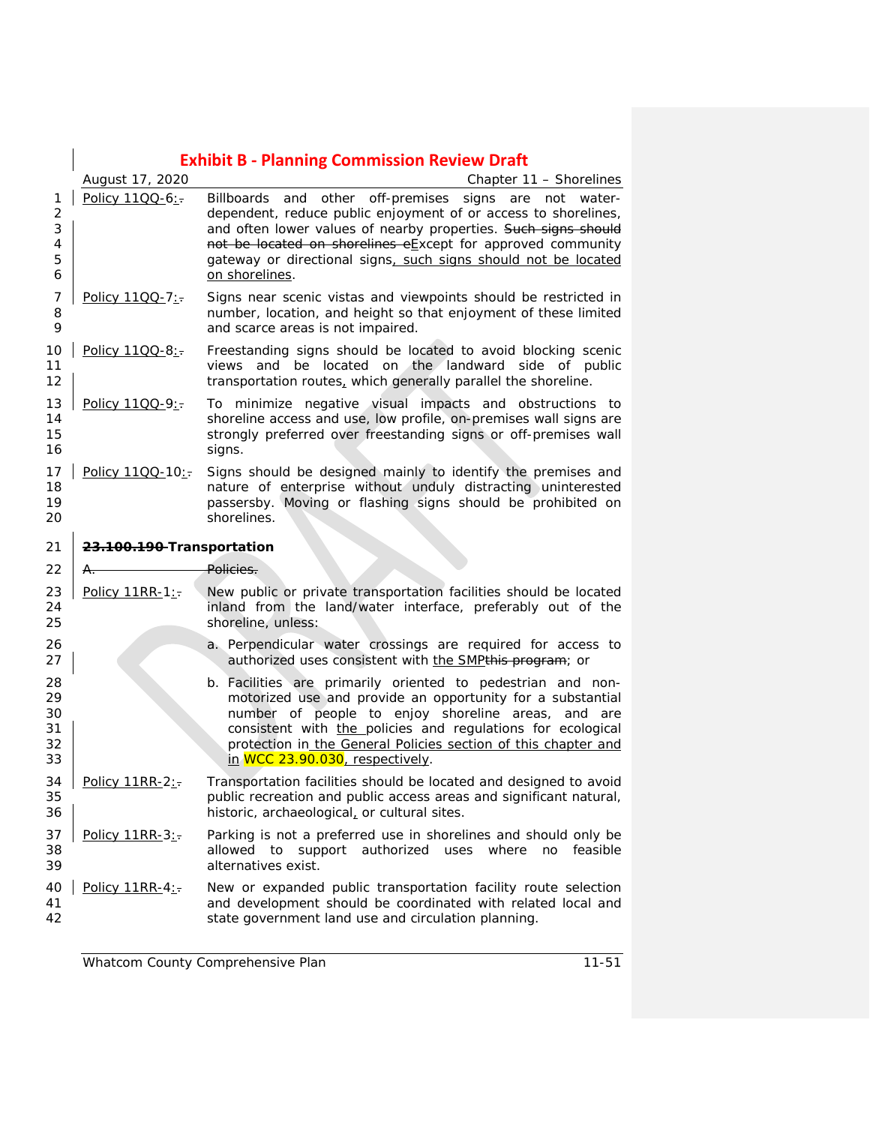|                                         | <b>Exhibit B - Planning Commission Review Draft</b> |                                                                                                                                                                                                                                                                                                                                                        |  |
|-----------------------------------------|-----------------------------------------------------|--------------------------------------------------------------------------------------------------------------------------------------------------------------------------------------------------------------------------------------------------------------------------------------------------------------------------------------------------------|--|
|                                         | August 17, 2020                                     | Chapter 11 - Shorelines                                                                                                                                                                                                                                                                                                                                |  |
| 1<br>$\overline{2}$<br>3<br>4<br>5<br>6 | Policy 1100-6:                                      | Billboards and other off-premises signs are not water-<br>dependent, reduce public enjoyment of or access to shorelines,<br>and often lower values of nearby properties. Such signs should<br>not be located on shorelines eExcept for approved community<br>gateway or directional signs, such signs should not be located<br>on shorelines.          |  |
| 7<br>8<br>9                             | Policy 11QQ-7:                                      | Signs near scenic vistas and viewpoints should be restricted in<br>number, location, and height so that enjoyment of these limited<br>and scarce areas is not impaired.                                                                                                                                                                                |  |
| 10<br>11<br>12                          | Policy 11QQ-8:                                      | Freestanding signs should be located to avoid blocking scenic<br>views and be located on the landward side of public<br>transportation routes, which generally parallel the shoreline.                                                                                                                                                                 |  |
| 13<br>14<br>15<br>16                    | Policy 11QQ-9:                                      | To minimize negative visual impacts and obstructions to<br>shoreline access and use, low profile, on-premises wall signs are<br>strongly preferred over freestanding signs or off-premises wall<br>signs.                                                                                                                                              |  |
| 17<br>18<br>19<br>20                    | Policy 1100-10:                                     | Signs should be designed mainly to identify the premises and<br>nature of enterprise without unduly distracting uninterested<br>passersby. Moving or flashing signs should be prohibited on<br>shorelines.                                                                                                                                             |  |
| 21                                      | 23.100.190-Transportation                           |                                                                                                                                                                                                                                                                                                                                                        |  |
| 22                                      | A.                                                  | Policies.                                                                                                                                                                                                                                                                                                                                              |  |
| 23<br>24<br>25                          | Policy 11RR-1:-                                     | New public or private transportation facilities should be located<br>inland from the land/water interface, preferably out of the<br>shoreline, unless:                                                                                                                                                                                                 |  |
| 26<br>27                                |                                                     | a. Perpendicular water crossings are required for access to<br>authorized uses consistent with the SMPthis program; or                                                                                                                                                                                                                                 |  |
| 28<br>29<br>30<br>31<br>32<br>33        |                                                     | b. Facilities are primarily oriented to pedestrian and non-<br>motorized use and provide an opportunity for a substantial<br>number of people to enjoy shoreline areas,<br>and are<br>consistent with the policies and regulations for ecological<br>protection in the General Policies section of this chapter and<br>in WCC 23.90.030, respectively. |  |
| 34<br>35<br>36                          | Policy 11RR-2:-                                     | Transportation facilities should be located and designed to avoid<br>public recreation and public access areas and significant natural,<br>historic, archaeological, or cultural sites.                                                                                                                                                                |  |
| 37<br>38<br>39                          | Policy 11RR-3:                                      | Parking is not a preferred use in shorelines and should only be<br>support authorized uses where no<br>allowed to<br>feasible<br>alternatives exist.                                                                                                                                                                                                   |  |
| 40<br>41<br>42                          | Policy 11RR-4:                                      | New or expanded public transportation facility route selection<br>and development should be coordinated with related local and<br>state government land use and circulation planning.                                                                                                                                                                  |  |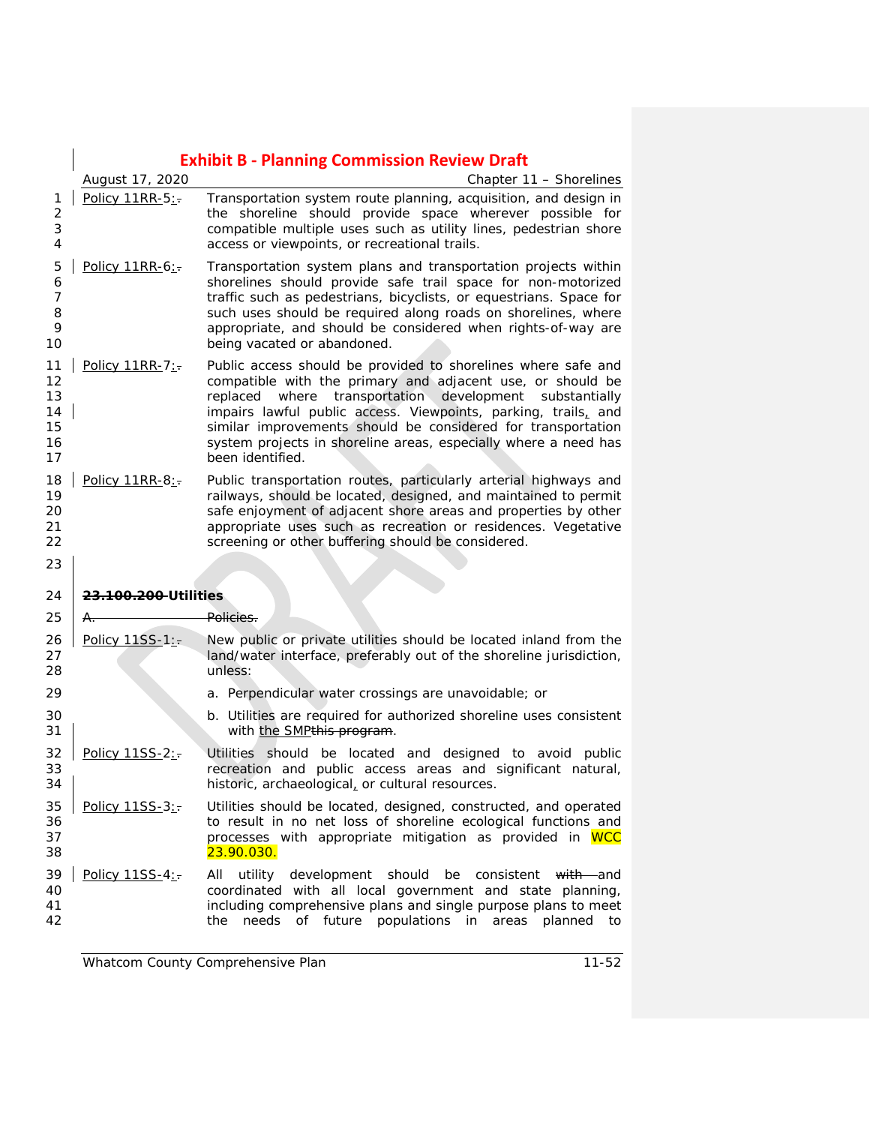|                                          | <b>Exhibit B - Planning Commission Review Draft</b> |                                                                                                                                                                                                                                                                                                                                                                                                                 |  |
|------------------------------------------|-----------------------------------------------------|-----------------------------------------------------------------------------------------------------------------------------------------------------------------------------------------------------------------------------------------------------------------------------------------------------------------------------------------------------------------------------------------------------------------|--|
|                                          | August 17, 2020                                     | Chapter 11 - Shorelines                                                                                                                                                                                                                                                                                                                                                                                         |  |
| 1<br>$\overline{c}$<br>3<br>4            | Policy 11RR-5:-                                     | Transportation system route planning, acquisition, and design in<br>the shoreline should provide space wherever possible for<br>compatible multiple uses such as utility lines, pedestrian shore<br>access or viewpoints, or recreational trails.                                                                                                                                                               |  |
| 5<br>6<br>$\overline{7}$<br>8<br>9<br>10 | Policy 11RR-6:-                                     | Transportation system plans and transportation projects within<br>shorelines should provide safe trail space for non-motorized<br>traffic such as pedestrians, bicyclists, or equestrians. Space for<br>such uses should be required along roads on shorelines, where<br>appropriate, and should be considered when rights-of-way are<br>being vacated or abandoned.                                            |  |
| 11<br>12<br>13<br>14<br>15<br>16<br>17   | Policy $11RR-7$ :                                   | Public access should be provided to shorelines where safe and<br>compatible with the primary and adjacent use, or should be<br>replaced where transportation development substantially<br>impairs lawful public access. Viewpoints, parking, trails, and<br>similar improvements should be considered for transportation<br>system projects in shoreline areas, especially where a need has<br>been identified. |  |
| 18<br>19<br>20<br>21<br>22<br>23         | Policy $11RR-8$ :                                   | Public transportation routes, particularly arterial highways and<br>railways, should be located, designed, and maintained to permit<br>safe enjoyment of adjacent shore areas and properties by other<br>appropriate uses such as recreation or residences. Vegetative<br>screening or other buffering should be considered.                                                                                    |  |
| 24                                       | <del>23.100.200 U</del> tilities                    |                                                                                                                                                                                                                                                                                                                                                                                                                 |  |
| 25                                       | A.                                                  | <del>Policies.</del>                                                                                                                                                                                                                                                                                                                                                                                            |  |
| 26<br>27<br>28                           | Policy 11SS-1:-                                     | New public or private utilities should be located inland from the<br>land/water interface, preferably out of the shoreline jurisdiction,<br>unless:                                                                                                                                                                                                                                                             |  |
| 29                                       |                                                     | a. Perpendicular water crossings are unavoidable; or                                                                                                                                                                                                                                                                                                                                                            |  |
| 30<br>31                                 |                                                     | b. Utilities are required for authorized shoreline uses consistent<br>with the SMPthis program.                                                                                                                                                                                                                                                                                                                 |  |
| 32<br>33<br>34                           | Policy 11SS-2:                                      | Utilities should be located and designed to avoid public<br>recreation and public access areas and significant natural,<br>historic, archaeological, or cultural resources.                                                                                                                                                                                                                                     |  |
| 35<br>36<br>37<br>38                     | Policy 11SS-3:-                                     | Utilities should be located, designed, constructed, and operated<br>to result in no net loss of shoreline ecological functions and<br>processes with appropriate mitigation as provided in WCC<br>23.90.030.                                                                                                                                                                                                    |  |
| 39<br>40<br>41<br>42                     | Policy 11SS-4:-                                     | All<br>utility<br>development<br>should<br>be<br>consistent<br>with and<br>coordinated with all local government and state planning,<br>including comprehensive plans and single purpose plans to meet<br>needs<br>of<br>future<br>populations<br>in<br>the<br>areas<br>planned<br>to                                                                                                                           |  |